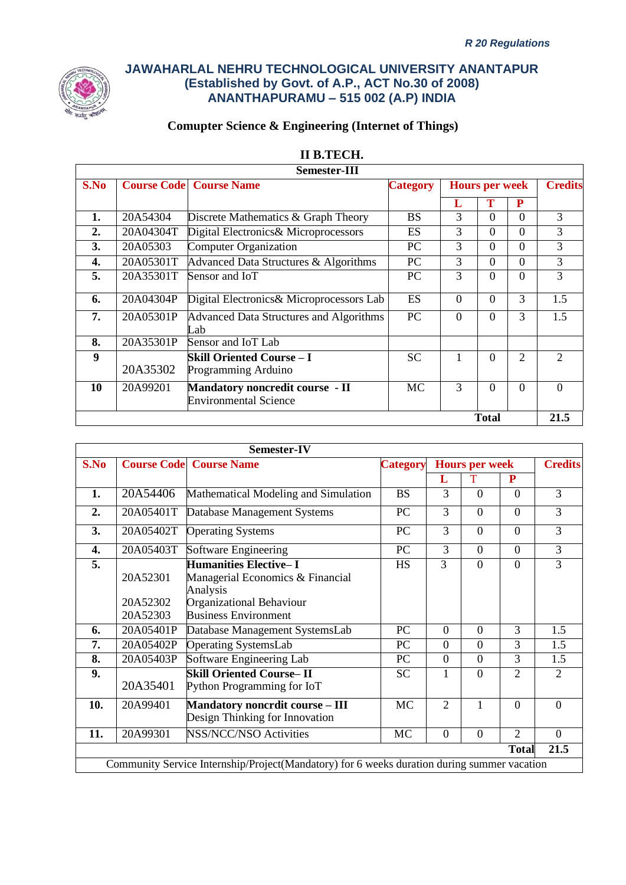

# **Comupter Science & Engineering (Internet of Things)**

|      |                    | <b>Semester-III</b>                                             |                 |          |                       |          |                |  |  |  |  |  |  |  |  |  |                |
|------|--------------------|-----------------------------------------------------------------|-----------------|----------|-----------------------|----------|----------------|--|--|--|--|--|--|--|--|--|----------------|
| S.No | <b>Course Code</b> | <b>Course Name</b>                                              | <b>Category</b> |          | <b>Hours per week</b> |          |                |  |  |  |  |  |  |  |  |  | <b>Credits</b> |
|      |                    |                                                                 |                 | L        | Т                     | P        |                |  |  |  |  |  |  |  |  |  |                |
| 1.   | 20A54304           | Discrete Mathematics & Graph Theory                             | <b>BS</b>       | 3        | $\Omega$              | $\Omega$ | 3              |  |  |  |  |  |  |  |  |  |                |
| 2.   | 20A04304T          | Digital Electronics& Microprocessors                            | ES              | 3        | $\Omega$              | $\Omega$ | 3              |  |  |  |  |  |  |  |  |  |                |
| 3.   | 20A05303           | Computer Organization                                           | <b>PC</b>       | 3        | $\Omega$              | $\Omega$ | 3              |  |  |  |  |  |  |  |  |  |                |
| 4.   | 20A05301T          | Advanced Data Structures & Algorithms                           | <b>PC</b>       | 3        | $\Omega$              | $\Omega$ | 3              |  |  |  |  |  |  |  |  |  |                |
| 5.   | 20A35301T          | Sensor and IoT                                                  | <b>PC</b>       | 3        | $\Omega$              | $\Omega$ | 3              |  |  |  |  |  |  |  |  |  |                |
| 6.   | 20A04304P          | Digital Electronics& Microprocessors Lab                        | ES              | $\Omega$ | $\Omega$              | 3        | 1.5            |  |  |  |  |  |  |  |  |  |                |
| 7.   | 20A05301P          | Advanced Data Structures and Algorithms<br>Lab                  | PC              | $\Omega$ | $\theta$              | 3        | 1.5            |  |  |  |  |  |  |  |  |  |                |
| 8.   | 20A35301P          | Sensor and IoT Lab                                              |                 |          |                       |          |                |  |  |  |  |  |  |  |  |  |                |
| 9    | 20A35302           | <b>Skill Oriented Course – I</b><br>Programming Arduino         | <b>SC</b>       | 1        | $\Omega$              | 2        | $\mathfrak{D}$ |  |  |  |  |  |  |  |  |  |                |
| 10   | 20A99201           | Mandatory noncredit course - II<br><b>Environmental Science</b> | MC              | 3        | $\Omega$              | $\Omega$ | $\Omega$       |  |  |  |  |  |  |  |  |  |                |
|      |                    |                                                                 |                 |          | <b>Total</b>          |          | 21.5           |  |  |  |  |  |  |  |  |  |                |

| II B.TECH. |
|------------|
|            |

|      |                                  | Semester-IV                                                                                                                             |                 |                |                       |                |                |
|------|----------------------------------|-----------------------------------------------------------------------------------------------------------------------------------------|-----------------|----------------|-----------------------|----------------|----------------|
| S.No |                                  | <b>Course Code</b> Course Name                                                                                                          | <b>Category</b> |                | <b>Hours per week</b> |                | <b>Credits</b> |
|      |                                  |                                                                                                                                         |                 | L              | Т                     | P              |                |
| 1.   | 20A54406                         | Mathematical Modeling and Simulation                                                                                                    | <b>BS</b>       | 3              | $\Omega$              | $\Omega$       | 3              |
| 2.   | 20A05401T                        | Database Management Systems                                                                                                             | PC              | 3              | $\Omega$              | $\Omega$       | 3              |
| 3.   | 20A05402T                        | <b>Operating Systems</b>                                                                                                                | PC              | 3              | $\overline{0}$        | $\overline{0}$ | 3              |
| 4.   | 20A05403T                        | Software Engineering                                                                                                                    | PC              | 3              | $\overline{0}$        | $\Omega$       | $\overline{3}$ |
| 5.   | 20A52301<br>20A52302<br>20A52303 | <b>Humanities Elective-I</b><br>Managerial Economics & Financial<br>Analysis<br>Organizational Behaviour<br><b>Business Environment</b> | <b>HS</b>       | 3              | $\Omega$              | $\Omega$       | $\overline{3}$ |
| 6.   | 20A05401P                        | Database Management SystemsLab                                                                                                          | PC              | $\overline{0}$ | $\overline{0}$        | 3              | 1.5            |
| 7.   | 20A05402P                        | <b>Operating SystemsLab</b>                                                                                                             | PC              | $\overline{0}$ | $\overline{0}$        | 3              | 1.5            |
| 8.   | 20A05403P                        | Software Engineering Lab                                                                                                                | PC              | $\overline{0}$ | $\overline{0}$        | 3              | 1.5            |
| 9.   | 20A35401                         | <b>Skill Oriented Course-II</b><br>Python Programming for IoT                                                                           | <b>SC</b>       | 1              | $\overline{0}$        | $\overline{2}$ | $\overline{2}$ |
| 10.  | 20A99401                         | <b>Mandatory noncrdit course - III</b><br>Design Thinking for Innovation                                                                | <b>MC</b>       | $\overline{2}$ | $\mathbf{1}$          | $\theta$       | $\theta$       |
| 11.  | 20A99301                         | <b>NSS/NCC/NSO Activities</b>                                                                                                           | <b>MC</b>       | $\Omega$       | $\overline{0}$        | $\overline{2}$ | $\Omega$       |
|      |                                  |                                                                                                                                         |                 |                |                       | <b>Total</b>   | 21.5           |
|      |                                  | Community Service Internship/Project(Mandatory) for 6 weeks duration during summer vacation                                             |                 |                |                       |                |                |

Homoras (The hours distribution cours distribution can be 3-0-2 or 3-1-0 also )  $\sim$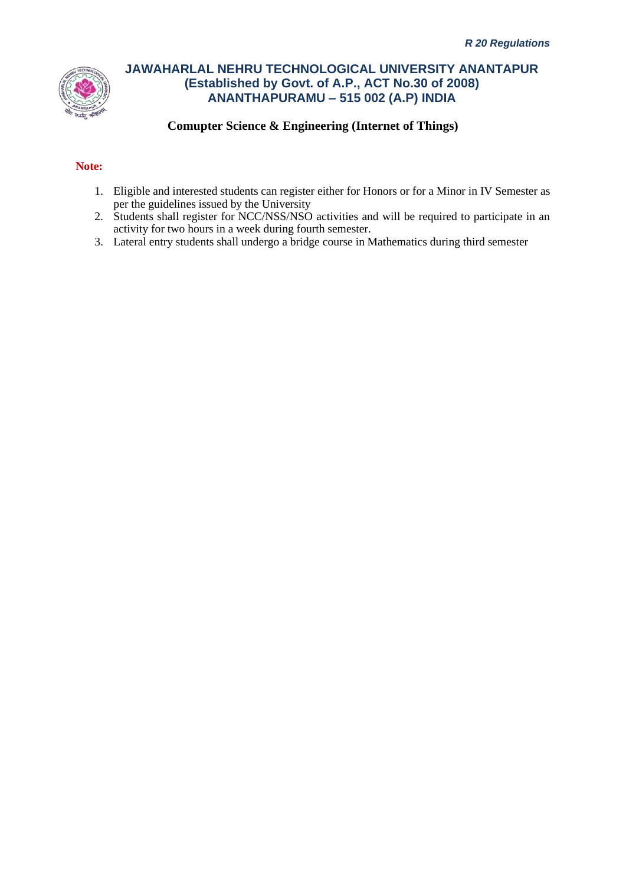

### **Comupter Science & Engineering (Internet of Things)**

#### **Note:**

- 1. Eligible and interested students can register either for Honors or for a Minor in IV Semester as per the guidelines issued by the University
- 2. Students shall register for NCC/NSS/NSO activities and will be required to participate in an activity for two hours in a week during fourth semester.
- 3. Lateral entry students shall undergo a bridge course in Mathematics during third semester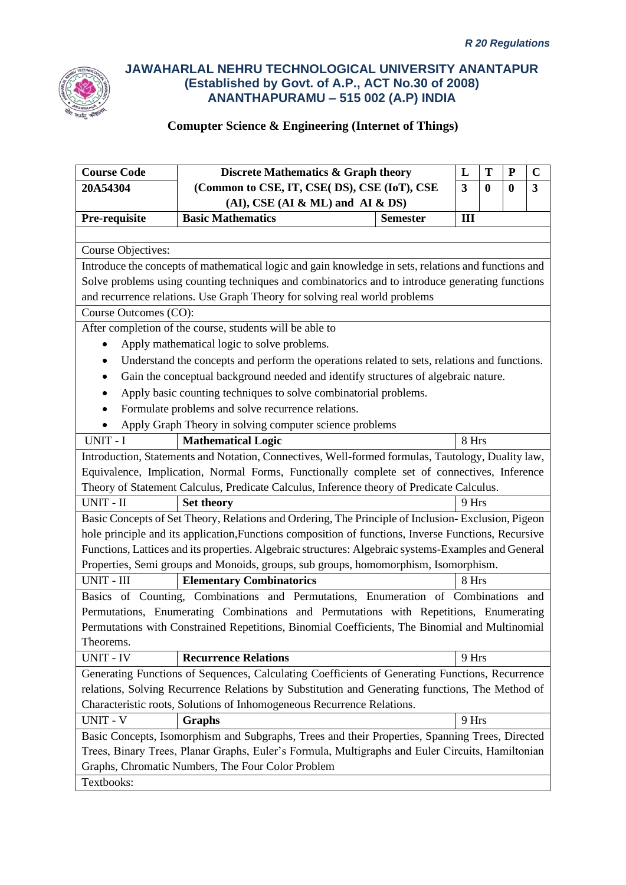

| <b>Course Code</b>        | Discrete Mathematics & Graph theory                                                                  |                 | L                       | T        | ${\bf P}$ | $\mathbf C$ |
|---------------------------|------------------------------------------------------------------------------------------------------|-----------------|-------------------------|----------|-----------|-------------|
| 20A54304                  | (Common to CSE, IT, CSE( DS), CSE (IoT), CSE                                                         |                 | $\overline{\mathbf{3}}$ | $\bf{0}$ | $\bf{0}$  | 3           |
|                           | $(AI)$ , CSE $(AI & ML)$ and $AI & DS$                                                               |                 |                         |          |           |             |
| Pre-requisite             | <b>Basic Mathematics</b>                                                                             | <b>Semester</b> | III                     |          |           |             |
|                           |                                                                                                      |                 |                         |          |           |             |
| <b>Course Objectives:</b> |                                                                                                      |                 |                         |          |           |             |
|                           | Introduce the concepts of mathematical logic and gain knowledge in sets, relations and functions and |                 |                         |          |           |             |
|                           | Solve problems using counting techniques and combinatorics and to introduce generating functions     |                 |                         |          |           |             |
|                           | and recurrence relations. Use Graph Theory for solving real world problems                           |                 |                         |          |           |             |
| Course Outcomes (CO):     |                                                                                                      |                 |                         |          |           |             |
|                           | After completion of the course, students will be able to                                             |                 |                         |          |           |             |
|                           | Apply mathematical logic to solve problems.                                                          |                 |                         |          |           |             |
|                           | Understand the concepts and perform the operations related to sets, relations and functions.         |                 |                         |          |           |             |
|                           | Gain the conceptual background needed and identify structures of algebraic nature.                   |                 |                         |          |           |             |
|                           | Apply basic counting techniques to solve combinatorial problems.                                     |                 |                         |          |           |             |
|                           | Formulate problems and solve recurrence relations.                                                   |                 |                         |          |           |             |
|                           | Apply Graph Theory in solving computer science problems                                              |                 |                         |          |           |             |
| UNIT - I                  | <b>Mathematical Logic</b>                                                                            |                 | 8 Hrs                   |          |           |             |
|                           | Introduction, Statements and Notation, Connectives, Well-formed formulas, Tautology, Duality law,    |                 |                         |          |           |             |
|                           | Equivalence, Implication, Normal Forms, Functionally complete set of connectives, Inference          |                 |                         |          |           |             |
|                           | Theory of Statement Calculus, Predicate Calculus, Inference theory of Predicate Calculus.            |                 |                         |          |           |             |
| UNIT - II                 | <b>Set theory</b>                                                                                    |                 | 9 Hrs                   |          |           |             |
|                           | Basic Concepts of Set Theory, Relations and Ordering, The Principle of Inclusion-Exclusion, Pigeon   |                 |                         |          |           |             |
|                           | hole principle and its application, Functions composition of functions, Inverse Functions, Recursive |                 |                         |          |           |             |
|                           | Functions, Lattices and its properties. Algebraic structures: Algebraic systems-Examples and General |                 |                         |          |           |             |
|                           | Properties, Semi groups and Monoids, groups, sub groups, homomorphism, Isomorphism.                  |                 |                         |          |           |             |
| UNIT - III                | <b>Elementary Combinatorics</b>                                                                      |                 | 8 Hrs                   |          |           |             |
|                           | Basics of Counting, Combinations and Permutations, Enumeration of Combinations and                   |                 |                         |          |           |             |
|                           | Permutations, Enumerating Combinations and Permutations with Repetitions, Enumerating                |                 |                         |          |           |             |
|                           | Permutations with Constrained Repetitions, Binomial Coefficients, The Binomial and Multinomial       |                 |                         |          |           |             |
| Theorems.                 |                                                                                                      |                 |                         |          |           |             |
| <b>UNIT - IV</b>          | <b>Recurrence Relations</b>                                                                          |                 | 9 Hrs                   |          |           |             |
|                           | Generating Functions of Sequences, Calculating Coefficients of Generating Functions, Recurrence      |                 |                         |          |           |             |
|                           | relations, Solving Recurrence Relations by Substitution and Generating functions, The Method of      |                 |                         |          |           |             |
|                           | Characteristic roots, Solutions of Inhomogeneous Recurrence Relations.                               |                 |                         |          |           |             |
| <b>UNIT - V</b>           | Graphs                                                                                               |                 | 9 Hrs                   |          |           |             |
|                           | Basic Concepts, Isomorphism and Subgraphs, Trees and their Properties, Spanning Trees, Directed      |                 |                         |          |           |             |
|                           | Trees, Binary Trees, Planar Graphs, Euler's Formula, Multigraphs and Euler Circuits, Hamiltonian     |                 |                         |          |           |             |
|                           | Graphs, Chromatic Numbers, The Four Color Problem                                                    |                 |                         |          |           |             |
| Textbooks:                |                                                                                                      |                 |                         |          |           |             |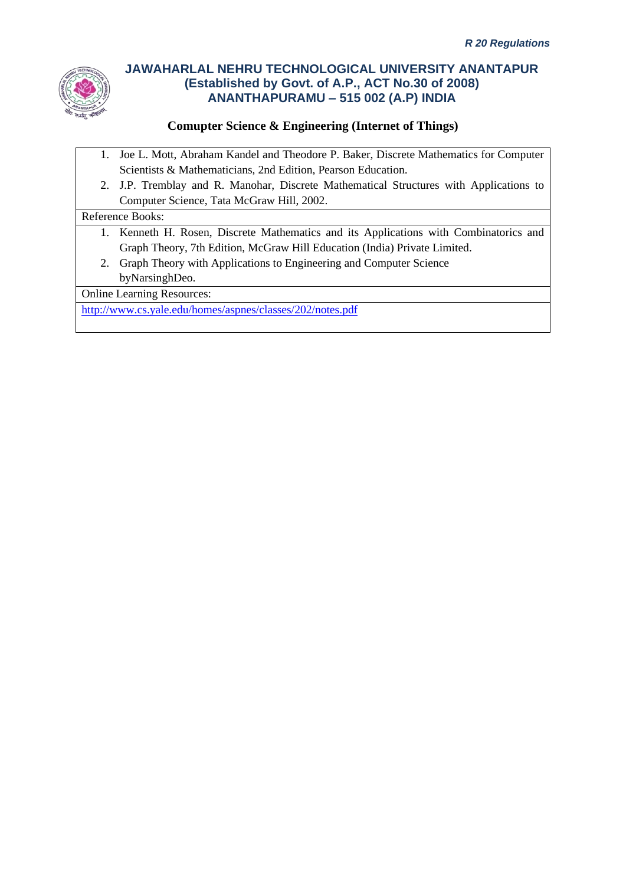

### **Comupter Science & Engineering (Internet of Things)**

- 1. Joe L. Mott, Abraham Kandel and Theodore P. Baker, Discrete Mathematics for Computer Scientists & Mathematicians, 2nd Edition, Pearson Education.
- 2. J.P. Tremblay and R. Manohar, Discrete Mathematical Structures with Applications to Computer Science, Tata McGraw Hill, 2002.

#### Reference Books:

- 1. Kenneth H. Rosen, Discrete Mathematics and its Applications with Combinatorics and Graph Theory, 7th Edition, McGraw Hill Education (India) Private Limited.
- 2. Graph Theory with Applications to Engineering and Computer Science byNarsinghDeo.

Online Learning Resources:

<http://www.cs.yale.edu/homes/aspnes/classes/202/notes.pdf>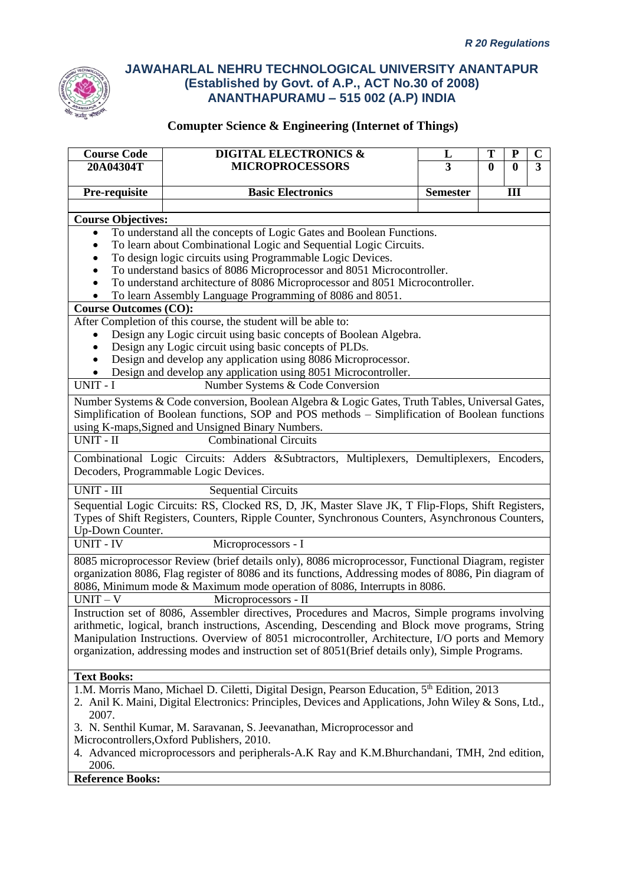

| <b>Course Code</b>                  | <b>DIGITAL ELECTRONICS &amp;</b>                                                                                                | L               | T            | P            | $\bf C$ |
|-------------------------------------|---------------------------------------------------------------------------------------------------------------------------------|-----------------|--------------|--------------|---------|
| 20A04304T                           | <b>MICROPROCESSORS</b>                                                                                                          | 3               | $\mathbf{0}$ | $\mathbf{0}$ | 3       |
|                                     |                                                                                                                                 |                 |              |              |         |
| Pre-requisite                       | <b>Basic Electronics</b>                                                                                                        | <b>Semester</b> |              | III          |         |
|                                     |                                                                                                                                 |                 |              |              |         |
| <b>Course Objectives:</b>           |                                                                                                                                 |                 |              |              |         |
|                                     | To understand all the concepts of Logic Gates and Boolean Functions.                                                            |                 |              |              |         |
|                                     | To learn about Combinational Logic and Sequential Logic Circuits.<br>To design logic circuits using Programmable Logic Devices. |                 |              |              |         |
|                                     | To understand basics of 8086 Microprocessor and 8051 Microcontroller.                                                           |                 |              |              |         |
|                                     | To understand architecture of 8086 Microprocessor and 8051 Microcontroller.                                                     |                 |              |              |         |
|                                     | To learn Assembly Language Programming of 8086 and 8051.                                                                        |                 |              |              |         |
| <b>Course Outcomes (CO):</b>        |                                                                                                                                 |                 |              |              |         |
|                                     | After Completion of this course, the student will be able to:                                                                   |                 |              |              |         |
|                                     | Design any Logic circuit using basic concepts of Boolean Algebra.                                                               |                 |              |              |         |
|                                     | Design any Logic circuit using basic concepts of PLDs.                                                                          |                 |              |              |         |
|                                     | Design and develop any application using 8086 Microprocessor.                                                                   |                 |              |              |         |
|                                     | Design and develop any application using 8051 Microcontroller.                                                                  |                 |              |              |         |
| UNIT - I                            | Number Systems & Code Conversion                                                                                                |                 |              |              |         |
|                                     | Number Systems & Code conversion, Boolean Algebra & Logic Gates, Truth Tables, Universal Gates,                                 |                 |              |              |         |
|                                     | Simplification of Boolean functions, SOP and POS methods - Simplification of Boolean functions                                  |                 |              |              |         |
|                                     | using K-maps, Signed and Unsigned Binary Numbers.                                                                               |                 |              |              |         |
| $\overline{UNIT}$ - $\overline{II}$ | <b>Combinational Circuits</b>                                                                                                   |                 |              |              |         |
|                                     | Combinational Logic Circuits: Adders &Subtractors, Multiplexers, Demultiplexers, Encoders,                                      |                 |              |              |         |
|                                     | Decoders, Programmable Logic Devices.                                                                                           |                 |              |              |         |
| UNIT - III                          | <b>Sequential Circuits</b>                                                                                                      |                 |              |              |         |
|                                     | Sequential Logic Circuits: RS, Clocked RS, D, JK, Master Slave JK, T Flip-Flops, Shift Registers,                               |                 |              |              |         |
|                                     | Types of Shift Registers, Counters, Ripple Counter, Synchronous Counters, Asynchronous Counters,                                |                 |              |              |         |
| Up-Down Counter.                    |                                                                                                                                 |                 |              |              |         |
| <b>UNIT - IV</b>                    | Microprocessors - I                                                                                                             |                 |              |              |         |
|                                     | 8085 microprocessor Review (brief details only), 8086 microprocessor, Functional Diagram, register                              |                 |              |              |         |
|                                     | organization 8086, Flag register of 8086 and its functions, Addressing modes of 8086, Pin diagram of                            |                 |              |              |         |
|                                     | 8086, Minimum mode & Maximum mode operation of 8086, Interrupts in 8086.                                                        |                 |              |              |         |
| $UNIT - V$                          | Microprocessors - II                                                                                                            |                 |              |              |         |
|                                     | Instruction set of 8086, Assembler directives, Procedures and Macros, Simple programs involving                                 |                 |              |              |         |
|                                     | arithmetic, logical, branch instructions, Ascending, Descending and Block move programs, String                                 |                 |              |              |         |
|                                     | Manipulation Instructions. Overview of 8051 microcontroller, Architecture, I/O ports and Memory                                 |                 |              |              |         |
|                                     | organization, addressing modes and instruction set of 8051(Brief details only), Simple Programs.                                |                 |              |              |         |
|                                     |                                                                                                                                 |                 |              |              |         |
| <b>Text Books:</b>                  |                                                                                                                                 |                 |              |              |         |
|                                     | 1.M. Morris Mano, Michael D. Ciletti, Digital Design, Pearson Education, 5 <sup>th</sup> Edition, 2013                          |                 |              |              |         |
|                                     | 2. Anil K. Maini, Digital Electronics: Principles, Devices and Applications, John Wiley & Sons, Ltd.,                           |                 |              |              |         |
| 2007.                               |                                                                                                                                 |                 |              |              |         |
|                                     | 3. N. Senthil Kumar, M. Saravanan, S. Jeevanathan, Microprocessor and                                                           |                 |              |              |         |
|                                     | Microcontrollers, Oxford Publishers, 2010.                                                                                      |                 |              |              |         |
| 2006.                               | 4. Advanced microprocessors and peripherals-A.K Ray and K.M.Bhurchandani, TMH, 2nd edition,                                     |                 |              |              |         |
|                                     |                                                                                                                                 |                 |              |              |         |
| <b>Reference Books:</b>             |                                                                                                                                 |                 |              |              |         |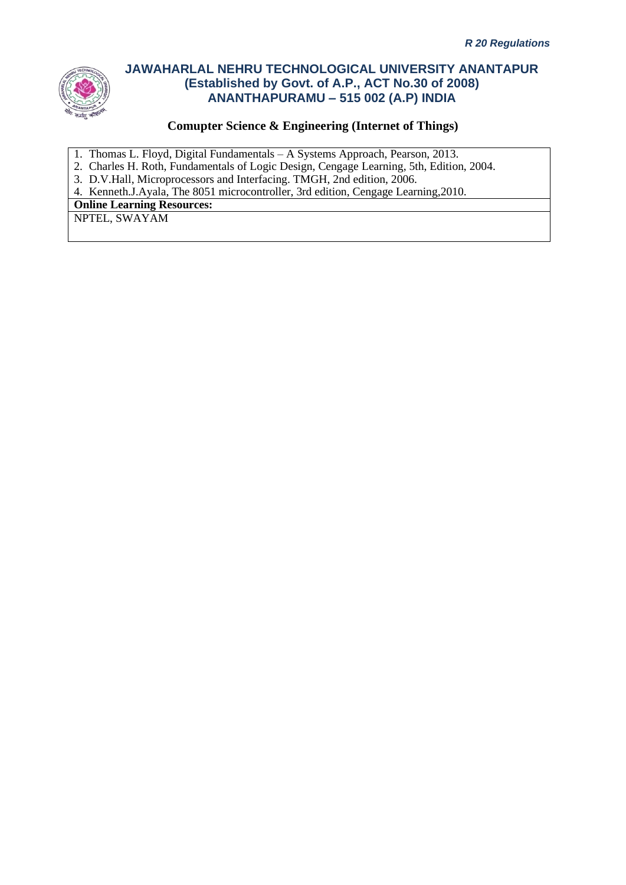

### **Comupter Science & Engineering (Internet of Things)**

- 1. Thomas L. Floyd, Digital Fundamentals A Systems Approach, Pearson, 2013.
- 2. Charles H. Roth, Fundamentals of Logic Design, Cengage Learning, 5th, Edition, 2004.
- 3. D.V.Hall, Microprocessors and Interfacing. TMGH, 2nd edition, 2006.

4. Kenneth.J.Ayala, The 8051 microcontroller, 3rd edition, Cengage Learning,2010.

**Online Learning Resources:**

NPTEL, SWAYAM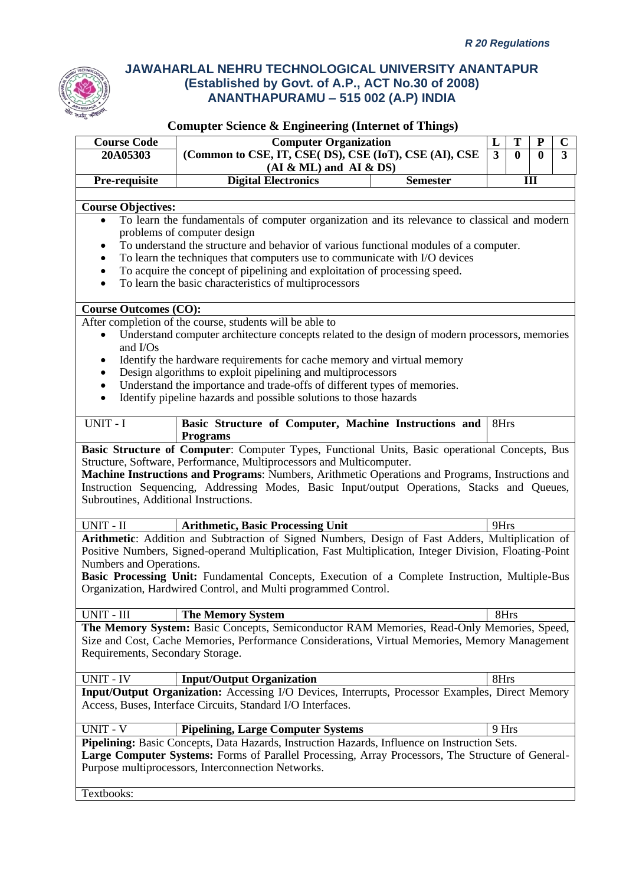

| <b>Course Code</b>                    | <b>Computer Organization</b>                                                                                                                                                                       |                 | T<br>L                         | ${\bf P}$        | $\mathbf C$    |
|---------------------------------------|----------------------------------------------------------------------------------------------------------------------------------------------------------------------------------------------------|-----------------|--------------------------------|------------------|----------------|
| 20A05303                              | (Common to CSE, IT, CSE( DS), CSE (IoT), CSE (AI), CSE                                                                                                                                             |                 | $\overline{3}$<br>$\mathbf{0}$ | $\boldsymbol{0}$ | $\overline{3}$ |
|                                       | $(AI & ML)$ and $AI & DS)$                                                                                                                                                                         |                 |                                |                  |                |
| Pre-requisite                         | <b>Digital Electronics</b>                                                                                                                                                                         | <b>Semester</b> |                                | III              |                |
|                                       |                                                                                                                                                                                                    |                 |                                |                  |                |
| Course Objectives:                    |                                                                                                                                                                                                    |                 |                                |                  |                |
| $\bullet$                             | To learn the fundamentals of computer organization and its relevance to classical and modern                                                                                                       |                 |                                |                  |                |
|                                       | problems of computer design                                                                                                                                                                        |                 |                                |                  |                |
|                                       | To understand the structure and behavior of various functional modules of a computer.                                                                                                              |                 |                                |                  |                |
| $\bullet$<br>$\bullet$                | To learn the techniques that computers use to communicate with I/O devices<br>To acquire the concept of pipelining and exploitation of processing speed.                                           |                 |                                |                  |                |
| $\bullet$                             | To learn the basic characteristics of multiprocessors                                                                                                                                              |                 |                                |                  |                |
|                                       |                                                                                                                                                                                                    |                 |                                |                  |                |
| <b>Course Outcomes (CO):</b>          |                                                                                                                                                                                                    |                 |                                |                  |                |
|                                       | After completion of the course, students will be able to                                                                                                                                           |                 |                                |                  |                |
|                                       | Understand computer architecture concepts related to the design of modern processors, memories                                                                                                     |                 |                                |                  |                |
| and I/Os                              |                                                                                                                                                                                                    |                 |                                |                  |                |
| ٠                                     | Identify the hardware requirements for cache memory and virtual memory                                                                                                                             |                 |                                |                  |                |
| $\bullet$                             | Design algorithms to exploit pipelining and multiprocessors                                                                                                                                        |                 |                                |                  |                |
| $\bullet$                             | Understand the importance and trade-offs of different types of memories.                                                                                                                           |                 |                                |                  |                |
| $\bullet$                             | Identify pipeline hazards and possible solutions to those hazards                                                                                                                                  |                 |                                |                  |                |
|                                       |                                                                                                                                                                                                    |                 | 8Hrs                           |                  |                |
| UNIT - I                              | Basic Structure of Computer, Machine Instructions and<br><b>Programs</b>                                                                                                                           |                 |                                |                  |                |
|                                       | Basic Structure of Computer: Computer Types, Functional Units, Basic operational Concepts, Bus                                                                                                     |                 |                                |                  |                |
|                                       | Structure, Software, Performance, Multiprocessors and Multicomputer.                                                                                                                               |                 |                                |                  |                |
|                                       | Machine Instructions and Programs: Numbers, Arithmetic Operations and Programs, Instructions and                                                                                                   |                 |                                |                  |                |
|                                       | Instruction Sequencing, Addressing Modes, Basic Input/output Operations, Stacks and Queues,                                                                                                        |                 |                                |                  |                |
| Subroutines, Additional Instructions. |                                                                                                                                                                                                    |                 |                                |                  |                |
|                                       |                                                                                                                                                                                                    |                 |                                |                  |                |
| UNIT - II                             | <b>Arithmetic, Basic Processing Unit</b>                                                                                                                                                           |                 | 9Hrs                           |                  |                |
|                                       | Arithmetic: Addition and Subtraction of Signed Numbers, Design of Fast Adders, Multiplication of                                                                                                   |                 |                                |                  |                |
|                                       | Positive Numbers, Signed-operand Multiplication, Fast Multiplication, Integer Division, Floating-Point                                                                                             |                 |                                |                  |                |
| Numbers and Operations.               |                                                                                                                                                                                                    |                 |                                |                  |                |
|                                       | Basic Processing Unit: Fundamental Concepts, Execution of a Complete Instruction, Multiple-Bus<br>Organization, Hardwired Control, and Multi programmed Control.                                   |                 |                                |                  |                |
|                                       |                                                                                                                                                                                                    |                 |                                |                  |                |
| UNIT - III                            | <b>The Memory System</b>                                                                                                                                                                           |                 | 8Hrs                           |                  |                |
|                                       | The Memory System: Basic Concepts, Semiconductor RAM Memories, Read-Only Memories, Speed,                                                                                                          |                 |                                |                  |                |
|                                       | Size and Cost, Cache Memories, Performance Considerations, Virtual Memories, Memory Management                                                                                                     |                 |                                |                  |                |
| Requirements, Secondary Storage.      |                                                                                                                                                                                                    |                 |                                |                  |                |
|                                       |                                                                                                                                                                                                    |                 |                                |                  |                |
| <b>UNIT - IV</b>                      | <b>Input/Output Organization</b>                                                                                                                                                                   |                 | 8Hrs                           |                  |                |
|                                       | Input/Output Organization: Accessing I/O Devices, Interrupts, Processor Examples, Direct Memory                                                                                                    |                 |                                |                  |                |
|                                       | Access, Buses, Interface Circuits, Standard I/O Interfaces.                                                                                                                                        |                 |                                |                  |                |
|                                       |                                                                                                                                                                                                    |                 |                                |                  |                |
| <b>UNIT - V</b>                       | <b>Pipelining, Large Computer Systems</b>                                                                                                                                                          |                 | 9 Hrs                          |                  |                |
|                                       | Pipelining: Basic Concepts, Data Hazards, Instruction Hazards, Influence on Instruction Sets.<br>Large Computer Systems: Forms of Parallel Processing, Array Processors, The Structure of General- |                 |                                |                  |                |
|                                       | Purpose multiprocessors, Interconnection Networks.                                                                                                                                                 |                 |                                |                  |                |
|                                       |                                                                                                                                                                                                    |                 |                                |                  |                |
| Textbooks:                            |                                                                                                                                                                                                    |                 |                                |                  |                |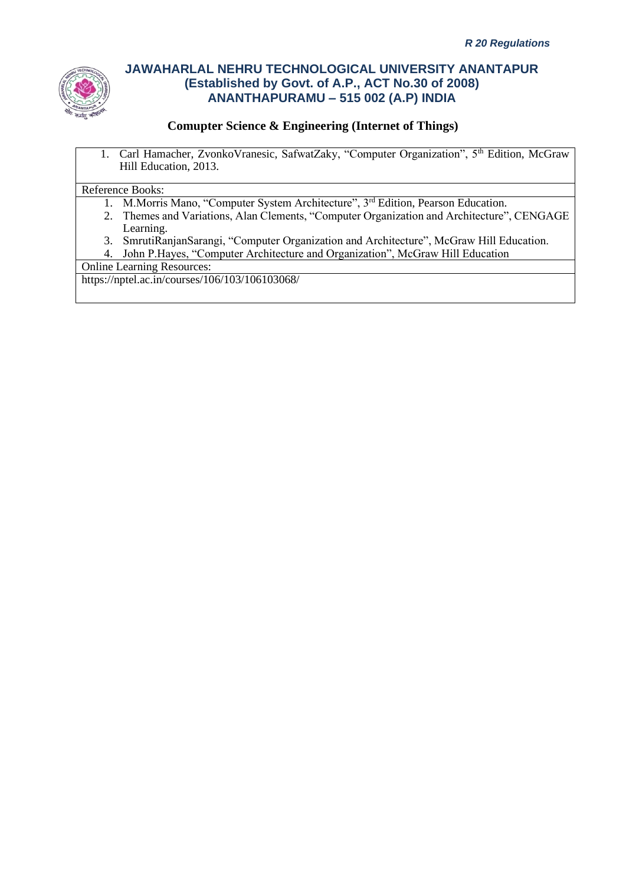

### **Comupter Science & Engineering (Internet of Things)**

1. Carl Hamacher, ZvonkoVranesic, SafwatZaky, "Computer Organization", 5<sup>th</sup> Edition, McGraw Hill Education, 2013.

#### Reference Books:

- 1. M.Morris Mano, "Computer System Architecture", 3<sup>rd</sup> Edition, Pearson Education.
- 2. Themes and Variations, Alan Clements, "Computer Organization and Architecture", CENGAGE Learning.
- 3. SmrutiRanjanSarangi, "Computer Organization and Architecture", McGraw Hill Education.
- 4. John P.Hayes, "Computer Architecture and Organization", McGraw Hill Education

### Online Learning Resources:

https://nptel.ac.in/courses/106/103/106103068/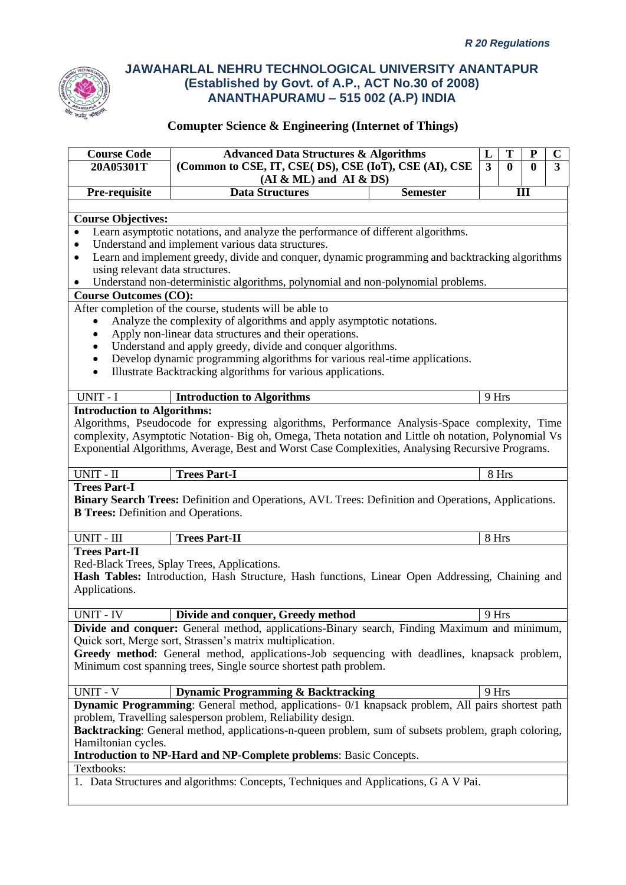

| <b>Course Code</b>                         | <b>Advanced Data Structures &amp; Algorithms</b>                                                                                          |                                                                                                                 | L     | T     | P   | $\mathbf C$ |  |  |
|--------------------------------------------|-------------------------------------------------------------------------------------------------------------------------------------------|-----------------------------------------------------------------------------------------------------------------|-------|-------|-----|-------------|--|--|
| 20A05301T                                  |                                                                                                                                           | $\overline{3}$<br>$\overline{3}$<br>(Common to CSE, IT, CSE( DS), CSE (IoT), CSE (AI), CSE<br>$\mathbf{0}$<br>0 |       |       |     |             |  |  |
|                                            | $(AI & ML)$ and $AI & DS)$                                                                                                                |                                                                                                                 |       |       |     |             |  |  |
| Pre-requisite                              | <b>Data Structures</b>                                                                                                                    | <b>Semester</b>                                                                                                 |       |       | III |             |  |  |
|                                            |                                                                                                                                           |                                                                                                                 |       |       |     |             |  |  |
| <b>Course Objectives:</b>                  |                                                                                                                                           |                                                                                                                 |       |       |     |             |  |  |
| $\bullet$                                  | Learn asymptotic notations, and analyze the performance of different algorithms.                                                          |                                                                                                                 |       |       |     |             |  |  |
| ٠                                          | Understand and implement various data structures.                                                                                         |                                                                                                                 |       |       |     |             |  |  |
| ٠                                          | Learn and implement greedy, divide and conquer, dynamic programming and backtracking algorithms                                           |                                                                                                                 |       |       |     |             |  |  |
| using relevant data structures.            |                                                                                                                                           |                                                                                                                 |       |       |     |             |  |  |
|                                            | Understand non-deterministic algorithms, polynomial and non-polynomial problems.                                                          |                                                                                                                 |       |       |     |             |  |  |
| <b>Course Outcomes (CO):</b>               |                                                                                                                                           |                                                                                                                 |       |       |     |             |  |  |
|                                            | After completion of the course, students will be able to                                                                                  |                                                                                                                 |       |       |     |             |  |  |
| $\bullet$                                  | Analyze the complexity of algorithms and apply asymptotic notations.                                                                      |                                                                                                                 |       |       |     |             |  |  |
|                                            | Apply non-linear data structures and their operations.                                                                                    |                                                                                                                 |       |       |     |             |  |  |
|                                            | Understand and apply greedy, divide and conquer algorithms.<br>Develop dynamic programming algorithms for various real-time applications. |                                                                                                                 |       |       |     |             |  |  |
| $\bullet$                                  | Illustrate Backtracking algorithms for various applications.                                                                              |                                                                                                                 |       |       |     |             |  |  |
|                                            |                                                                                                                                           |                                                                                                                 |       |       |     |             |  |  |
| UNIT - I                                   | <b>Introduction to Algorithms</b>                                                                                                         |                                                                                                                 | 9 Hrs |       |     |             |  |  |
| <b>Introduction to Algorithms:</b>         |                                                                                                                                           |                                                                                                                 |       |       |     |             |  |  |
|                                            | Algorithms, Pseudocode for expressing algorithms, Performance Analysis-Space complexity, Time                                             |                                                                                                                 |       |       |     |             |  |  |
|                                            | complexity, Asymptotic Notation- Big oh, Omega, Theta notation and Little oh notation, Polynomial Vs                                      |                                                                                                                 |       |       |     |             |  |  |
|                                            | Exponential Algorithms, Average, Best and Worst Case Complexities, Analysing Recursive Programs.                                          |                                                                                                                 |       |       |     |             |  |  |
|                                            |                                                                                                                                           |                                                                                                                 |       |       |     |             |  |  |
| UNIT - II                                  | <b>Trees Part-I</b>                                                                                                                       |                                                                                                                 |       | 8 Hrs |     |             |  |  |
| <b>Trees Part-I</b>                        |                                                                                                                                           |                                                                                                                 |       |       |     |             |  |  |
|                                            | Binary Search Trees: Definition and Operations, AVL Trees: Definition and Operations, Applications.                                       |                                                                                                                 |       |       |     |             |  |  |
| <b>B Trees:</b> Definition and Operations. |                                                                                                                                           |                                                                                                                 |       |       |     |             |  |  |
| UNIT - III                                 | <b>Trees Part-II</b>                                                                                                                      |                                                                                                                 | 8 Hrs |       |     |             |  |  |
| <b>Trees Part-II</b>                       |                                                                                                                                           |                                                                                                                 |       |       |     |             |  |  |
|                                            | Red-Black Trees, Splay Trees, Applications.                                                                                               |                                                                                                                 |       |       |     |             |  |  |
|                                            | Hash Tables: Introduction, Hash Structure, Hash functions, Linear Open Addressing, Chaining and                                           |                                                                                                                 |       |       |     |             |  |  |
| Applications.                              |                                                                                                                                           |                                                                                                                 |       |       |     |             |  |  |
|                                            |                                                                                                                                           |                                                                                                                 |       |       |     |             |  |  |
| $\overline{\text{UNIT - IV}}$              | Divide and conquer, Greedy method                                                                                                         |                                                                                                                 | 9 Hrs |       |     |             |  |  |
|                                            | Divide and conquer: General method, applications-Binary search, Finding Maximum and minimum,                                              |                                                                                                                 |       |       |     |             |  |  |
|                                            | Quick sort, Merge sort, Strassen's matrix multiplication.                                                                                 |                                                                                                                 |       |       |     |             |  |  |
|                                            | Greedy method: General method, applications-Job sequencing with deadlines, knapsack problem,                                              |                                                                                                                 |       |       |     |             |  |  |
|                                            | Minimum cost spanning trees, Single source shortest path problem.                                                                         |                                                                                                                 |       |       |     |             |  |  |
|                                            |                                                                                                                                           |                                                                                                                 |       |       |     |             |  |  |
| <b>UNIT - V</b>                            | <b>Dynamic Programming &amp; Backtracking</b>                                                                                             |                                                                                                                 | 9 Hrs |       |     |             |  |  |
|                                            | Dynamic Programming: General method, applications- 0/1 knapsack problem, All pairs shortest path                                          |                                                                                                                 |       |       |     |             |  |  |
|                                            | problem, Travelling salesperson problem, Reliability design.                                                                              |                                                                                                                 |       |       |     |             |  |  |
|                                            | Backtracking: General method, applications-n-queen problem, sum of subsets problem, graph coloring,                                       |                                                                                                                 |       |       |     |             |  |  |
| Hamiltonian cycles.                        |                                                                                                                                           |                                                                                                                 |       |       |     |             |  |  |
|                                            | <b>Introduction to NP-Hard and NP-Complete problems: Basic Concepts.</b>                                                                  |                                                                                                                 |       |       |     |             |  |  |
| Textbooks:                                 | 1. Data Structures and algorithms: Concepts, Techniques and Applications, G A V Pai.                                                      |                                                                                                                 |       |       |     |             |  |  |
|                                            |                                                                                                                                           |                                                                                                                 |       |       |     |             |  |  |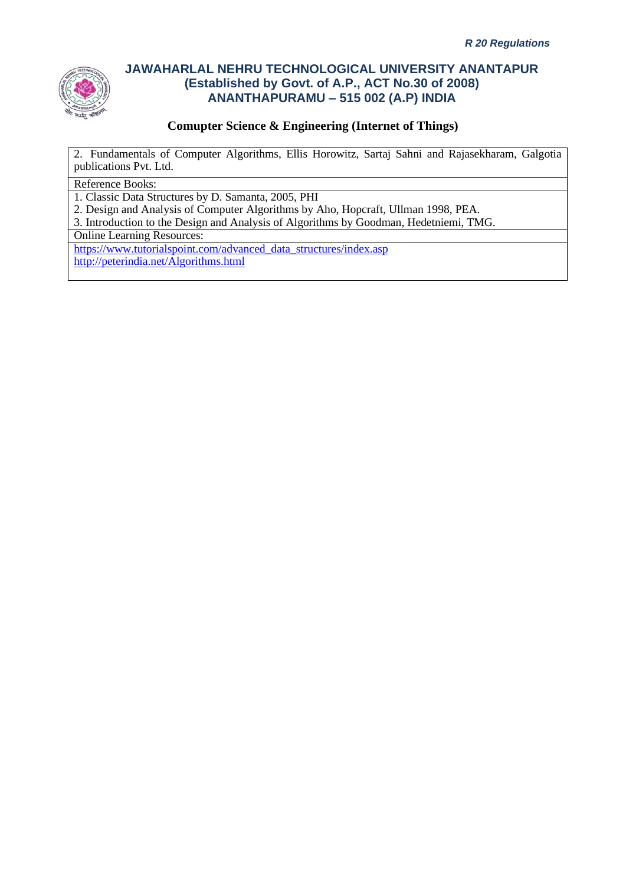

### **Comupter Science & Engineering (Internet of Things)**

2. Fundamentals of Computer Algorithms, Ellis Horowitz, Sartaj Sahni and Rajasekharam, Galgotia publications Pvt. Ltd.

#### Reference Books:

1. Classic Data Structures by D. Samanta, 2005, PHI

2. Design and Analysis of Computer Algorithms by Aho, Hopcraft, Ullman 1998, PEA.

3. Introduction to the Design and Analysis of Algorithms by Goodman, Hedetniemi, TMG.

Online Learning Resources:

[https://www.tutorialspoint.com/advanced\\_data\\_structures/index.asp](https://www.tutorialspoint.com/advanced_data_structures/index.asp) <http://peterindia.net/Algorithms.html>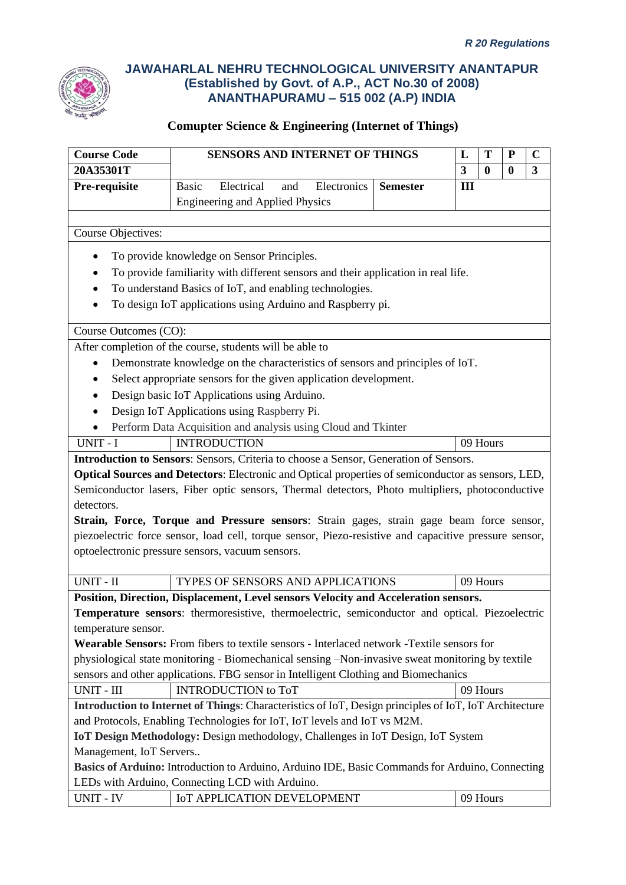

| <b>Course Code</b>        | <b>SENSORS AND INTERNET OF THINGS</b>                                                                  |                 | L   | T        | ${\bf P}$ | $\mathbf C$  |
|---------------------------|--------------------------------------------------------------------------------------------------------|-----------------|-----|----------|-----------|--------------|
| 20A35301T                 |                                                                                                        |                 | 3   | $\bf{0}$ | $\bf{0}$  | $\mathbf{3}$ |
| Pre-requisite             | Electrical<br><b>Basic</b><br>Electronics<br>and                                                       | <b>Semester</b> | III |          |           |              |
|                           | <b>Engineering and Applied Physics</b>                                                                 |                 |     |          |           |              |
|                           |                                                                                                        |                 |     |          |           |              |
| <b>Course Objectives:</b> |                                                                                                        |                 |     |          |           |              |
|                           | To provide knowledge on Sensor Principles.                                                             |                 |     |          |           |              |
|                           | To provide familiarity with different sensors and their application in real life.                      |                 |     |          |           |              |
|                           | To understand Basics of IoT, and enabling technologies.                                                |                 |     |          |           |              |
|                           | To design IoT applications using Arduino and Raspberry pi.                                             |                 |     |          |           |              |
|                           |                                                                                                        |                 |     |          |           |              |
| Course Outcomes (CO):     |                                                                                                        |                 |     |          |           |              |
|                           | After completion of the course, students will be able to                                               |                 |     |          |           |              |
| $\bullet$                 | Demonstrate knowledge on the characteristics of sensors and principles of IoT.                         |                 |     |          |           |              |
|                           | Select appropriate sensors for the given application development.                                      |                 |     |          |           |              |
| $\bullet$                 | Design basic IoT Applications using Arduino.                                                           |                 |     |          |           |              |
|                           | Design IoT Applications using Raspberry Pi.                                                            |                 |     |          |           |              |
|                           | Perform Data Acquisition and analysis using Cloud and Tkinter                                          |                 |     |          |           |              |
| UNIT - I                  | <b>INTRODUCTION</b>                                                                                    |                 |     | 09 Hours |           |              |
|                           | Introduction to Sensors: Sensors, Criteria to choose a Sensor, Generation of Sensors.                  |                 |     |          |           |              |
|                           | Optical Sources and Detectors: Electronic and Optical properties of semiconductor as sensors, LED,     |                 |     |          |           |              |
|                           | Semiconductor lasers, Fiber optic sensors, Thermal detectors, Photo multipliers, photoconductive       |                 |     |          |           |              |
| detectors.                |                                                                                                        |                 |     |          |           |              |
|                           | Strain, Force, Torque and Pressure sensors: Strain gages, strain gage beam force sensor,               |                 |     |          |           |              |
|                           | piezoelectric force sensor, load cell, torque sensor, Piezo-resistive and capacitive pressure sensor,  |                 |     |          |           |              |
|                           | optoelectronic pressure sensors, vacuum sensors.                                                       |                 |     |          |           |              |
| UNIT - II                 |                                                                                                        |                 |     |          |           |              |
|                           | TYPES OF SENSORS AND APPLICATIONS                                                                      |                 |     | 09 Hours |           |              |
|                           | Position, Direction, Displacement, Level sensors Velocity and Acceleration sensors.                    |                 |     |          |           |              |
|                           | <b>Temperature sensors:</b> thermoresistive, thermoelectric, semiconductor and optical. Piezoelectric  |                 |     |          |           |              |
| temperature sensor.       |                                                                                                        |                 |     |          |           |              |
|                           | <b>Wearable Sensors:</b> From fibers to textile sensors - Interlaced network -Textile sensors for      |                 |     |          |           |              |
|                           | physiological state monitoring - Biomechanical sensing -Non-invasive sweat monitoring by textile       |                 |     |          |           |              |
|                           | sensors and other applications. FBG sensor in Intelligent Clothing and Biomechanics                    |                 |     |          |           |              |
| UNIT - III                | <b>INTRODUCTION</b> to ToT                                                                             |                 |     | 09 Hours |           |              |
|                           | Introduction to Internet of Things: Characteristics of IoT, Design principles of IoT, IoT Architecture |                 |     |          |           |              |
|                           | and Protocols, Enabling Technologies for IoT, IoT levels and IoT vs M2M.                               |                 |     |          |           |              |
| Management, IoT Servers   | IoT Design Methodology: Design methodology, Challenges in IoT Design, IoT System                       |                 |     |          |           |              |
|                           | Basics of Arduino: Introduction to Arduino, Arduino IDE, Basic Commands for Arduino, Connecting        |                 |     |          |           |              |
|                           | LEDs with Arduino, Connecting LCD with Arduino.                                                        |                 |     |          |           |              |
| <b>UNIT - IV</b>          | IoT APPLICATION DEVELOPMENT                                                                            |                 |     | 09 Hours |           |              |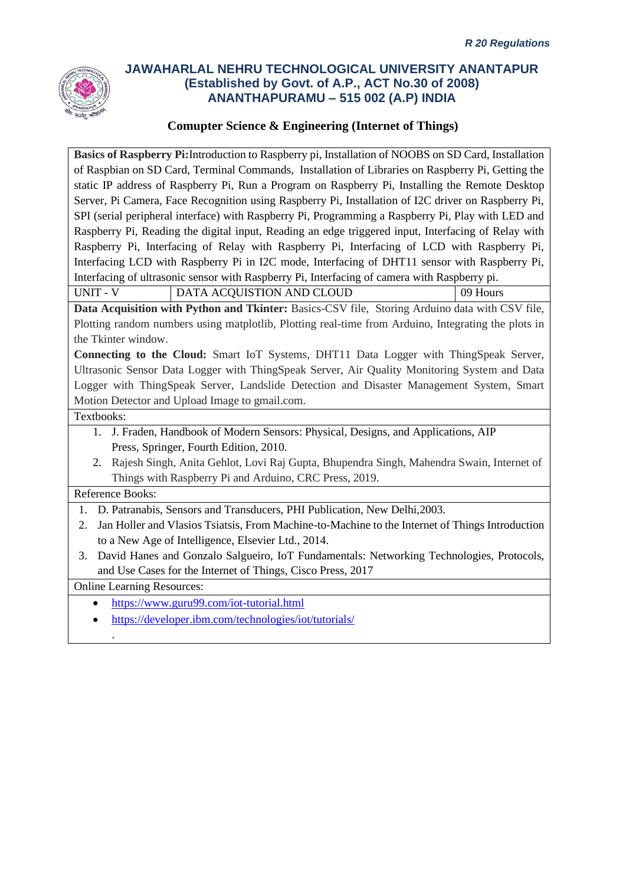

### **Comupter Science & Engineering (Internet of Things)**

**Basics of Raspberry Pi:**Introduction to Raspberry pi, Installation of NOOBS on SD Card, Installation of Raspbian on SD Card, Terminal Commands, Installation of Libraries on Raspberry Pi, Getting the static IP address of Raspberry Pi, Run a Program on Raspberry Pi, Installing the Remote Desktop Server, Pi Camera, Face Recognition using Raspberry Pi, Installation of I2C driver on Raspberry Pi, SPI (serial peripheral interface) with Raspberry Pi, Programming a Raspberry Pi, Play with LED and Raspberry Pi, Reading the digital input, Reading an edge triggered input, Interfacing of Relay with Raspberry Pi, Interfacing of Relay with Raspberry Pi, Interfacing of LCD with Raspberry Pi, Interfacing LCD with Raspberry Pi in I2C mode, Interfacing of DHT11 sensor with Raspberry Pi, Interfacing of ultrasonic sensor with Raspberry Pi, Interfacing of camera with Raspberry pi.

UNIT - V DATA ACQUISTION AND CLOUD 09 Hours

**Data Acquisition with Python and Tkinter:** Basics-CSV file, Storing Arduino data with CSV file, Plotting random numbers using matplotlib, Plotting real-time from Arduino, Integrating the plots in the Tkinter window.

**Connecting to the Cloud:** Smart IoT Systems, DHT11 Data Logger with ThingSpeak Server, Ultrasonic Sensor Data Logger with ThingSpeak Server, Air Quality Monitoring System and Data Logger with ThingSpeak Server, Landslide Detection and Disaster Management System, Smart Motion Detector and Upload Image to gmail.com.

Textbooks:

- 1. J. Fraden, Handbook of Modern Sensors: Physical, Designs, and Applications, AIP Press, Springer, Fourth Edition, 2010.
- 2. [Rajesh Singh,](https://www.routledge.com/search?author=Rajesh%20Singh) [Anita Gehlot,](https://www.routledge.com/search?author=Anita%20Gehlot) [Lovi Raj Gupta,](https://www.routledge.com/search?author=Lovi%20Raj%20Gupta) [Bhupendra Singh,](https://www.routledge.com/search?author=Bhupendra%20Singh) [Mahendra Swain,](https://www.routledge.com/search?author=Mahendra%20Swain) Internet of Things with Raspberry Pi and Arduino, CRC Press, 2019.

### Reference Books:

.

- 1. D. Patranabis, Sensors and Transducers, PHI Publication, New Delhi,2003.
- 2. Jan Holler and Vlasios Tsiatsis, From Machine-to-Machine to the Internet of Things Introduction to a New Age of Intelligence, Elsevier Ltd., 2014.
- 3. David Hanes and Gonzalo Salgueiro, IoT Fundamentals: Networking Technologies, Protocols, and Use Cases for the Internet of Things, Cisco Press, 2017

Online Learning Resources:

- <https://www.guru99.com/iot-tutorial.html>
- <https://developer.ibm.com/technologies/iot/tutorials/>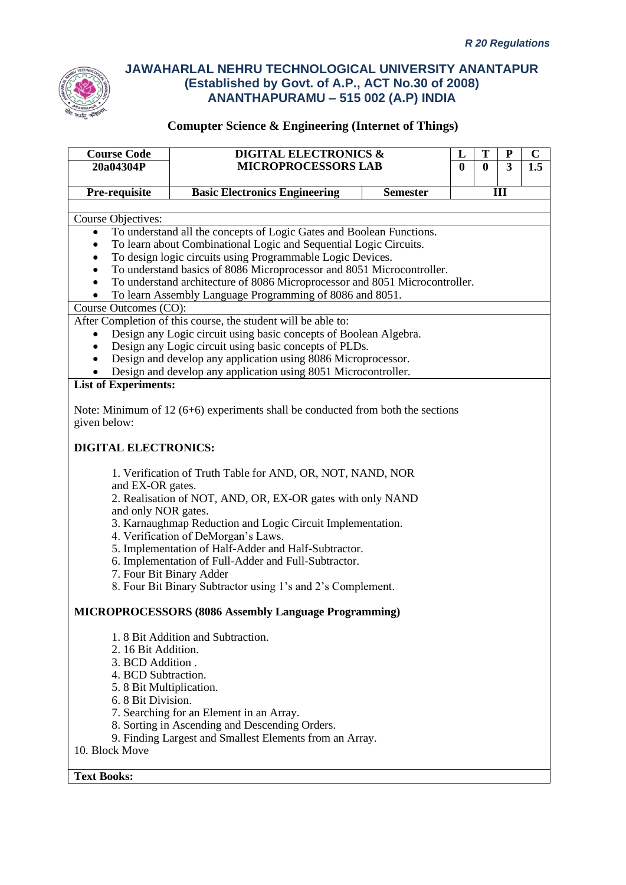

| <b>Course Code</b><br>20a04304P                                                                                                    | <b>DIGITAL ELECTRONICS &amp;</b><br><b>MICROPROCESSORS LAB</b>                                                                                                                                                                                                                        |                 | L<br>$\bf{0}$ | T<br>$\bf{0}$ | ${\bf P}$<br>$\overline{\mathbf{3}}$ | $\mathbf C$<br>1.5 |
|------------------------------------------------------------------------------------------------------------------------------------|---------------------------------------------------------------------------------------------------------------------------------------------------------------------------------------------------------------------------------------------------------------------------------------|-----------------|---------------|---------------|--------------------------------------|--------------------|
|                                                                                                                                    |                                                                                                                                                                                                                                                                                       |                 |               |               |                                      |                    |
| Pre-requisite                                                                                                                      | <b>Basic Electronics Engineering</b>                                                                                                                                                                                                                                                  | <b>Semester</b> |               |               | Ш                                    |                    |
|                                                                                                                                    |                                                                                                                                                                                                                                                                                       |                 |               |               |                                      |                    |
| Course Objectives:                                                                                                                 | To understand all the concepts of Logic Gates and Boolean Functions.                                                                                                                                                                                                                  |                 |               |               |                                      |                    |
|                                                                                                                                    | To learn about Combinational Logic and Sequential Logic Circuits.                                                                                                                                                                                                                     |                 |               |               |                                      |                    |
|                                                                                                                                    | To design logic circuits using Programmable Logic Devices.                                                                                                                                                                                                                            |                 |               |               |                                      |                    |
|                                                                                                                                    | To understand basics of 8086 Microprocessor and 8051 Microcontroller.                                                                                                                                                                                                                 |                 |               |               |                                      |                    |
|                                                                                                                                    | To understand architecture of 8086 Microprocessor and 8051 Microcontroller.                                                                                                                                                                                                           |                 |               |               |                                      |                    |
|                                                                                                                                    | To learn Assembly Language Programming of 8086 and 8051.                                                                                                                                                                                                                              |                 |               |               |                                      |                    |
| Course Outcomes (CO):                                                                                                              |                                                                                                                                                                                                                                                                                       |                 |               |               |                                      |                    |
|                                                                                                                                    | After Completion of this course, the student will be able to:                                                                                                                                                                                                                         |                 |               |               |                                      |                    |
|                                                                                                                                    | Design any Logic circuit using basic concepts of Boolean Algebra.                                                                                                                                                                                                                     |                 |               |               |                                      |                    |
|                                                                                                                                    | Design any Logic circuit using basic concepts of PLDs.<br>Design and develop any application using 8086 Microprocessor.                                                                                                                                                               |                 |               |               |                                      |                    |
|                                                                                                                                    | Design and develop any application using 8051 Microcontroller.                                                                                                                                                                                                                        |                 |               |               |                                      |                    |
| <b>List of Experiments:</b>                                                                                                        |                                                                                                                                                                                                                                                                                       |                 |               |               |                                      |                    |
|                                                                                                                                    |                                                                                                                                                                                                                                                                                       |                 |               |               |                                      |                    |
|                                                                                                                                    | Note: Minimum of $12(6+6)$ experiments shall be conducted from both the sections                                                                                                                                                                                                      |                 |               |               |                                      |                    |
| given below:                                                                                                                       |                                                                                                                                                                                                                                                                                       |                 |               |               |                                      |                    |
| <b>DIGITAL ELECTRONICS:</b><br>and EX-OR gates.<br>and only NOR gates.                                                             | 1. Verification of Truth Table for AND, OR, NOT, NAND, NOR<br>2. Realisation of NOT, AND, OR, EX-OR gates with only NAND<br>3. Karnaughmap Reduction and Logic Circuit Implementation.<br>4. Verification of DeMorgan's Laws.<br>5. Implementation of Half-Adder and Half-Subtractor. |                 |               |               |                                      |                    |
|                                                                                                                                    | 6. Implementation of Full-Adder and Full-Subtractor.                                                                                                                                                                                                                                  |                 |               |               |                                      |                    |
|                                                                                                                                    | 7. Four Bit Binary Adder<br>8. Four Bit Binary Subtractor using 1's and 2's Complement.                                                                                                                                                                                               |                 |               |               |                                      |                    |
|                                                                                                                                    |                                                                                                                                                                                                                                                                                       |                 |               |               |                                      |                    |
|                                                                                                                                    | MICROPROCESSORS (8086 Assembly Language Programming)                                                                                                                                                                                                                                  |                 |               |               |                                      |                    |
| 2. 16 Bit Addition.<br>3. BCD Addition.<br>4. BCD Subtraction.<br>5. 8 Bit Multiplication.<br>6. 8 Bit Division.<br>10. Block Move | 1.8 Bit Addition and Subtraction.<br>7. Searching for an Element in an Array.<br>8. Sorting in Ascending and Descending Orders.<br>9. Finding Largest and Smallest Elements from an Array.                                                                                            |                 |               |               |                                      |                    |
| <b>Text Books:</b>                                                                                                                 |                                                                                                                                                                                                                                                                                       |                 |               |               |                                      |                    |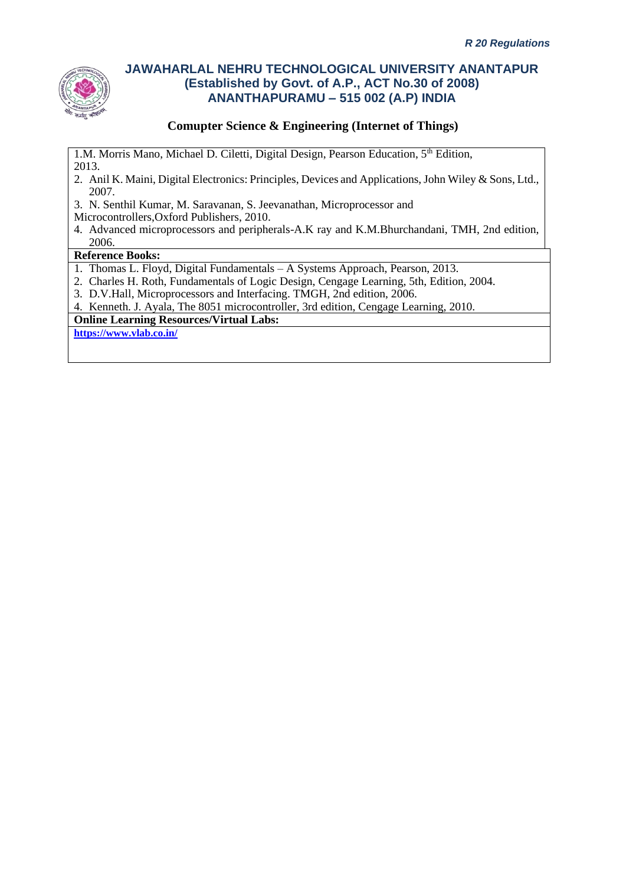

## **Comupter Science & Engineering (Internet of Things)**

1.M. Morris Mano, Michael D. Ciletti, Digital Design, Pearson Education, 5<sup>th</sup> Edition, 2013.

- 2. Anil K. Maini, Digital Electronics: Principles, Devices and Applications, John Wiley & Sons, Ltd., 2007.
- 3. N. Senthil Kumar, M. Saravanan, S. Jeevanathan, Microprocessor and
- Microcontrollers,Oxford Publishers, 2010.
- 4. Advanced microprocessors and peripherals-A.K ray and K.M.Bhurchandani, TMH, 2nd edition, 2006.

#### **Reference Books:**

- 1. Thomas L. Floyd, Digital Fundamentals A Systems Approach, Pearson, 2013.
- 2. Charles H. Roth, Fundamentals of Logic Design, Cengage Learning, 5th, Edition, 2004.
- 3. D.V.Hall, Microprocessors and Interfacing. TMGH, 2nd edition, 2006.

4. Kenneth. J. Ayala, The 8051 microcontroller, 3rd edition, Cengage Learning, 2010.

**Online Learning Resources/Virtual Labs:**

**<https://www.vlab.co.in/>**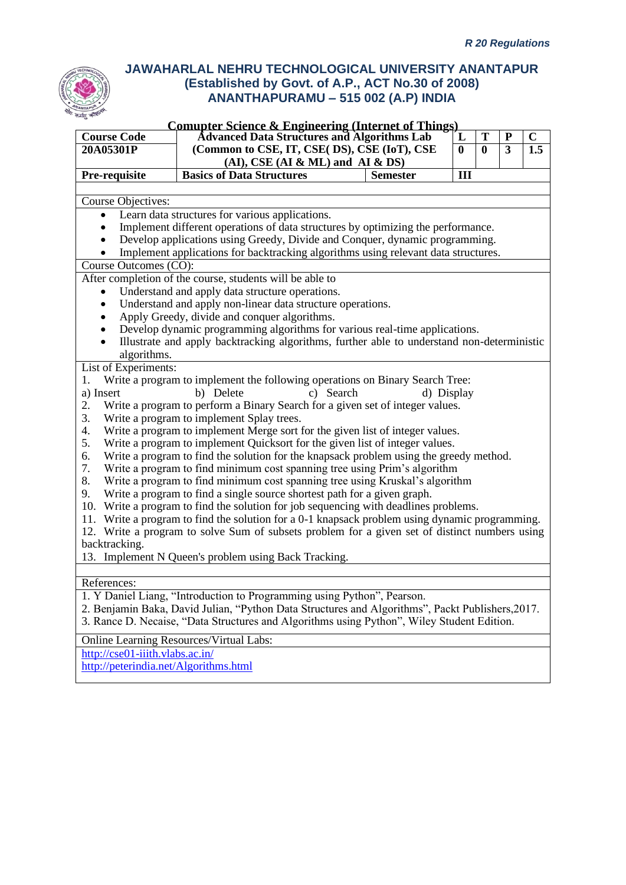|                                       | <b>Comupter Science &amp; Engineering (Internet of Things)</b>                                                                                           |                 |              |              |                         |                  |
|---------------------------------------|----------------------------------------------------------------------------------------------------------------------------------------------------------|-----------------|--------------|--------------|-------------------------|------------------|
| <b>Course Code</b>                    | <b>Advanced Data Structures and Algorithms Lab</b>                                                                                                       |                 | $\mathbf{L}$ | T            | ${\bf P}$               | $\mathbf C$      |
| 20A05301P                             | (Common to CSE, IT, CSE(DS), CSE (IoT), CSE                                                                                                              |                 | $\mathbf{0}$ | $\mathbf{0}$ | $\overline{\mathbf{3}}$ | $\overline{1.5}$ |
|                                       | $(AI)$ , CSE $(AI & ML)$ and $AI & DS$                                                                                                                   |                 |              |              |                         |                  |
| Pre-requisite                         | <b>Basics of Data Structures</b>                                                                                                                         | <b>Semester</b> | III          |              |                         |                  |
|                                       |                                                                                                                                                          |                 |              |              |                         |                  |
| Course Objectives:                    |                                                                                                                                                          |                 |              |              |                         |                  |
| $\bullet$                             | Learn data structures for various applications.                                                                                                          |                 |              |              |                         |                  |
| $\bullet$                             | Implement different operations of data structures by optimizing the performance.                                                                         |                 |              |              |                         |                  |
| $\bullet$                             | Develop applications using Greedy, Divide and Conquer, dynamic programming.                                                                              |                 |              |              |                         |                  |
|                                       | Implement applications for backtracking algorithms using relevant data structures.                                                                       |                 |              |              |                         |                  |
| Course Outcomes (CO):                 |                                                                                                                                                          |                 |              |              |                         |                  |
|                                       | After completion of the course, students will be able to                                                                                                 |                 |              |              |                         |                  |
|                                       | Understand and apply data structure operations.                                                                                                          |                 |              |              |                         |                  |
| $\bullet$                             | Understand and apply non-linear data structure operations.                                                                                               |                 |              |              |                         |                  |
| $\bullet$                             | Apply Greedy, divide and conquer algorithms.                                                                                                             |                 |              |              |                         |                  |
|                                       | Develop dynamic programming algorithms for various real-time applications.                                                                               |                 |              |              |                         |                  |
|                                       | Illustrate and apply backtracking algorithms, further able to understand non-deterministic                                                               |                 |              |              |                         |                  |
| algorithms.                           |                                                                                                                                                          |                 |              |              |                         |                  |
| List of Experiments:                  |                                                                                                                                                          |                 |              |              |                         |                  |
| 1.                                    | Write a program to implement the following operations on Binary Search Tree:                                                                             |                 |              |              |                         |                  |
| a) Insert                             | c) Search<br>b) Delete                                                                                                                                   | d) Display      |              |              |                         |                  |
| 2.                                    | Write a program to perform a Binary Search for a given set of integer values.                                                                            |                 |              |              |                         |                  |
| 3.                                    | Write a program to implement Splay trees.                                                                                                                |                 |              |              |                         |                  |
| 4.                                    | Write a program to implement Merge sort for the given list of integer values.                                                                            |                 |              |              |                         |                  |
| 5.                                    | Write a program to implement Quicksort for the given list of integer values.                                                                             |                 |              |              |                         |                  |
| 6.<br>7.                              | Write a program to find the solution for the knapsack problem using the greedy method.                                                                   |                 |              |              |                         |                  |
| 8.                                    | Write a program to find minimum cost spanning tree using Prim's algorithm                                                                                |                 |              |              |                         |                  |
| 9.                                    | Write a program to find minimum cost spanning tree using Kruskal's algorithm<br>Write a program to find a single source shortest path for a given graph. |                 |              |              |                         |                  |
|                                       | 10. Write a program to find the solution for job sequencing with deadlines problems.                                                                     |                 |              |              |                         |                  |
|                                       | 11. Write a program to find the solution for a 0-1 knapsack problem using dynamic programming.                                                           |                 |              |              |                         |                  |
|                                       | 12. Write a program to solve Sum of subsets problem for a given set of distinct numbers using                                                            |                 |              |              |                         |                  |
| backtracking.                         |                                                                                                                                                          |                 |              |              |                         |                  |
|                                       | 13. Implement N Queen's problem using Back Tracking.                                                                                                     |                 |              |              |                         |                  |
|                                       |                                                                                                                                                          |                 |              |              |                         |                  |
| References:                           |                                                                                                                                                          |                 |              |              |                         |                  |
|                                       | 1. Y Daniel Liang, "Introduction to Programming using Python", Pearson.                                                                                  |                 |              |              |                         |                  |
|                                       | 2. Benjamin Baka, David Julian, "Python Data Structures and Algorithms", Packt Publishers, 2017.                                                         |                 |              |              |                         |                  |
|                                       | 3. Rance D. Necaise, "Data Structures and Algorithms using Python", Wiley Student Edition.                                                               |                 |              |              |                         |                  |
|                                       |                                                                                                                                                          |                 |              |              |                         |                  |
|                                       | <b>Online Learning Resources/Virtual Labs:</b>                                                                                                           |                 |              |              |                         |                  |
| http://cse01-iiith.vlabs.ac.in/       |                                                                                                                                                          |                 |              |              |                         |                  |
| http://peterindia.net/Algorithms.html |                                                                                                                                                          |                 |              |              |                         |                  |
|                                       |                                                                                                                                                          |                 |              |              |                         |                  |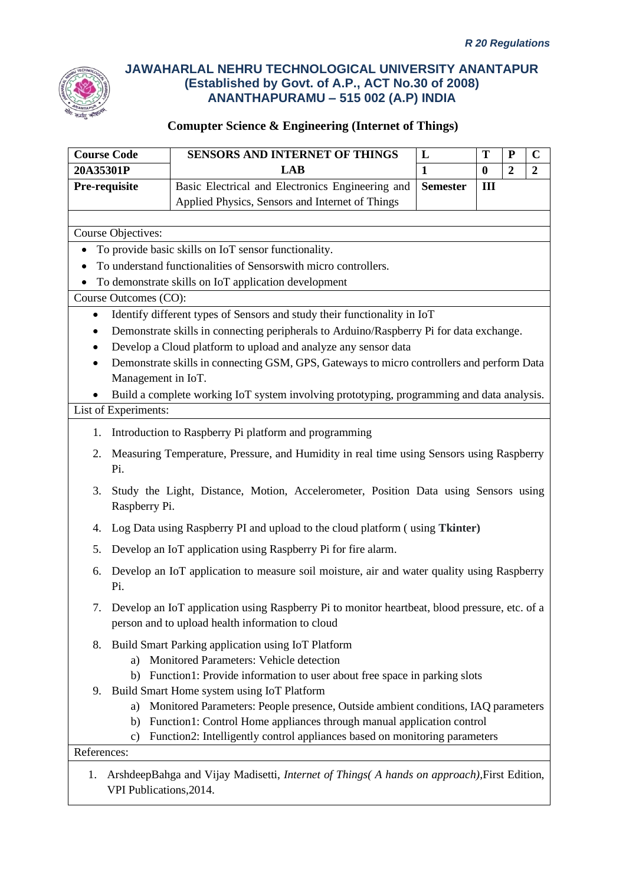

| <b>Course Code</b>        | SENSORS AND INTERNET OF THINGS                                                                                                                                            | L               | T        | ${\bf P}$      | $\mathbf C$      |
|---------------------------|---------------------------------------------------------------------------------------------------------------------------------------------------------------------------|-----------------|----------|----------------|------------------|
| 20A35301P                 | <b>LAB</b>                                                                                                                                                                | $\mathbf{1}$    | $\bf{0}$ | $\overline{2}$ | $\boldsymbol{2}$ |
| Pre-requisite             | Basic Electrical and Electronics Engineering and                                                                                                                          | <b>Semester</b> | Ш        |                |                  |
|                           | Applied Physics, Sensors and Internet of Things                                                                                                                           |                 |          |                |                  |
|                           |                                                                                                                                                                           |                 |          |                |                  |
| <b>Course Objectives:</b> |                                                                                                                                                                           |                 |          |                |                  |
|                           | To provide basic skills on IoT sensor functionality.                                                                                                                      |                 |          |                |                  |
|                           | To understand functionalities of Sensorswith micro controllers.                                                                                                           |                 |          |                |                  |
|                           | To demonstrate skills on IoT application development                                                                                                                      |                 |          |                |                  |
| Course Outcomes (CO):     |                                                                                                                                                                           |                 |          |                |                  |
|                           | Identify different types of Sensors and study their functionality in IoT                                                                                                  |                 |          |                |                  |
|                           | Demonstrate skills in connecting peripherals to Arduino/Raspberry Pi for data exchange.                                                                                   |                 |          |                |                  |
|                           | Develop a Cloud platform to upload and analyze any sensor data                                                                                                            |                 |          |                |                  |
| $\bullet$                 | Demonstrate skills in connecting GSM, GPS, Gateways to micro controllers and perform Data                                                                                 |                 |          |                |                  |
| Management in IoT.        |                                                                                                                                                                           |                 |          |                |                  |
| $\bullet$                 | Build a complete working IoT system involving prototyping, programming and data analysis.                                                                                 |                 |          |                |                  |
| List of Experiments:      |                                                                                                                                                                           |                 |          |                |                  |
| 1.                        | Introduction to Raspberry Pi platform and programming                                                                                                                     |                 |          |                |                  |
| 2.<br>Pi.                 | Measuring Temperature, Pressure, and Humidity in real time using Sensors using Raspberry                                                                                  |                 |          |                |                  |
| 3.<br>Raspberry Pi.       | Study the Light, Distance, Motion, Accelerometer, Position Data using Sensors using                                                                                       |                 |          |                |                  |
| 4.                        | Log Data using Raspberry PI and upload to the cloud platform (using Tkinter)                                                                                              |                 |          |                |                  |
| 5.                        | Develop an IoT application using Raspberry Pi for fire alarm.                                                                                                             |                 |          |                |                  |
| 6.<br>Pi.                 | Develop an IoT application to measure soil moisture, air and water quality using Raspberry                                                                                |                 |          |                |                  |
|                           | 7. Develop an IoT application using Raspberry Pi to monitor heartbeat, blood pressure, etc. of a<br>person and to upload health information to cloud                      |                 |          |                |                  |
| 8.<br>a)<br>b)            | Build Smart Parking application using IoT Platform<br>Monitored Parameters: Vehicle detection<br>Function1: Provide information to user about free space in parking slots |                 |          |                |                  |
| 9.                        | Build Smart Home system using IoT Platform                                                                                                                                |                 |          |                |                  |
| a)                        | Monitored Parameters: People presence, Outside ambient conditions, IAQ parameters                                                                                         |                 |          |                |                  |
| b)                        | Function1: Control Home appliances through manual application control                                                                                                     |                 |          |                |                  |
| c)                        | Function2: Intelligently control appliances based on monitoring parameters                                                                                                |                 |          |                |                  |
| References:               |                                                                                                                                                                           |                 |          |                |                  |
| 1.                        | ArshdeepBahga and Vijay Madisetti, Internet of Things( A hands on approach), First Edition,                                                                               |                 |          |                |                  |
| VPI Publications, 2014.   |                                                                                                                                                                           |                 |          |                |                  |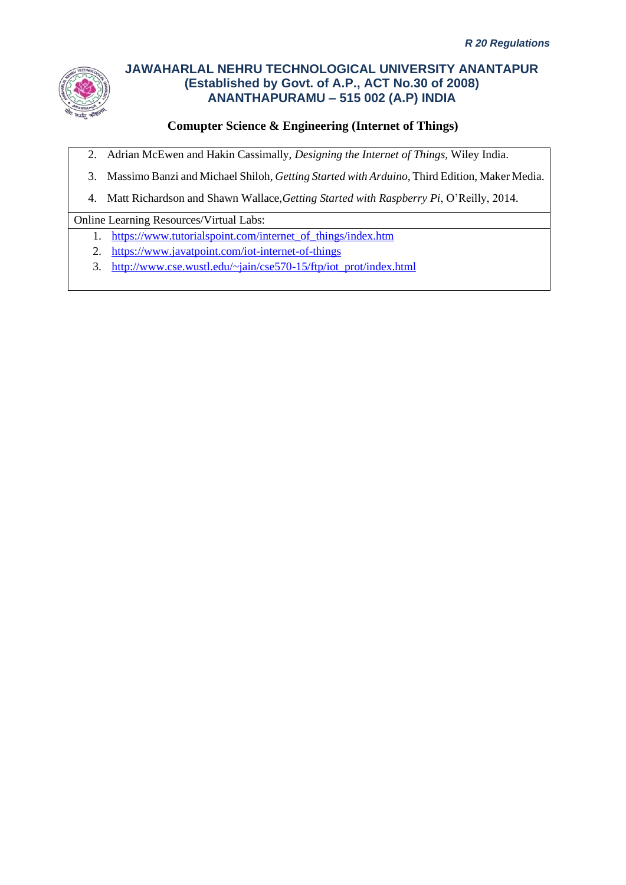

# **Comupter Science & Engineering (Internet of Things)**

- 2. Adrian McEwen and Hakin Cassimally, *Designing the Internet of Things,* Wiley India.
- 3. Massimo Banzi and Michael Shiloh*, Getting Started with Arduino*, Third Edition, Maker Media.
- 4. Matt Richardson and Shawn Wallace,*Getting Started with Raspberry Pi*, O'Reilly, 2014.

### Online Learning Resources/Virtual Labs:

- 1. [https://www.tutorialspoint.com/internet\\_of\\_things/index.htm](https://www.tutorialspoint.com/internet_of_things/index.htm)
- 2. <https://www.javatpoint.com/iot-internet-of-things>
- 3. [http://www.cse.wustl.edu/~jain/cse570-15/ftp/iot\\_prot/index.html](http://www.cse.wustl.edu/~jain/cse570-15/ftp/iot_prot/index.html)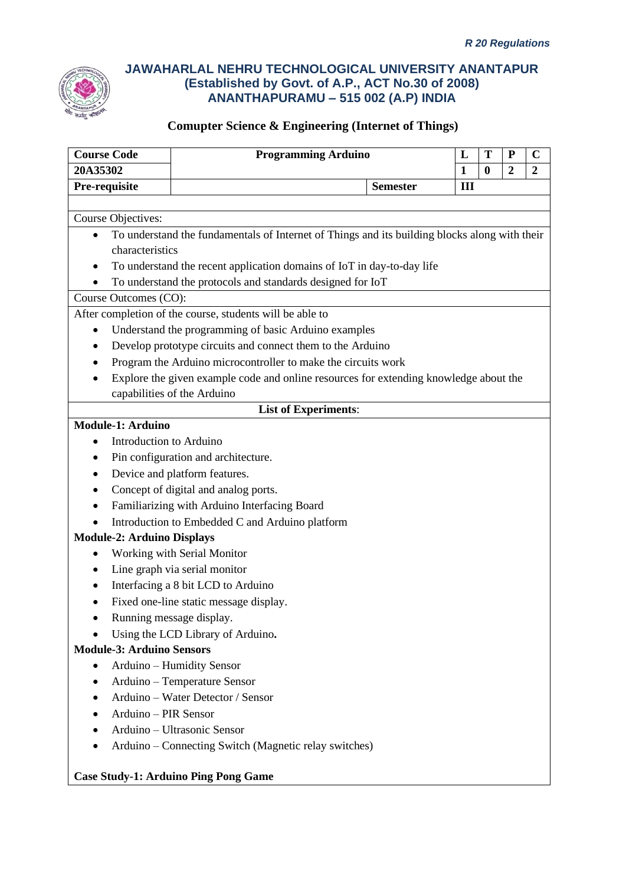

| <b>Course Code</b>                | <b>Programming Arduino</b>                                                                    |                 | L            | T        | ${\bf P}$        | $\mathbf C$      |
|-----------------------------------|-----------------------------------------------------------------------------------------------|-----------------|--------------|----------|------------------|------------------|
| 20A35302                          |                                                                                               |                 | $\mathbf{1}$ | $\bf{0}$ | $\boldsymbol{2}$ | $\boldsymbol{2}$ |
| Pre-requisite                     |                                                                                               | <b>Semester</b> | III          |          |                  |                  |
|                                   |                                                                                               |                 |              |          |                  |                  |
| Course Objectives:                |                                                                                               |                 |              |          |                  |                  |
| $\bullet$                         | To understand the fundamentals of Internet of Things and its building blocks along with their |                 |              |          |                  |                  |
| characteristics                   |                                                                                               |                 |              |          |                  |                  |
|                                   | To understand the recent application domains of IoT in day-to-day life                        |                 |              |          |                  |                  |
|                                   | To understand the protocols and standards designed for IoT                                    |                 |              |          |                  |                  |
| Course Outcomes (CO):             |                                                                                               |                 |              |          |                  |                  |
|                                   | After completion of the course, students will be able to                                      |                 |              |          |                  |                  |
| ٠                                 | Understand the programming of basic Arduino examples                                          |                 |              |          |                  |                  |
|                                   | Develop prototype circuits and connect them to the Arduino                                    |                 |              |          |                  |                  |
|                                   | Program the Arduino microcontroller to make the circuits work                                 |                 |              |          |                  |                  |
|                                   | Explore the given example code and online resources for extending knowledge about the         |                 |              |          |                  |                  |
|                                   | capabilities of the Arduino                                                                   |                 |              |          |                  |                  |
|                                   | <b>List of Experiments:</b>                                                                   |                 |              |          |                  |                  |
| <b>Module-1: Arduino</b>          |                                                                                               |                 |              |          |                  |                  |
| Introduction to Arduino           |                                                                                               |                 |              |          |                  |                  |
| $\bullet$                         | Pin configuration and architecture.                                                           |                 |              |          |                  |                  |
|                                   | Device and platform features.                                                                 |                 |              |          |                  |                  |
|                                   | Concept of digital and analog ports.                                                          |                 |              |          |                  |                  |
|                                   | Familiarizing with Arduino Interfacing Board                                                  |                 |              |          |                  |                  |
|                                   | Introduction to Embedded C and Arduino platform                                               |                 |              |          |                  |                  |
| <b>Module-2: Arduino Displays</b> |                                                                                               |                 |              |          |                  |                  |
|                                   | Working with Serial Monitor                                                                   |                 |              |          |                  |                  |
| $\bullet$                         | Line graph via serial monitor                                                                 |                 |              |          |                  |                  |
|                                   | Interfacing a 8 bit LCD to Arduino                                                            |                 |              |          |                  |                  |
|                                   | Fixed one-line static message display.                                                        |                 |              |          |                  |                  |
|                                   | Running message display.                                                                      |                 |              |          |                  |                  |
|                                   | Using the LCD Library of Arduino.                                                             |                 |              |          |                  |                  |
| <b>Module-3: Arduino Sensors</b>  |                                                                                               |                 |              |          |                  |                  |
|                                   | Arduino - Humidity Sensor                                                                     |                 |              |          |                  |                  |
|                                   | Arduino - Temperature Sensor                                                                  |                 |              |          |                  |                  |
|                                   | Arduino - Water Detector / Sensor                                                             |                 |              |          |                  |                  |
| Arduino - PIR Sensor              |                                                                                               |                 |              |          |                  |                  |
|                                   | Arduino - Ultrasonic Sensor                                                                   |                 |              |          |                  |                  |
|                                   | Arduino – Connecting Switch (Magnetic relay switches)                                         |                 |              |          |                  |                  |
|                                   |                                                                                               |                 |              |          |                  |                  |
|                                   | <b>Case Study-1: Arduino Ping Pong Game</b>                                                   |                 |              |          |                  |                  |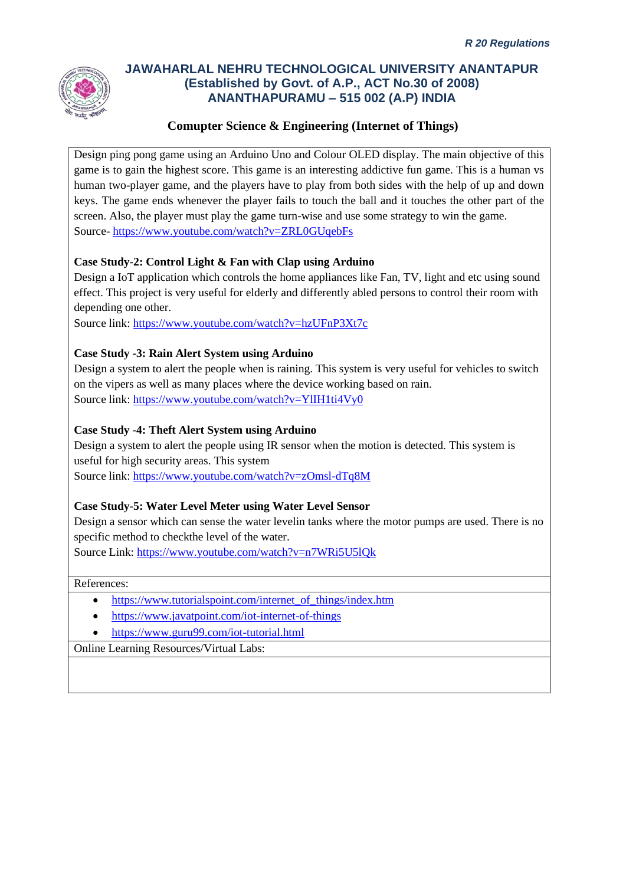

### **Comupter Science & Engineering (Internet of Things)**

Design ping pong game using an Arduino Uno and Colour OLED display. The main objective of this game is to gain the highest score. This game is an interesting addictive fun game. This is a human vs human two-player game, and the players have to play from both sides with the help of up and down keys. The game ends whenever the player fails to touch the ball and it touches the other part of the screen. Also, the player must play the game turn-wise and use some strategy to win the game. Source- <https://www.youtube.com/watch?v=ZRL0GUqebFs>

### **Case Study-2: Control Light & Fan with Clap using Arduino**

Design a IoT application which controls the home appliances like Fan, TV, light and etc using sound effect. This project is very useful for elderly and differently abled persons to control their room with depending one other.

Source link:<https://www.youtube.com/watch?v=hzUFnP3Xt7c>

### **Case Study -3: Rain Alert System using Arduino**

Design a system to alert the people when is raining. This system is very useful for vehicles to switch on the vipers as well as many places where the device working based on rain. Source link:<https://www.youtube.com/watch?v=YlIH1ti4Vy0>

### **Case Study -4: Theft Alert System using Arduino**

Design a system to alert the people using IR sensor when the motion is detected. This system is useful for high security areas. This system

Source link:<https://www.youtube.com/watch?v=zOmsl-dTq8M>

### **Case Study-5: Water Level Meter using Water Level Sensor**

Design a sensor which can sense the water levelin tanks where the motor pumps are used. There is no specific method to checkthe level of the water.

Source Link:<https://www.youtube.com/watch?v=n7WRi5U5lQk>

References:

- [https://www.tutorialspoint.com/internet\\_of\\_things/index.htm](https://www.tutorialspoint.com/internet_of_things/index.htm)
- <https://www.javatpoint.com/iot-internet-of-things>
- <https://www.guru99.com/iot-tutorial.html>

Online Learning Resources/Virtual Labs: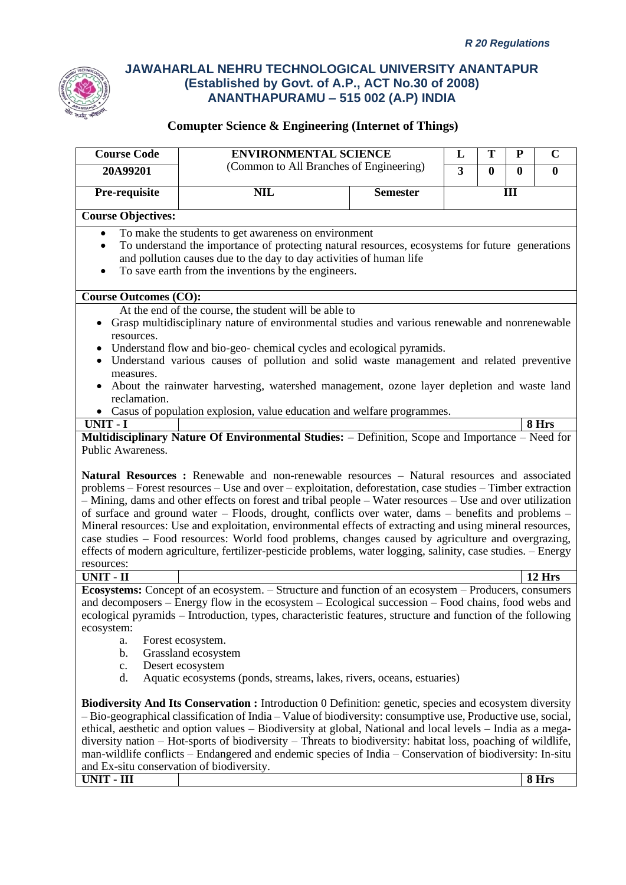

| <b>Course Code</b>                                                                                                                                                                                                                                                                                                                                                                                                                                                                                                                                                                                                                                                                                                                                                 | <b>ENVIRONMENTAL SCIENCE</b>                                                                                                                                                                                                                                                                                                                                                                                                                                                                                                                                       |                 | L                       | T            | ${\bf P}$ | $\mathbf C$  |
|--------------------------------------------------------------------------------------------------------------------------------------------------------------------------------------------------------------------------------------------------------------------------------------------------------------------------------------------------------------------------------------------------------------------------------------------------------------------------------------------------------------------------------------------------------------------------------------------------------------------------------------------------------------------------------------------------------------------------------------------------------------------|--------------------------------------------------------------------------------------------------------------------------------------------------------------------------------------------------------------------------------------------------------------------------------------------------------------------------------------------------------------------------------------------------------------------------------------------------------------------------------------------------------------------------------------------------------------------|-----------------|-------------------------|--------------|-----------|--------------|
| 20A99201                                                                                                                                                                                                                                                                                                                                                                                                                                                                                                                                                                                                                                                                                                                                                           | (Common to All Branches of Engineering)                                                                                                                                                                                                                                                                                                                                                                                                                                                                                                                            |                 | $\overline{\mathbf{3}}$ | $\mathbf{0}$ | $\bf{0}$  | $\mathbf{0}$ |
|                                                                                                                                                                                                                                                                                                                                                                                                                                                                                                                                                                                                                                                                                                                                                                    |                                                                                                                                                                                                                                                                                                                                                                                                                                                                                                                                                                    |                 |                         |              |           |              |
| Pre-requisite                                                                                                                                                                                                                                                                                                                                                                                                                                                                                                                                                                                                                                                                                                                                                      | <b>NIL</b>                                                                                                                                                                                                                                                                                                                                                                                                                                                                                                                                                         | <b>Semester</b> |                         |              | Ш         |              |
| <b>Course Objectives:</b>                                                                                                                                                                                                                                                                                                                                                                                                                                                                                                                                                                                                                                                                                                                                          |                                                                                                                                                                                                                                                                                                                                                                                                                                                                                                                                                                    |                 |                         |              |           |              |
| $\bullet$                                                                                                                                                                                                                                                                                                                                                                                                                                                                                                                                                                                                                                                                                                                                                          | To make the students to get awareness on environment                                                                                                                                                                                                                                                                                                                                                                                                                                                                                                               |                 |                         |              |           |              |
| ٠                                                                                                                                                                                                                                                                                                                                                                                                                                                                                                                                                                                                                                                                                                                                                                  | To understand the importance of protecting natural resources, ecosystems for future generations                                                                                                                                                                                                                                                                                                                                                                                                                                                                    |                 |                         |              |           |              |
|                                                                                                                                                                                                                                                                                                                                                                                                                                                                                                                                                                                                                                                                                                                                                                    | and pollution causes due to the day to day activities of human life                                                                                                                                                                                                                                                                                                                                                                                                                                                                                                |                 |                         |              |           |              |
| ٠                                                                                                                                                                                                                                                                                                                                                                                                                                                                                                                                                                                                                                                                                                                                                                  | To save earth from the inventions by the engineers.                                                                                                                                                                                                                                                                                                                                                                                                                                                                                                                |                 |                         |              |           |              |
|                                                                                                                                                                                                                                                                                                                                                                                                                                                                                                                                                                                                                                                                                                                                                                    |                                                                                                                                                                                                                                                                                                                                                                                                                                                                                                                                                                    |                 |                         |              |           |              |
| <b>Course Outcomes (CO):</b>                                                                                                                                                                                                                                                                                                                                                                                                                                                                                                                                                                                                                                                                                                                                       | At the end of the course, the student will be able to                                                                                                                                                                                                                                                                                                                                                                                                                                                                                                              |                 |                         |              |           |              |
|                                                                                                                                                                                                                                                                                                                                                                                                                                                                                                                                                                                                                                                                                                                                                                    | Grasp multidisciplinary nature of environmental studies and various renewable and nonrenewable                                                                                                                                                                                                                                                                                                                                                                                                                                                                     |                 |                         |              |           |              |
| resources.                                                                                                                                                                                                                                                                                                                                                                                                                                                                                                                                                                                                                                                                                                                                                         |                                                                                                                                                                                                                                                                                                                                                                                                                                                                                                                                                                    |                 |                         |              |           |              |
|                                                                                                                                                                                                                                                                                                                                                                                                                                                                                                                                                                                                                                                                                                                                                                    | Understand flow and bio-geo-chemical cycles and ecological pyramids.                                                                                                                                                                                                                                                                                                                                                                                                                                                                                               |                 |                         |              |           |              |
| $\bullet$                                                                                                                                                                                                                                                                                                                                                                                                                                                                                                                                                                                                                                                                                                                                                          | Understand various causes of pollution and solid waste management and related preventive                                                                                                                                                                                                                                                                                                                                                                                                                                                                           |                 |                         |              |           |              |
| measures.                                                                                                                                                                                                                                                                                                                                                                                                                                                                                                                                                                                                                                                                                                                                                          |                                                                                                                                                                                                                                                                                                                                                                                                                                                                                                                                                                    |                 |                         |              |           |              |
| reclamation.                                                                                                                                                                                                                                                                                                                                                                                                                                                                                                                                                                                                                                                                                                                                                       | About the rainwater harvesting, watershed management, ozone layer depletion and waste land                                                                                                                                                                                                                                                                                                                                                                                                                                                                         |                 |                         |              |           |              |
|                                                                                                                                                                                                                                                                                                                                                                                                                                                                                                                                                                                                                                                                                                                                                                    | • Casus of population explosion, value education and welfare programmes.                                                                                                                                                                                                                                                                                                                                                                                                                                                                                           |                 |                         |              |           |              |
| <b>UNIT - I</b>                                                                                                                                                                                                                                                                                                                                                                                                                                                                                                                                                                                                                                                                                                                                                    |                                                                                                                                                                                                                                                                                                                                                                                                                                                                                                                                                                    |                 |                         |              |           | 8 Hrs        |
|                                                                                                                                                                                                                                                                                                                                                                                                                                                                                                                                                                                                                                                                                                                                                                    | Multidisciplinary Nature Of Environmental Studies: - Definition, Scope and Importance - Need for                                                                                                                                                                                                                                                                                                                                                                                                                                                                   |                 |                         |              |           |              |
| Public Awareness.                                                                                                                                                                                                                                                                                                                                                                                                                                                                                                                                                                                                                                                                                                                                                  |                                                                                                                                                                                                                                                                                                                                                                                                                                                                                                                                                                    |                 |                         |              |           |              |
| Natural Resources : Renewable and non-renewable resources - Natural resources and associated<br>problems – Forest resources – Use and over – exploitation, deforestation, case studies – Timber extraction<br>- Mining, dams and other effects on forest and tribal people - Water resources - Use and over utilization<br>of surface and ground water – Floods, drought, conflicts over water, dams – benefits and problems –<br>Mineral resources: Use and exploitation, environmental effects of extracting and using mineral resources,<br>case studies – Food resources: World food problems, changes caused by agriculture and overgrazing,<br>effects of modern agriculture, fertilizer-pesticide problems, water logging, salinity, case studies. - Energy |                                                                                                                                                                                                                                                                                                                                                                                                                                                                                                                                                                    |                 |                         |              |           |              |
| resources:<br><b>UNIT - II</b>                                                                                                                                                                                                                                                                                                                                                                                                                                                                                                                                                                                                                                                                                                                                     |                                                                                                                                                                                                                                                                                                                                                                                                                                                                                                                                                                    |                 |                         |              |           | $12$ Hrs     |
|                                                                                                                                                                                                                                                                                                                                                                                                                                                                                                                                                                                                                                                                                                                                                                    | Ecosystems: Concept of an ecosystem. - Structure and function of an ecosystem - Producers, consumers                                                                                                                                                                                                                                                                                                                                                                                                                                                               |                 |                         |              |           |              |
| ecosystem:                                                                                                                                                                                                                                                                                                                                                                                                                                                                                                                                                                                                                                                                                                                                                         | and decomposers – Energy flow in the ecosystem – Ecological succession – Food chains, food webs and<br>ecological pyramids - Introduction, types, characteristic features, structure and function of the following                                                                                                                                                                                                                                                                                                                                                 |                 |                         |              |           |              |
| a.                                                                                                                                                                                                                                                                                                                                                                                                                                                                                                                                                                                                                                                                                                                                                                 | Forest ecosystem.                                                                                                                                                                                                                                                                                                                                                                                                                                                                                                                                                  |                 |                         |              |           |              |
|                                                                                                                                                                                                                                                                                                                                                                                                                                                                                                                                                                                                                                                                                                                                                                    | Grassland ecosystem<br>b.<br>Desert ecosystem                                                                                                                                                                                                                                                                                                                                                                                                                                                                                                                      |                 |                         |              |           |              |
| c.<br>d.                                                                                                                                                                                                                                                                                                                                                                                                                                                                                                                                                                                                                                                                                                                                                           | Aquatic ecosystems (ponds, streams, lakes, rivers, oceans, estuaries)                                                                                                                                                                                                                                                                                                                                                                                                                                                                                              |                 |                         |              |           |              |
|                                                                                                                                                                                                                                                                                                                                                                                                                                                                                                                                                                                                                                                                                                                                                                    |                                                                                                                                                                                                                                                                                                                                                                                                                                                                                                                                                                    |                 |                         |              |           |              |
| and Ex-situ conservation of biodiversity.                                                                                                                                                                                                                                                                                                                                                                                                                                                                                                                                                                                                                                                                                                                          | Biodiversity And Its Conservation : Introduction 0 Definition: genetic, species and ecosystem diversity<br>- Bio-geographical classification of India - Value of biodiversity: consumptive use, Productive use, social,<br>ethical, aesthetic and option values - Biodiversity at global, National and local levels - India as a mega-<br>diversity nation – Hot-sports of biodiversity – Threats to biodiversity: habitat loss, poaching of wildlife,<br>man-wildlife conflicts – Endangered and endemic species of India – Conservation of biodiversity: In-situ |                 |                         |              |           |              |
| UNIT - III                                                                                                                                                                                                                                                                                                                                                                                                                                                                                                                                                                                                                                                                                                                                                         |                                                                                                                                                                                                                                                                                                                                                                                                                                                                                                                                                                    |                 |                         |              |           | 8 Hrs        |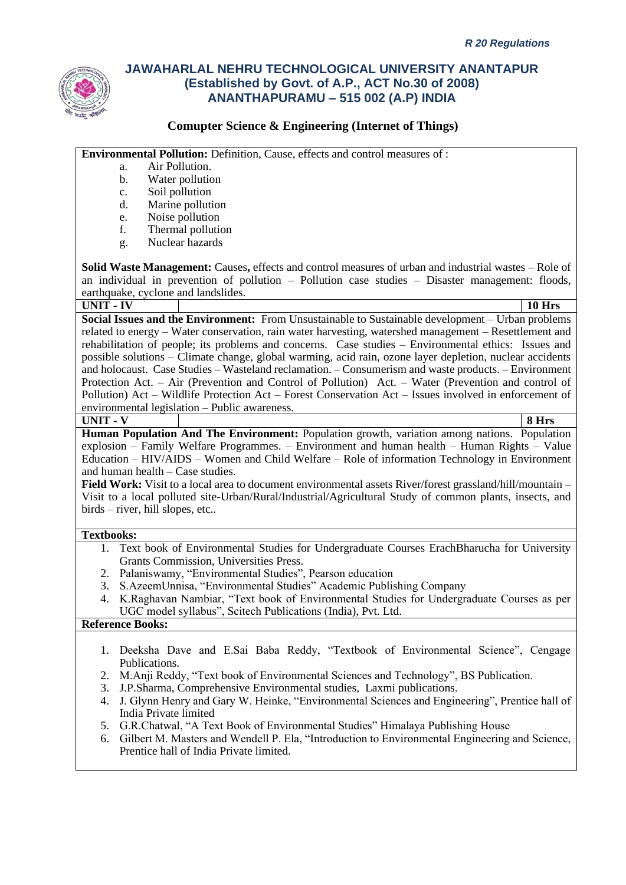

### **Comupter Science & Engineering (Internet of Things)**

**Environmental Pollution:** Definition, Cause, effects and control measures of :

- a. Air Pollution.
- b. Water pollution
- c. Soil pollution
- d. Marine pollution
- e. Noise pollution
- f. Thermal pollution
- g. Nuclear hazards

**Solid Waste Management:** Causes**,** effects and control measures of urban and industrial wastes – Role of an individual in prevention of pollution – Pollution case studies – Disaster management: floods, earthquake, cyclone and landslides.

#### **UNIT - IV 10 Hrs**

**Social Issues and the Environment:** From Unsustainable to Sustainable development – Urban problems related to energy – Water conservation, rain water harvesting, watershed management – Resettlement and rehabilitation of people; its problems and concerns. Case studies – Environmental ethics: Issues and possible solutions – Climate change, global warming, acid rain, ozone layer depletion, nuclear accidents and holocaust. Case Studies – Wasteland reclamation. – Consumerism and waste products. – Environment Protection Act. – Air (Prevention and Control of Pollution) Act. – Water (Prevention and control of Pollution) Act – Wildlife Protection Act – Forest Conservation Act – Issues involved in enforcement of environmental legislation – Public awareness.

#### **UNIT - V 8 Hrs**

**Human Population And The Environment:** Population growth, variation among nations. Population explosion – Family Welfare Programmes. – Environment and human health – Human Rights – Value Education – HIV/AIDS – Women and Child Welfare – Role of information Technology in Environment and human health – Case studies.

**Field Work:** Visit to a local area to document environmental assets River/forest grassland/hill/mountain – Visit to a local polluted site-Urban/Rural/Industrial/Agricultural Study of common plants, insects, and birds – river, hill slopes, etc..

### **Textbooks:**

- 1. Text book of Environmental Studies for Undergraduate Courses ErachBharucha for University Grants Commission, Universities Press.
- 2. Palaniswamy, "Environmental Studies", Pearson education
- 3. S.AzeemUnnisa, "Environmental Studies" Academic Publishing Company
- 4. K.Raghavan Nambiar, "Text book of Environmental Studies for Undergraduate Courses as per UGC model syllabus", Scitech Publications (India), Pvt. Ltd.

#### **Reference Books:**

- 1. Deeksha Dave and E.Sai Baba Reddy, "Textbook of Environmental Science", Cengage Publications.
- 2. M.Anji Reddy, "Text book of Environmental Sciences and Technology", BS Publication.
- 3. J.P.Sharma, Comprehensive Environmental studies, Laxmi publications.
- 4. J. Glynn Henry and Gary W. Heinke, "Environmental Sciences and Engineering", Prentice hall of India Private limited
- 5. G.R.Chatwal, "A Text Book of Environmental Studies" Himalaya Publishing House
- 6. Gilbert M. Masters and Wendell P. Ela, "Introduction to Environmental Engineering and Science, Prentice hall of India Private limited.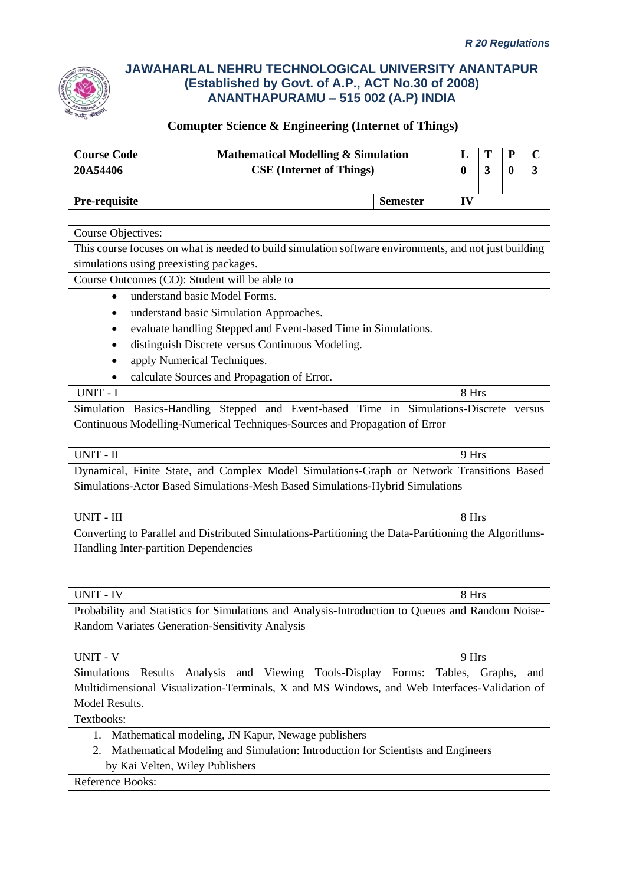

| <b>Course Code</b><br><b>Mathematical Modelling &amp; Simulation</b><br>T<br>L<br>${\bf P}$ |                                                                                                        |                 |          | $\mathbf C$ |          |              |
|---------------------------------------------------------------------------------------------|--------------------------------------------------------------------------------------------------------|-----------------|----------|-------------|----------|--------------|
| 20A54406                                                                                    | <b>CSE</b> (Internet of Things)                                                                        |                 | $\bf{0}$ | 3           | $\bf{0}$ | $\mathbf{3}$ |
|                                                                                             |                                                                                                        |                 |          |             |          |              |
| Pre-requisite                                                                               |                                                                                                        | <b>Semester</b> | IV       |             |          |              |
|                                                                                             |                                                                                                        |                 |          |             |          |              |
| <b>Course Objectives:</b>                                                                   |                                                                                                        |                 |          |             |          |              |
|                                                                                             | This course focuses on what is needed to build simulation software environments, and not just building |                 |          |             |          |              |
| simulations using preexisting packages.                                                     |                                                                                                        |                 |          |             |          |              |
|                                                                                             | Course Outcomes (CO): Student will be able to                                                          |                 |          |             |          |              |
| $\bullet$                                                                                   | understand basic Model Forms.                                                                          |                 |          |             |          |              |
|                                                                                             | understand basic Simulation Approaches.                                                                |                 |          |             |          |              |
|                                                                                             | evaluate handling Stepped and Event-based Time in Simulations.                                         |                 |          |             |          |              |
|                                                                                             | distinguish Discrete versus Continuous Modeling.                                                       |                 |          |             |          |              |
|                                                                                             | apply Numerical Techniques.                                                                            |                 |          |             |          |              |
|                                                                                             | calculate Sources and Propagation of Error.                                                            |                 |          |             |          |              |
| UNIT - I                                                                                    |                                                                                                        |                 | 8 Hrs    |             |          |              |
|                                                                                             | Simulation Basics-Handling Stepped and Event-based Time in Simulations-Discrete versus                 |                 |          |             |          |              |
|                                                                                             | Continuous Modelling-Numerical Techniques-Sources and Propagation of Error                             |                 |          |             |          |              |
|                                                                                             |                                                                                                        |                 |          |             |          |              |
| $UNIT - II$                                                                                 |                                                                                                        |                 | 9 Hrs    |             |          |              |
|                                                                                             | Dynamical, Finite State, and Complex Model Simulations-Graph or Network Transitions Based              |                 |          |             |          |              |
|                                                                                             | Simulations-Actor Based Simulations-Mesh Based Simulations-Hybrid Simulations                          |                 |          |             |          |              |
|                                                                                             |                                                                                                        |                 |          |             |          |              |
| <b>UNIT - III</b>                                                                           |                                                                                                        |                 | 8 Hrs    |             |          |              |
|                                                                                             | Converting to Parallel and Distributed Simulations-Partitioning the Data-Partitioning the Algorithms-  |                 |          |             |          |              |
| Handling Inter-partition Dependencies                                                       |                                                                                                        |                 |          |             |          |              |
|                                                                                             |                                                                                                        |                 |          |             |          |              |
|                                                                                             |                                                                                                        |                 |          |             |          |              |
| <b>UNIT - IV</b>                                                                            |                                                                                                        |                 | 8 Hrs    |             |          |              |
|                                                                                             | Probability and Statistics for Simulations and Analysis-Introduction to Queues and Random Noise-       |                 |          |             |          |              |
|                                                                                             | Random Variates Generation-Sensitivity Analysis                                                        |                 |          |             |          |              |
|                                                                                             |                                                                                                        |                 |          |             |          |              |
| <b>UNIT - V</b>                                                                             |                                                                                                        |                 | 9 Hrs    |             |          |              |
| Simulations<br>Results                                                                      | Analysis and Viewing Tools-Display Forms:                                                              |                 | Tables,  | Graphs,     |          | and          |
|                                                                                             | Multidimensional Visualization-Terminals, X and MS Windows, and Web Interfaces-Validation of           |                 |          |             |          |              |
| Model Results.                                                                              |                                                                                                        |                 |          |             |          |              |
| Textbooks:                                                                                  |                                                                                                        |                 |          |             |          |              |
| 1.                                                                                          | Mathematical modeling, JN Kapur, Newage publishers                                                     |                 |          |             |          |              |
| 2.                                                                                          | Mathematical Modeling and Simulation: Introduction for Scientists and Engineers                        |                 |          |             |          |              |
|                                                                                             | by Kai Velten, Wiley Publishers                                                                        |                 |          |             |          |              |
| Reference Books:                                                                            |                                                                                                        |                 |          |             |          |              |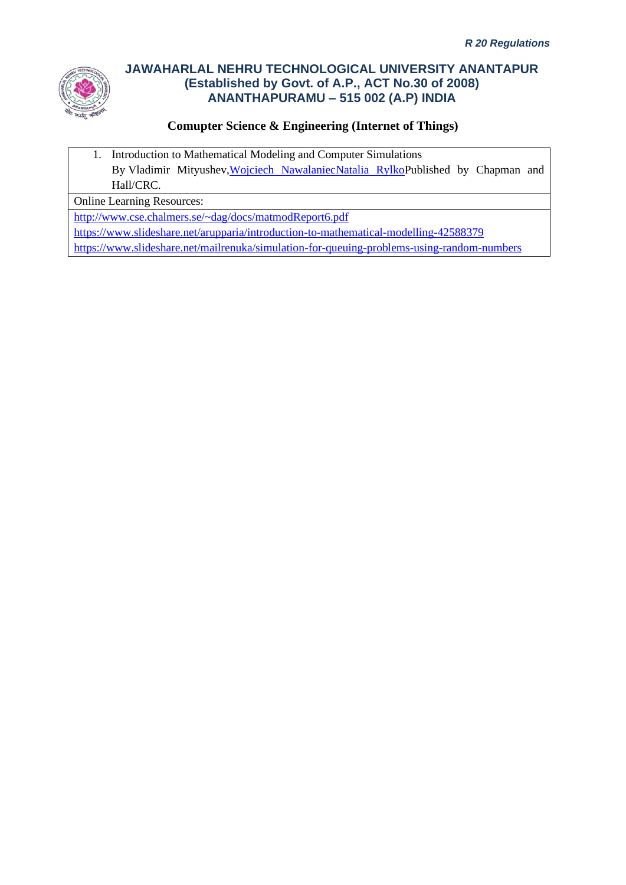

## **Comupter Science & Engineering (Internet of Things)**

1. Introduction to Mathematical Modeling and Computer Simulations By Vladimir Mityushev[,Wojciech Nawalaniec](https://www.routledge.com/search?author=Wojciech%20Nawalaniec)[Natalia RylkoP](https://www.routledge.com/search?author=Natalia%20Rylko)ublished by Chapman and Hall/CRC.

Online Learning Resources:

<http://www.cse.chalmers.se/~dag/docs/matmodReport6.pdf>

<https://www.slideshare.net/arupparia/introduction-to-mathematical-modelling-42588379>

<https://www.slideshare.net/mailrenuka/simulation-for-queuing-problems-using-random-numbers>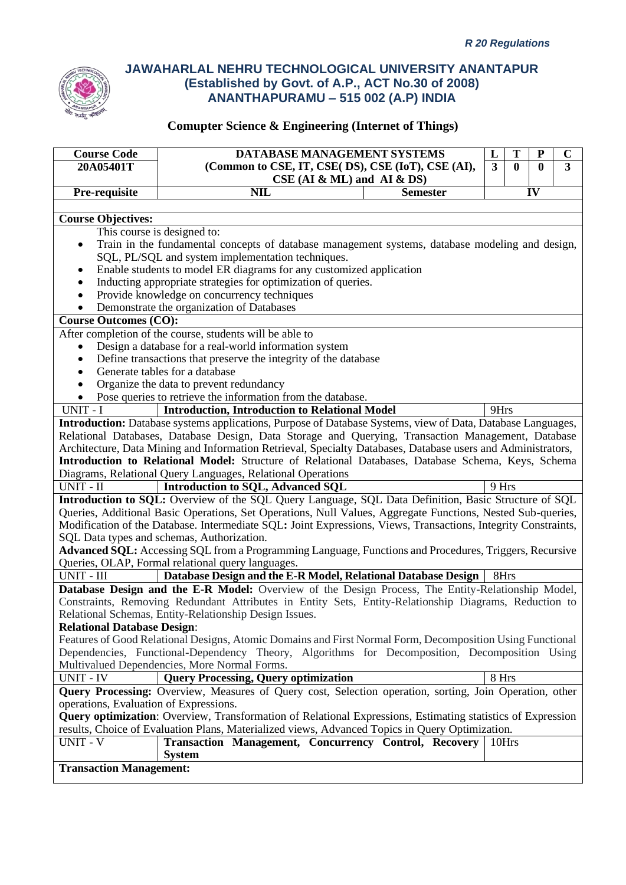

| <b>Course Code</b>                                                                                                 | DATABASE MANAGEMENT SYSTEMS                                                                                        | L     | T | ${\bf P}$ | $\mathbf C$ |
|--------------------------------------------------------------------------------------------------------------------|--------------------------------------------------------------------------------------------------------------------|-------|---|-----------|-------------|
| 20A05401T                                                                                                          | (Common to CSE, IT, CSE(DS), CSE (IoT), CSE (AI),<br>$\mathbf{3}$<br>$\mathbf{0}$<br>$\mathbf{0}$                  |       |   |           | 3           |
|                                                                                                                    | $CSE$ (AI & ML) and AI & DS)                                                                                       |       |   |           |             |
| Pre-requisite                                                                                                      | <b>NIL</b><br><b>Semester</b>                                                                                      |       |   | IV        |             |
|                                                                                                                    |                                                                                                                    |       |   |           |             |
| <b>Course Objectives:</b>                                                                                          |                                                                                                                    |       |   |           |             |
| This course is designed to:                                                                                        |                                                                                                                    |       |   |           |             |
| $\bullet$                                                                                                          | Train in the fundamental concepts of database management systems, database modeling and design,                    |       |   |           |             |
|                                                                                                                    | SQL, PL/SQL and system implementation techniques.                                                                  |       |   |           |             |
| ٠                                                                                                                  | Enable students to model ER diagrams for any customized application                                                |       |   |           |             |
| $\bullet$                                                                                                          | Inducting appropriate strategies for optimization of queries.                                                      |       |   |           |             |
| $\bullet$                                                                                                          | Provide knowledge on concurrency techniques                                                                        |       |   |           |             |
|                                                                                                                    | Demonstrate the organization of Databases                                                                          |       |   |           |             |
| <b>Course Outcomes (CO):</b>                                                                                       |                                                                                                                    |       |   |           |             |
|                                                                                                                    | After completion of the course, students will be able to                                                           |       |   |           |             |
| $\bullet$                                                                                                          | Design a database for a real-world information system                                                              |       |   |           |             |
| ٠                                                                                                                  | Define transactions that preserve the integrity of the database                                                    |       |   |           |             |
| $\bullet$                                                                                                          | Generate tables for a database                                                                                     |       |   |           |             |
|                                                                                                                    | Organize the data to prevent redundancy                                                                            |       |   |           |             |
|                                                                                                                    | Pose queries to retrieve the information from the database.                                                        |       |   |           |             |
| UNIT - I                                                                                                           | <b>Introduction, Introduction to Relational Model</b>                                                              | 9Hrs  |   |           |             |
|                                                                                                                    | <b>Introduction:</b> Database systems applications, Purpose of Database Systems, view of Data, Database Languages, |       |   |           |             |
|                                                                                                                    | Relational Databases, Database Design, Data Storage and Querying, Transaction Management, Database                 |       |   |           |             |
|                                                                                                                    | Architecture, Data Mining and Information Retrieval, Specialty Databases, Database users and Administrators,       |       |   |           |             |
|                                                                                                                    | Introduction to Relational Model: Structure of Relational Databases, Database Schema, Keys, Schema                 |       |   |           |             |
|                                                                                                                    | Diagrams, Relational Query Languages, Relational Operations                                                        |       |   |           |             |
| UNIT - II                                                                                                          | <b>Introduction to SQL, Advanced SQL</b>                                                                           | 9 Hrs |   |           |             |
|                                                                                                                    | Introduction to SQL: Overview of the SQL Query Language, SQL Data Definition, Basic Structure of SQL               |       |   |           |             |
|                                                                                                                    | Queries, Additional Basic Operations, Set Operations, Null Values, Aggregate Functions, Nested Sub-queries,        |       |   |           |             |
|                                                                                                                    | Modification of the Database. Intermediate SQL: Joint Expressions, Views, Transactions, Integrity Constraints,     |       |   |           |             |
| SQL Data types and schemas, Authorization.                                                                         |                                                                                                                    |       |   |           |             |
| Advanced SQL: Accessing SQL from a Programming Language, Functions and Procedures, Triggers, Recursive             |                                                                                                                    |       |   |           |             |
| Queries, OLAP, Formal relational query languages.                                                                  |                                                                                                                    |       |   |           |             |
| UNIT - III<br>Database Design and the E-R Model, Relational Database Design<br>8Hrs                                |                                                                                                                    |       |   |           |             |
|                                                                                                                    | Database Design and the E-R Model: Overview of the Design Process, The Entity-Relationship Model,                  |       |   |           |             |
| Constraints, Removing Redundant Attributes in Entity Sets, Entity-Relationship Diagrams, Reduction to              |                                                                                                                    |       |   |           |             |
| Relational Schemas, Entity-Relationship Design Issues.                                                             |                                                                                                                    |       |   |           |             |
| <b>Relational Database Design:</b>                                                                                 |                                                                                                                    |       |   |           |             |
|                                                                                                                    | Features of Good Relational Designs, Atomic Domains and First Normal Form, Decomposition Using Functional          |       |   |           |             |
| Dependencies, Functional-Dependency Theory, Algorithms for Decomposition, Decomposition Using                      |                                                                                                                    |       |   |           |             |
|                                                                                                                    | Multivalued Dependencies, More Normal Forms.                                                                       |       |   |           |             |
| <b>UNIT - IV</b>                                                                                                   | <b>Query Processing, Query optimization</b>                                                                        | 8 Hrs |   |           |             |
|                                                                                                                    | Query Processing: Overview, Measures of Query cost, Selection operation, sorting, Join Operation, other            |       |   |           |             |
| operations, Evaluation of Expressions.                                                                             |                                                                                                                    |       |   |           |             |
| <b>Query optimization:</b> Overview, Transformation of Relational Expressions, Estimating statistics of Expression |                                                                                                                    |       |   |           |             |
| results, Choice of Evaluation Plans, Materialized views, Advanced Topics in Query Optimization.                    |                                                                                                                    |       |   |           |             |
| UNIT - V                                                                                                           | Transaction Management, Concurrency Control, Recovery                                                              | 10Hrs |   |           |             |
|                                                                                                                    | <b>System</b>                                                                                                      |       |   |           |             |
| <b>Transaction Management:</b>                                                                                     |                                                                                                                    |       |   |           |             |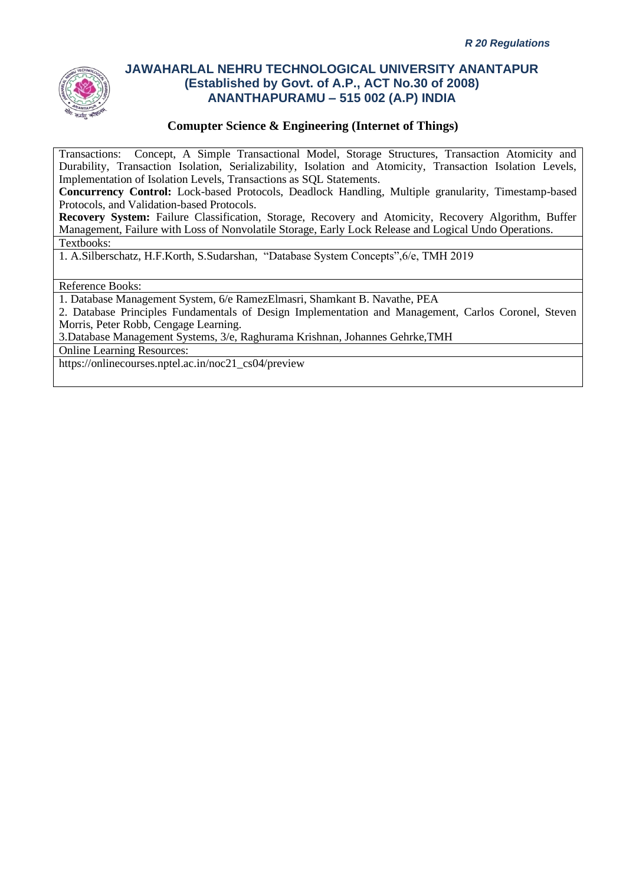

### **Comupter Science & Engineering (Internet of Things)**

Transactions: Concept, A Simple Transactional Model, Storage Structures, Transaction Atomicity and Durability, Transaction Isolation, Serializability, Isolation and Atomicity, Transaction Isolation Levels, Implementation of Isolation Levels, Transactions as SQL Statements.

**Concurrency Control:** Lock-based Protocols, Deadlock Handling, Multiple granularity, Timestamp-based Protocols, and Validation-based Protocols.

**Recovery System:** Failure Classification, Storage, Recovery and Atomicity, Recovery Algorithm, Buffer Management, Failure with Loss of Nonvolatile Storage, Early Lock Release and Logical Undo Operations. Textbooks:

1. A.Silberschatz, H.F.Korth, S.Sudarshan, "Database System Concepts",6/e, TMH 2019

Reference Books:

1. Database Management System, 6/e RamezElmasri, Shamkant B. Navathe, PEA

2. Database Principles Fundamentals of Design Implementation and Management, Carlos Coronel, Steven Morris, Peter Robb, Cengage Learning.

3.Database Management Systems, 3/e, Raghurama Krishnan, Johannes Gehrke,TMH

Online Learning Resources:

https://onlinecourses.nptel.ac.in/noc21\_cs04/preview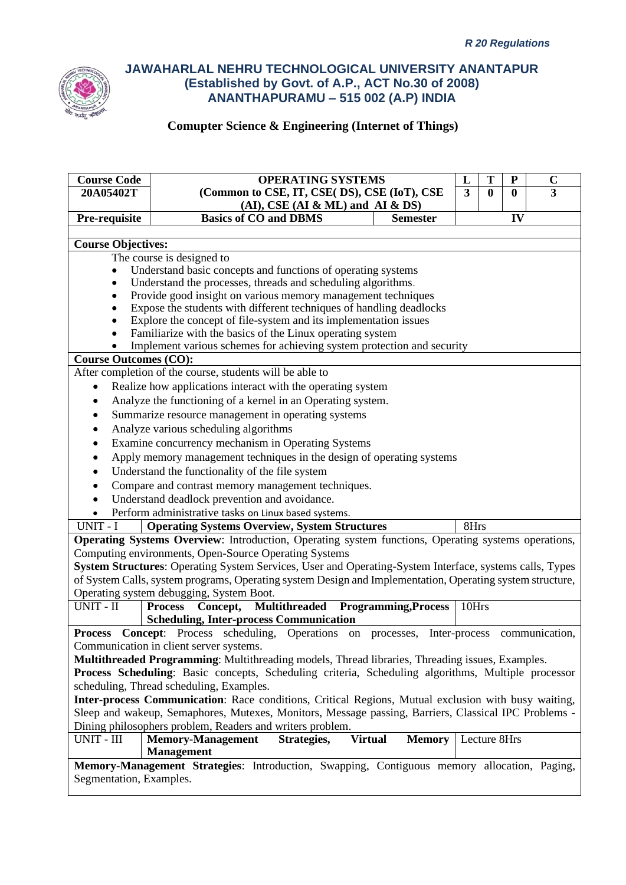

| <b>Course Code</b>                                                                                        | <b>OPERATING SYSTEMS</b>                                                                                                            | L              | T            | ${\bf P}$ | $\mathbf C$    |
|-----------------------------------------------------------------------------------------------------------|-------------------------------------------------------------------------------------------------------------------------------------|----------------|--------------|-----------|----------------|
| 20A05402T                                                                                                 | (Common to CSE, IT, CSE(DS), CSE (IoT), CSE                                                                                         | $\overline{3}$ | $\bf{0}$     | $\bf{0}$  | $\overline{3}$ |
|                                                                                                           | $(AI)$ , CSE $(AI & ML)$ and $AI & DS$                                                                                              |                |              |           |                |
| Pre-requisite                                                                                             | <b>Basics of CO and DBMS</b><br><b>Semester</b>                                                                                     |                |              | IV        |                |
|                                                                                                           |                                                                                                                                     |                |              |           |                |
| <b>Course Objectives:</b>                                                                                 |                                                                                                                                     |                |              |           |                |
|                                                                                                           | The course is designed to                                                                                                           |                |              |           |                |
|                                                                                                           | Understand basic concepts and functions of operating systems                                                                        |                |              |           |                |
|                                                                                                           | Understand the processes, threads and scheduling algorithms.                                                                        |                |              |           |                |
| $\bullet$                                                                                                 | Provide good insight on various memory management techniques<br>Expose the students with different techniques of handling deadlocks |                |              |           |                |
| ٠                                                                                                         | Explore the concept of file-system and its implementation issues                                                                    |                |              |           |                |
| ٠                                                                                                         | Familiarize with the basics of the Linux operating system                                                                           |                |              |           |                |
|                                                                                                           | Implement various schemes for achieving system protection and security                                                              |                |              |           |                |
| <b>Course Outcomes (CO):</b>                                                                              |                                                                                                                                     |                |              |           |                |
|                                                                                                           | After completion of the course, students will be able to                                                                            |                |              |           |                |
| $\bullet$                                                                                                 | Realize how applications interact with the operating system                                                                         |                |              |           |                |
| ٠                                                                                                         | Analyze the functioning of a kernel in an Operating system.                                                                         |                |              |           |                |
| ٠                                                                                                         | Summarize resource management in operating systems                                                                                  |                |              |           |                |
| $\bullet$                                                                                                 | Analyze various scheduling algorithms                                                                                               |                |              |           |                |
| $\bullet$                                                                                                 | Examine concurrency mechanism in Operating Systems                                                                                  |                |              |           |                |
| $\bullet$                                                                                                 | Apply memory management techniques in the design of operating systems                                                               |                |              |           |                |
| ٠                                                                                                         | Understand the functionality of the file system                                                                                     |                |              |           |                |
| $\bullet$                                                                                                 | Compare and contrast memory management techniques.                                                                                  |                |              |           |                |
| $\bullet$                                                                                                 | Understand deadlock prevention and avoidance.                                                                                       |                |              |           |                |
| $\bullet$                                                                                                 | Perform administrative tasks on Linux based systems.                                                                                |                |              |           |                |
| UNIT - I                                                                                                  | <b>Operating Systems Overview, System Structures</b>                                                                                | 8Hrs           |              |           |                |
|                                                                                                           | Operating Systems Overview: Introduction, Operating system functions, Operating systems operations,                                 |                |              |           |                |
|                                                                                                           | Computing environments, Open-Source Operating Systems                                                                               |                |              |           |                |
| System Structures: Operating System Services, User and Operating-System Interface, systems calls, Types   |                                                                                                                                     |                |              |           |                |
| of System Calls, system programs, Operating system Design and Implementation, Operating system structure, |                                                                                                                                     |                |              |           |                |
| Operating system debugging, System Boot.                                                                  |                                                                                                                                     |                |              |           |                |
| UNIT - II                                                                                                 | Process Concept, Multithreaded Programming, Process                                                                                 | 10Hrs          |              |           |                |
|                                                                                                           | <b>Scheduling, Inter-process Communication</b>                                                                                      |                |              |           |                |
|                                                                                                           | Process Concept: Process scheduling,<br>Operations on processes, Inter-process communication,                                       |                |              |           |                |
|                                                                                                           | Communication in client server systems.                                                                                             |                |              |           |                |
|                                                                                                           | Multithreaded Programming: Multithreading models, Thread libraries, Threading issues, Examples.                                     |                |              |           |                |
|                                                                                                           | Process Scheduling: Basic concepts, Scheduling criteria, Scheduling algorithms, Multiple processor                                  |                |              |           |                |
|                                                                                                           | scheduling, Thread scheduling, Examples.                                                                                            |                |              |           |                |
|                                                                                                           | Inter-process Communication: Race conditions, Critical Regions, Mutual exclusion with busy waiting,                                 |                |              |           |                |
| Sleep and wakeup, Semaphores, Mutexes, Monitors, Message passing, Barriers, Classical IPC Problems -      |                                                                                                                                     |                |              |           |                |
| Dining philosophers problem, Readers and writers problem.                                                 |                                                                                                                                     |                |              |           |                |
| UNIT - III                                                                                                | <b>Memory-Management</b><br>Strategies,<br><b>Virtual</b><br><b>Memory</b>                                                          |                | Lecture 8Hrs |           |                |
|                                                                                                           | <b>Management</b>                                                                                                                   |                |              |           |                |
|                                                                                                           | Memory-Management Strategies: Introduction, Swapping, Contiguous memory allocation, Paging,                                         |                |              |           |                |
| Segmentation, Examples.                                                                                   |                                                                                                                                     |                |              |           |                |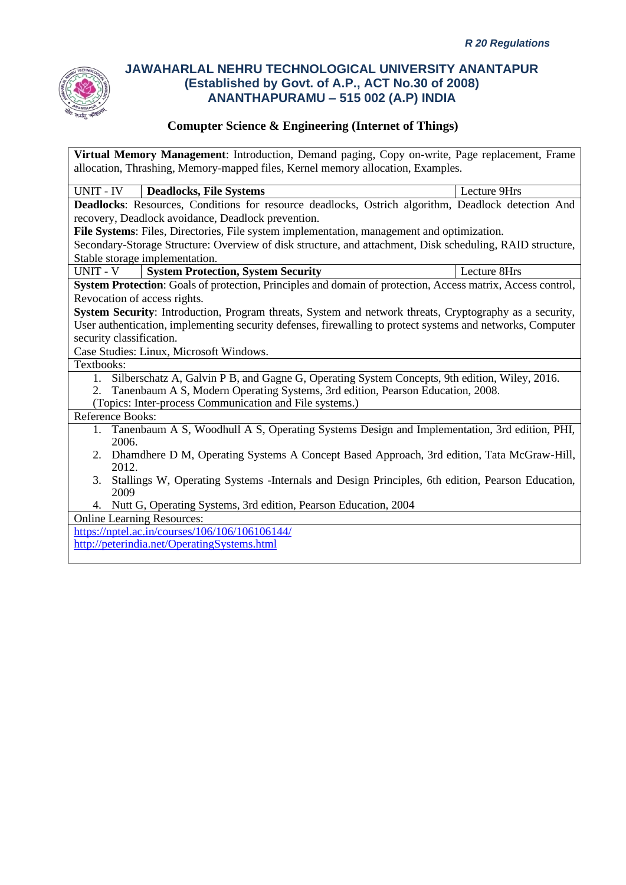

### **Comupter Science & Engineering (Internet of Things)**

**Virtual Memory Management**: Introduction, Demand paging, Copy on-write, Page replacement, Frame allocation, Thrashing, Memory-mapped files, Kernel memory allocation, Examples. UNIT - IV **Deadlocks, File Systems** Lecture 9Hrs **Deadlocks**: Resources, Conditions for resource deadlocks, Ostrich algorithm, Deadlock detection And recovery, Deadlock avoidance, Deadlock prevention. **File Systems**: Files, Directories, File system implementation, management and optimization. Secondary-Storage Structure: Overview of disk structure, and attachment, Disk scheduling, RAID structure, Stable storage implementation. UNIT - V **System Protection, System Security** Lecture 8Hrs **System Protection**: Goals of protection, Principles and domain of protection, Access matrix, Access control, Revocation of access rights. **System Security:** Introduction, Program threats, System and network threats, Cryptography as a security, User authentication, implementing security defenses, firewalling to protect systems and networks, Computer security classification. Case Studies: Linux, Microsoft Windows. Textbooks: 1. Silberschatz A, Galvin P B, and Gagne G, Operating System Concepts, 9th edition, Wiley, 2016. 2. Tanenbaum A S, Modern Operating Systems, 3rd edition, Pearson Education, 2008. (Topics: Inter-process Communication and File systems.) Reference Books: 1. Tanenbaum A S, Woodhull A S, Operating Systems Design and Implementation, 3rd edition, PHI, 2006. 2. Dhamdhere D M, Operating Systems A Concept Based Approach, 3rd edition, Tata McGraw-Hill, 2012. 3. Stallings W, Operating Systems -Internals and Design Principles, 6th edition, Pearson Education, 2009 4. Nutt G, Operating Systems, 3rd edition, Pearson Education, 2004 Online Learning Resources: <https://nptel.ac.in/courses/106/106/106106144/> <http://peterindia.net/OperatingSystems.html>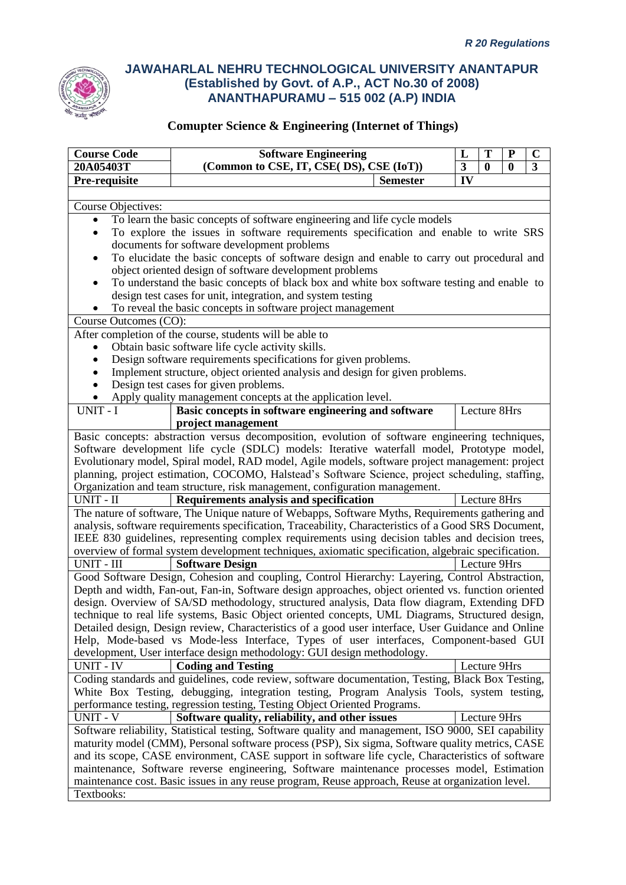

| <b>Course Code</b>                                                                               | <b>Software Engineering</b>                                                                                                                                                                              |                 | T<br>L                   | ${\bf P}$ | $\mathbf C$ |
|--------------------------------------------------------------------------------------------------|----------------------------------------------------------------------------------------------------------------------------------------------------------------------------------------------------------|-----------------|--------------------------|-----------|-------------|
| 20A05403T                                                                                        | (Common to CSE, IT, CSE(DS), CSE (IoT))                                                                                                                                                                  |                 | $\mathbf{3}$<br>$\bf{0}$ | $\bf{0}$  | 3           |
| Pre-requisite                                                                                    |                                                                                                                                                                                                          | <b>Semester</b> | IV                       |           |             |
|                                                                                                  |                                                                                                                                                                                                          |                 |                          |           |             |
| Course Objectives:                                                                               |                                                                                                                                                                                                          |                 |                          |           |             |
| $\bullet$                                                                                        | To learn the basic concepts of software engineering and life cycle models                                                                                                                                |                 |                          |           |             |
|                                                                                                  | To explore the issues in software requirements specification and enable to write SRS                                                                                                                     |                 |                          |           |             |
|                                                                                                  | documents for software development problems                                                                                                                                                              |                 |                          |           |             |
|                                                                                                  | To elucidate the basic concepts of software design and enable to carry out procedural and                                                                                                                |                 |                          |           |             |
|                                                                                                  | object oriented design of software development problems                                                                                                                                                  |                 |                          |           |             |
|                                                                                                  | To understand the basic concepts of black box and white box software testing and enable to                                                                                                               |                 |                          |           |             |
| design test cases for unit, integration, and system testing                                      |                                                                                                                                                                                                          |                 |                          |           |             |
|                                                                                                  | To reveal the basic concepts in software project management                                                                                                                                              |                 |                          |           |             |
| Course Outcomes (CO):                                                                            |                                                                                                                                                                                                          |                 |                          |           |             |
|                                                                                                  | After completion of the course, students will be able to                                                                                                                                                 |                 |                          |           |             |
|                                                                                                  | Obtain basic software life cycle activity skills.                                                                                                                                                        |                 |                          |           |             |
|                                                                                                  | Design software requirements specifications for given problems.                                                                                                                                          |                 |                          |           |             |
|                                                                                                  | Implement structure, object oriented analysis and design for given problems.                                                                                                                             |                 |                          |           |             |
|                                                                                                  | Design test cases for given problems.                                                                                                                                                                    |                 |                          |           |             |
|                                                                                                  | Apply quality management concepts at the application level.                                                                                                                                              |                 |                          |           |             |
| UNIT - I                                                                                         | Basic concepts in software engineering and software                                                                                                                                                      |                 | Lecture 8Hrs             |           |             |
|                                                                                                  | project management                                                                                                                                                                                       |                 |                          |           |             |
| Basic concepts: abstraction versus decomposition, evolution of software engineering techniques,  |                                                                                                                                                                                                          |                 |                          |           |             |
|                                                                                                  | Software development life cycle (SDLC) models: Iterative waterfall model, Prototype model,                                                                                                               |                 |                          |           |             |
|                                                                                                  | Evolutionary model, Spiral model, RAD model, Agile models, software project management: project                                                                                                          |                 |                          |           |             |
|                                                                                                  | planning, project estimation, COCOMO, Halstead's Software Science, project scheduling, staffing,                                                                                                         |                 |                          |           |             |
| UNIT - II                                                                                        | Organization and team structure, risk management, configuration management.                                                                                                                              |                 | Lecture 8Hrs             |           |             |
|                                                                                                  | Requirements analysis and specification                                                                                                                                                                  |                 |                          |           |             |
|                                                                                                  | The nature of software, The Unique nature of Webapps, Software Myths, Requirements gathering and<br>analysis, software requirements specification, Traceability, Characteristics of a Good SRS Document, |                 |                          |           |             |
|                                                                                                  | IEEE 830 guidelines, representing complex requirements using decision tables and decision trees,                                                                                                         |                 |                          |           |             |
|                                                                                                  | overview of formal system development techniques, axiomatic specification, algebraic specification.                                                                                                      |                 |                          |           |             |
| UNIT - III                                                                                       | <b>Software Design</b>                                                                                                                                                                                   |                 | Lecture 9Hrs             |           |             |
|                                                                                                  |                                                                                                                                                                                                          |                 |                          |           |             |
|                                                                                                  | Good Software Design, Cohesion and coupling, Control Hierarchy: Layering, Control Abstraction,<br>Depth and width, Fan-out, Fan-in, Software design approaches, object oriented vs. function oriented    |                 |                          |           |             |
| design. Overview of SA/SD methodology, structured analysis, Data flow diagram, Extending DFD     |                                                                                                                                                                                                          |                 |                          |           |             |
| technique to real life systems, Basic Object oriented concepts, UML Diagrams, Structured design, |                                                                                                                                                                                                          |                 |                          |           |             |
|                                                                                                  | Detailed design, Design review, Characteristics of a good user interface, User Guidance and Online                                                                                                       |                 |                          |           |             |
|                                                                                                  | Help, Mode-based vs Mode-less Interface, Types of user interfaces, Component-based GUI                                                                                                                   |                 |                          |           |             |
|                                                                                                  | development, User interface design methodology: GUI design methodology.                                                                                                                                  |                 |                          |           |             |
| UNIT - IV                                                                                        | <b>Coding and Testing</b>                                                                                                                                                                                |                 | Lecture 9Hrs             |           |             |
|                                                                                                  | Coding standards and guidelines, code review, software documentation, Testing, Black Box Testing,                                                                                                        |                 |                          |           |             |
|                                                                                                  | White Box Testing, debugging, integration testing, Program Analysis Tools, system testing,                                                                                                               |                 |                          |           |             |
|                                                                                                  | performance testing, regression testing, Testing Object Oriented Programs.                                                                                                                               |                 |                          |           |             |
| <b>UNIT - V</b>                                                                                  | Software quality, reliability, and other issues                                                                                                                                                          |                 | Lecture 9Hrs             |           |             |
|                                                                                                  | Software reliability, Statistical testing, Software quality and management, ISO 9000, SEI capability                                                                                                     |                 |                          |           |             |
|                                                                                                  | maturity model (CMM), Personal software process (PSP), Six sigma, Software quality metrics, CASE                                                                                                         |                 |                          |           |             |
|                                                                                                  | and its scope, CASE environment, CASE support in software life cycle, Characteristics of software                                                                                                        |                 |                          |           |             |
|                                                                                                  | maintenance, Software reverse engineering, Software maintenance processes model, Estimation                                                                                                              |                 |                          |           |             |
|                                                                                                  | maintenance cost. Basic issues in any reuse program, Reuse approach, Reuse at organization level.                                                                                                        |                 |                          |           |             |
| Textbooks:                                                                                       |                                                                                                                                                                                                          |                 |                          |           |             |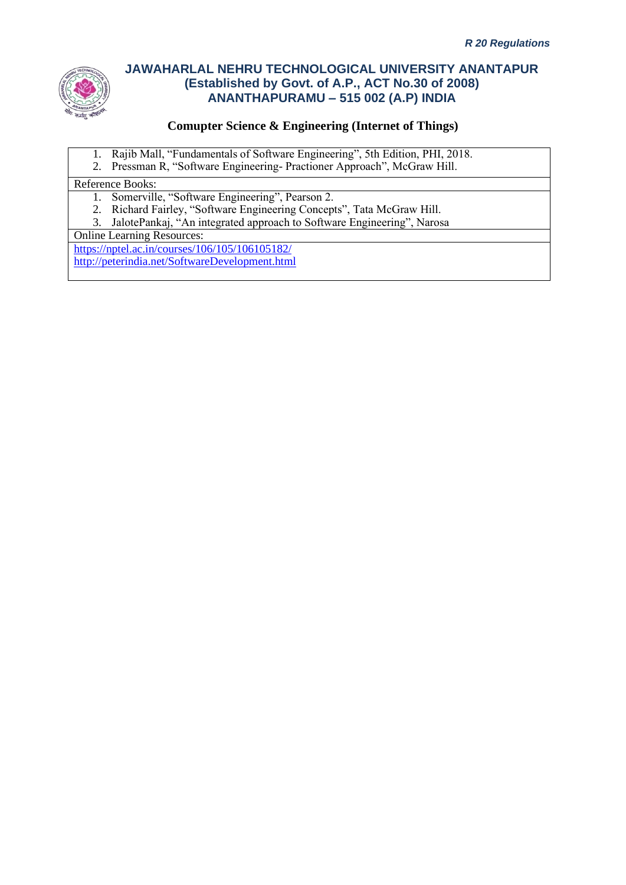

### **Comupter Science & Engineering (Internet of Things)**

- 1. Rajib Mall, "Fundamentals of Software Engineering", 5th Edition, PHI, 2018.
- 2. Pressman R, "Software Engineering- Practioner Approach", McGraw Hill.

#### Reference Books:

- 1. Somerville, "Software Engineering", Pearson 2.
- 2. Richard Fairley, "Software Engineering Concepts", Tata McGraw Hill.
- 3. JalotePankaj, "An integrated approach to Software Engineering", Narosa

Online Learning Resources:

<https://nptel.ac.in/courses/106/105/106105182/> <http://peterindia.net/SoftwareDevelopment.html>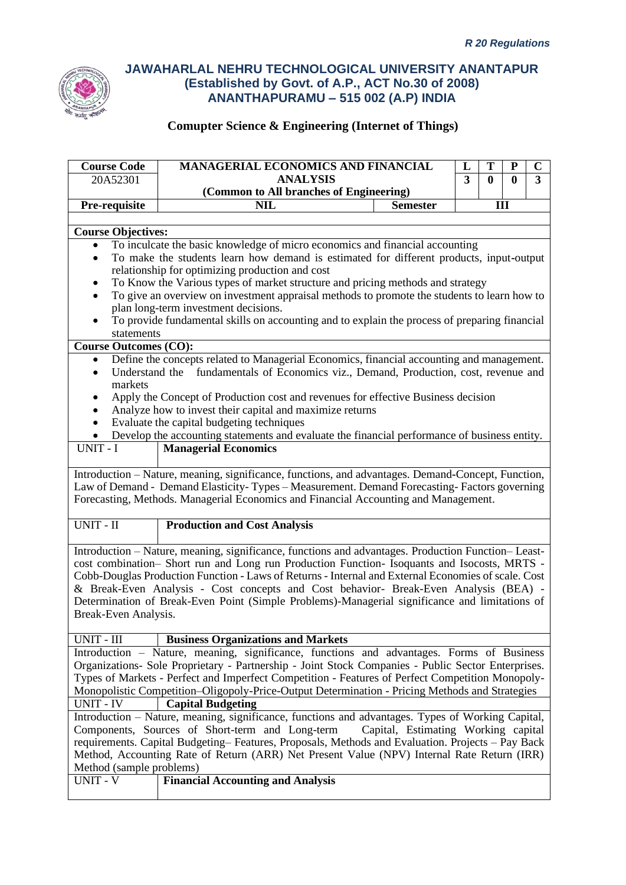

| <b>Course Code</b>                                                                                                                                                                                 | <b>MANAGERIAL ECONOMICS AND FINANCIAL</b><br>T<br>L<br>P                                                                              |                 |   |     | $\mathbf C$ |  |
|----------------------------------------------------------------------------------------------------------------------------------------------------------------------------------------------------|---------------------------------------------------------------------------------------------------------------------------------------|-----------------|---|-----|-------------|--|
| 20A52301                                                                                                                                                                                           | <b>ANALYSIS</b><br>3<br>0                                                                                                             |                 | 0 | 3   |             |  |
|                                                                                                                                                                                                    | (Common to All branches of Engineering)                                                                                               |                 |   |     |             |  |
| Pre-requisite                                                                                                                                                                                      | <b>NIL</b>                                                                                                                            | <b>Semester</b> |   | III |             |  |
|                                                                                                                                                                                                    |                                                                                                                                       |                 |   |     |             |  |
| <b>Course Objectives:</b>                                                                                                                                                                          |                                                                                                                                       |                 |   |     |             |  |
| $\bullet$                                                                                                                                                                                          | To inculcate the basic knowledge of micro economics and financial accounting                                                          |                 |   |     |             |  |
| $\bullet$                                                                                                                                                                                          | To make the students learn how demand is estimated for different products, input-output                                               |                 |   |     |             |  |
|                                                                                                                                                                                                    | relationship for optimizing production and cost                                                                                       |                 |   |     |             |  |
|                                                                                                                                                                                                    | To Know the Various types of market structure and pricing methods and strategy                                                        |                 |   |     |             |  |
| $\bullet$                                                                                                                                                                                          | To give an overview on investment appraisal methods to promote the students to learn how to                                           |                 |   |     |             |  |
|                                                                                                                                                                                                    | plan long-term investment decisions.<br>To provide fundamental skills on accounting and to explain the process of preparing financial |                 |   |     |             |  |
|                                                                                                                                                                                                    |                                                                                                                                       |                 |   |     |             |  |
| statements<br><b>Course Outcomes (CO):</b>                                                                                                                                                         |                                                                                                                                       |                 |   |     |             |  |
| $\bullet$                                                                                                                                                                                          | Define the concepts related to Managerial Economics, financial accounting and management.                                             |                 |   |     |             |  |
| $\bullet$                                                                                                                                                                                          | Understand the fundamentals of Economics viz., Demand, Production, cost, revenue and                                                  |                 |   |     |             |  |
| markets                                                                                                                                                                                            |                                                                                                                                       |                 |   |     |             |  |
|                                                                                                                                                                                                    | Apply the Concept of Production cost and revenues for effective Business decision                                                     |                 |   |     |             |  |
| $\bullet$                                                                                                                                                                                          | Analyze how to invest their capital and maximize returns                                                                              |                 |   |     |             |  |
| $\bullet$                                                                                                                                                                                          | Evaluate the capital budgeting techniques                                                                                             |                 |   |     |             |  |
|                                                                                                                                                                                                    | Develop the accounting statements and evaluate the financial performance of business entity.                                          |                 |   |     |             |  |
| $UNIT - I$                                                                                                                                                                                         | <b>Managerial Economics</b>                                                                                                           |                 |   |     |             |  |
|                                                                                                                                                                                                    |                                                                                                                                       |                 |   |     |             |  |
|                                                                                                                                                                                                    | Introduction - Nature, meaning, significance, functions, and advantages. Demand-Concept, Function,                                    |                 |   |     |             |  |
|                                                                                                                                                                                                    | Law of Demand - Demand Elasticity-Types - Measurement. Demand Forecasting-Factors governing                                           |                 |   |     |             |  |
|                                                                                                                                                                                                    | Forecasting, Methods. Managerial Economics and Financial Accounting and Management.                                                   |                 |   |     |             |  |
|                                                                                                                                                                                                    |                                                                                                                                       |                 |   |     |             |  |
| UNIT - II                                                                                                                                                                                          | <b>Production and Cost Analysis</b>                                                                                                   |                 |   |     |             |  |
|                                                                                                                                                                                                    |                                                                                                                                       |                 |   |     |             |  |
|                                                                                                                                                                                                    | Introduction - Nature, meaning, significance, functions and advantages. Production Function-Least-                                    |                 |   |     |             |  |
|                                                                                                                                                                                                    | cost combination- Short run and Long run Production Function- Isoquants and Isocosts, MRTS -                                          |                 |   |     |             |  |
|                                                                                                                                                                                                    | Cobb-Douglas Production Function - Laws of Returns - Internal and External Economies of scale. Cost                                   |                 |   |     |             |  |
|                                                                                                                                                                                                    | & Break-Even Analysis - Cost concepts and Cost behavior- Break-Even Analysis (BEA) -                                                  |                 |   |     |             |  |
|                                                                                                                                                                                                    | Determination of Break-Even Point (Simple Problems)-Managerial significance and limitations of                                        |                 |   |     |             |  |
| Break-Even Analysis.                                                                                                                                                                               |                                                                                                                                       |                 |   |     |             |  |
| UNIT - III                                                                                                                                                                                         | <b>Business Organizations and Markets</b>                                                                                             |                 |   |     |             |  |
|                                                                                                                                                                                                    | Introduction - Nature, meaning, significance, functions and advantages. Forms of Business                                             |                 |   |     |             |  |
|                                                                                                                                                                                                    | Organizations- Sole Proprietary - Partnership - Joint Stock Companies - Public Sector Enterprises.                                    |                 |   |     |             |  |
|                                                                                                                                                                                                    |                                                                                                                                       |                 |   |     |             |  |
| Types of Markets - Perfect and Imperfect Competition - Features of Perfect Competition Monopoly-<br>Monopolistic Competition-Oligopoly-Price-Output Determination - Pricing Methods and Strategies |                                                                                                                                       |                 |   |     |             |  |
| <b>UNIT - IV</b>                                                                                                                                                                                   | <b>Capital Budgeting</b>                                                                                                              |                 |   |     |             |  |
|                                                                                                                                                                                                    | Introduction - Nature, meaning, significance, functions and advantages. Types of Working Capital,                                     |                 |   |     |             |  |
| Components, Sources of Short-term and Long-term<br>Capital, Estimating Working capital                                                                                                             |                                                                                                                                       |                 |   |     |             |  |
| requirements. Capital Budgeting-Features, Proposals, Methods and Evaluation. Projects - Pay Back                                                                                                   |                                                                                                                                       |                 |   |     |             |  |
|                                                                                                                                                                                                    | Method, Accounting Rate of Return (ARR) Net Present Value (NPV) Internal Rate Return (IRR)                                            |                 |   |     |             |  |
| Method (sample problems)                                                                                                                                                                           |                                                                                                                                       |                 |   |     |             |  |
| UNIT - V                                                                                                                                                                                           | <b>Financial Accounting and Analysis</b>                                                                                              |                 |   |     |             |  |
|                                                                                                                                                                                                    |                                                                                                                                       |                 |   |     |             |  |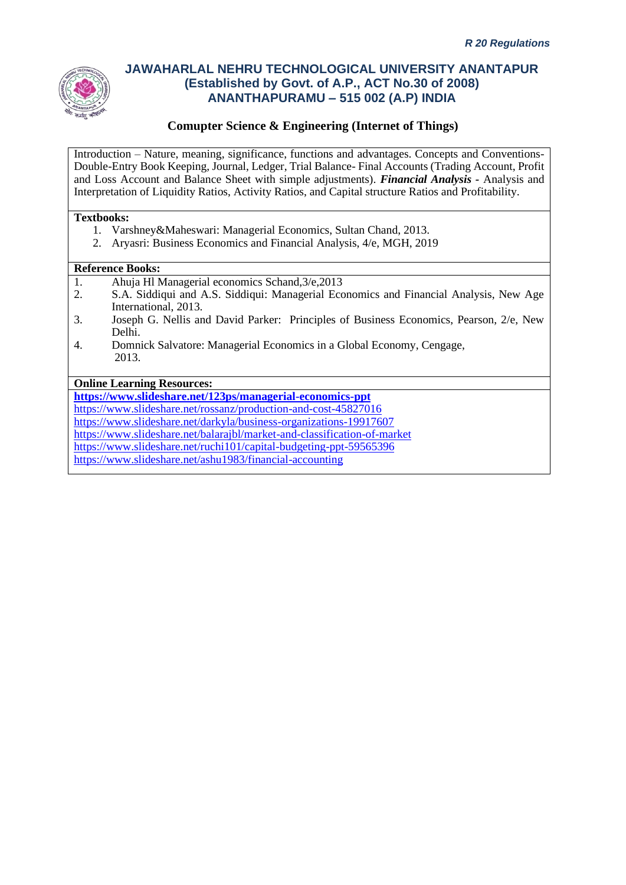

### **Comupter Science & Engineering (Internet of Things)**

Introduction – Nature, meaning, significance, functions and advantages. Concepts and Conventions-Double-Entry Book Keeping, Journal, Ledger, Trial Balance- Final Accounts (Trading Account, Profit and Loss Account and Balance Sheet with simple adjustments). *Financial Analysis -* Analysis and Interpretation of Liquidity Ratios, Activity Ratios, and Capital structure Ratios and Profitability.

#### **Textbooks:**

- 1. Varshney&Maheswari: Managerial Economics, Sultan Chand, 2013.
- 2. Aryasri: Business Economics and Financial Analysis, 4/e, MGH, 2019

#### **Reference Books:**

- 1. Ahuja Hl Managerial economics Schand, 3/e, 2013<br>2. S.A. Siddiaui and A.S. Siddiaui: Managerial Eco
- 2. S.A. Siddiqui and A.S. Siddiqui: Managerial Economics and Financial Analysis, New Age International, 2013.
- 3. Joseph G. Nellis and David Parker: Principles of Business Economics, Pearson, 2/e, New Delhi.
- 4. Domnick Salvatore: Managerial Economics in a Global Economy, Cengage, 2013.

#### **Online Learning Resources:**

**<https://www.slideshare.net/123ps/managerial-economics-ppt>** <https://www.slideshare.net/rossanz/production-and-cost-45827016> <https://www.slideshare.net/darkyla/business-organizations-19917607> <https://www.slideshare.net/balarajbl/market-and-classification-of-market> <https://www.slideshare.net/ruchi101/capital-budgeting-ppt-59565396> <https://www.slideshare.net/ashu1983/financial-accounting>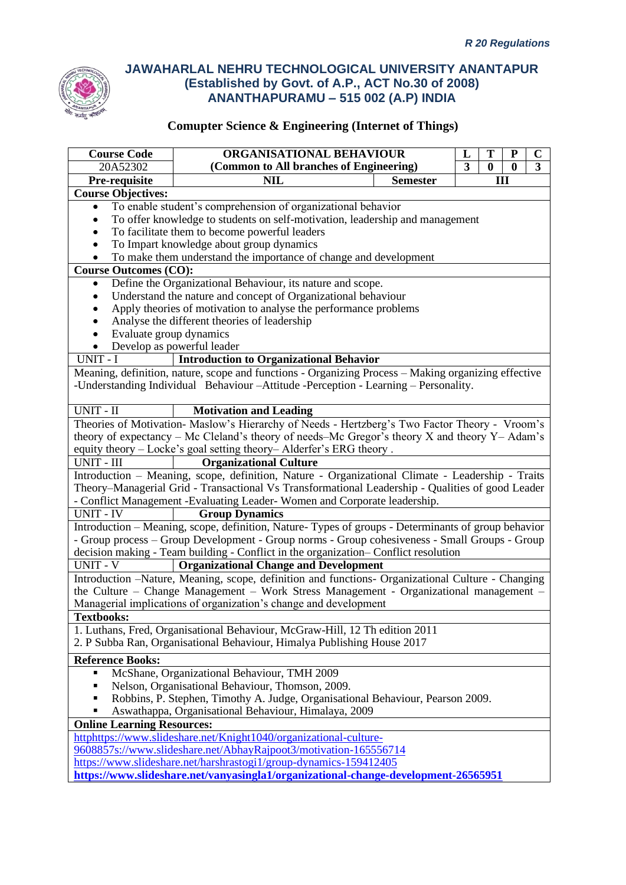

| <b>Course Code</b>                                                                                                                                                                   | ORGANISATIONAL BEHAVIOUR<br>T<br>L<br>${\bf P}$                                                                                                                               |  |  |  | $\mathbf C$ |  |
|--------------------------------------------------------------------------------------------------------------------------------------------------------------------------------------|-------------------------------------------------------------------------------------------------------------------------------------------------------------------------------|--|--|--|-------------|--|
| 20A52302                                                                                                                                                                             | (Common to All branches of Engineering)<br>$\overline{\mathbf{3}}$<br>$\overline{\mathbf{3}}$<br>$\bf{0}$<br>$\bf{0}$                                                         |  |  |  |             |  |
| Pre-requisite                                                                                                                                                                        | <b>NIL</b><br>III<br><b>Semester</b>                                                                                                                                          |  |  |  |             |  |
| <b>Course Objectives:</b>                                                                                                                                                            |                                                                                                                                                                               |  |  |  |             |  |
| $\bullet$                                                                                                                                                                            | To enable student's comprehension of organizational behavior                                                                                                                  |  |  |  |             |  |
|                                                                                                                                                                                      | To offer knowledge to students on self-motivation, leadership and management                                                                                                  |  |  |  |             |  |
|                                                                                                                                                                                      | To facilitate them to become powerful leaders                                                                                                                                 |  |  |  |             |  |
|                                                                                                                                                                                      | To Impart knowledge about group dynamics                                                                                                                                      |  |  |  |             |  |
|                                                                                                                                                                                      | To make them understand the importance of change and development                                                                                                              |  |  |  |             |  |
| <b>Course Outcomes (CO):</b>                                                                                                                                                         |                                                                                                                                                                               |  |  |  |             |  |
| Define the Organizational Behaviour, its nature and scope.<br>٠                                                                                                                      |                                                                                                                                                                               |  |  |  |             |  |
|                                                                                                                                                                                      | Understand the nature and concept of Organizational behaviour                                                                                                                 |  |  |  |             |  |
|                                                                                                                                                                                      | Apply theories of motivation to analyse the performance problems                                                                                                              |  |  |  |             |  |
|                                                                                                                                                                                      | Analyse the different theories of leadership                                                                                                                                  |  |  |  |             |  |
| Evaluate group dynamics                                                                                                                                                              |                                                                                                                                                                               |  |  |  |             |  |
|                                                                                                                                                                                      | Develop as powerful leader                                                                                                                                                    |  |  |  |             |  |
| UNIT - I                                                                                                                                                                             | <b>Introduction to Organizational Behavior</b>                                                                                                                                |  |  |  |             |  |
|                                                                                                                                                                                      | Meaning, definition, nature, scope and functions - Organizing Process - Making organizing effective                                                                           |  |  |  |             |  |
|                                                                                                                                                                                      | -Understanding Individual Behaviour - Attitude - Perception - Learning - Personality.                                                                                         |  |  |  |             |  |
|                                                                                                                                                                                      |                                                                                                                                                                               |  |  |  |             |  |
| UNIT - II                                                                                                                                                                            | <b>Motivation and Leading</b>                                                                                                                                                 |  |  |  |             |  |
|                                                                                                                                                                                      | Theories of Motivation- Maslow's Hierarchy of Needs - Hertzberg's Two Factor Theory - Vroom's                                                                                 |  |  |  |             |  |
|                                                                                                                                                                                      | theory of expectancy – Mc Cleland's theory of needs–Mc Gregor's theory $X$ and theory $Y$ – Adam's                                                                            |  |  |  |             |  |
|                                                                                                                                                                                      | equity theory - Locke's goal setting theory-Alderfer's ERG theory.                                                                                                            |  |  |  |             |  |
| UNIT - III                                                                                                                                                                           | <b>Organizational Culture</b>                                                                                                                                                 |  |  |  |             |  |
|                                                                                                                                                                                      | Introduction - Meaning, scope, definition, Nature - Organizational Climate - Leadership - Traits                                                                              |  |  |  |             |  |
|                                                                                                                                                                                      |                                                                                                                                                                               |  |  |  |             |  |
|                                                                                                                                                                                      | Theory–Managerial Grid - Transactional Vs Transformational Leadership - Qualities of good Leader<br>- Conflict Management -Evaluating Leader- Women and Corporate leadership. |  |  |  |             |  |
| <b>UNIT - IV</b>                                                                                                                                                                     | <b>Group Dynamics</b>                                                                                                                                                         |  |  |  |             |  |
|                                                                                                                                                                                      | Introduction - Meaning, scope, definition, Nature-Types of groups - Determinants of group behavior                                                                            |  |  |  |             |  |
|                                                                                                                                                                                      |                                                                                                                                                                               |  |  |  |             |  |
| - Group process - Group Development - Group norms - Group cohesiveness - Small Groups - Group<br>decision making - Team building - Conflict in the organization- Conflict resolution |                                                                                                                                                                               |  |  |  |             |  |
| <b>UNIT - V</b>                                                                                                                                                                      | <b>Organizational Change and Development</b>                                                                                                                                  |  |  |  |             |  |
|                                                                                                                                                                                      | Introduction -Nature, Meaning, scope, definition and functions- Organizational Culture - Changing                                                                             |  |  |  |             |  |
|                                                                                                                                                                                      |                                                                                                                                                                               |  |  |  |             |  |
| the Culture - Change Management - Work Stress Management - Organizational management -<br>Managerial implications of organization's change and development                           |                                                                                                                                                                               |  |  |  |             |  |
| <b>Textbooks:</b>                                                                                                                                                                    |                                                                                                                                                                               |  |  |  |             |  |
| 1. Luthans, Fred, Organisational Behaviour, McGraw-Hill, 12 Th edition 2011                                                                                                          |                                                                                                                                                                               |  |  |  |             |  |
|                                                                                                                                                                                      | 2. P Subba Ran, Organisational Behaviour, Himalya Publishing House 2017                                                                                                       |  |  |  |             |  |
|                                                                                                                                                                                      |                                                                                                                                                                               |  |  |  |             |  |
| <b>Reference Books:</b>                                                                                                                                                              |                                                                                                                                                                               |  |  |  |             |  |
| McShane, Organizational Behaviour, TMH 2009                                                                                                                                          |                                                                                                                                                                               |  |  |  |             |  |
| Nelson, Organisational Behaviour, Thomson, 2009.                                                                                                                                     |                                                                                                                                                                               |  |  |  |             |  |
| Robbins, P. Stephen, Timothy A. Judge, Organisational Behaviour, Pearson 2009.                                                                                                       |                                                                                                                                                                               |  |  |  |             |  |
| Aswathappa, Organisational Behaviour, Himalaya, 2009                                                                                                                                 |                                                                                                                                                                               |  |  |  |             |  |
| <b>Online Learning Resources:</b>                                                                                                                                                    |                                                                                                                                                                               |  |  |  |             |  |
|                                                                                                                                                                                      | httphttps://www.slideshare.net/Knight1040/organizational-culture-                                                                                                             |  |  |  |             |  |
| 9608857s://www.slideshare.net/AbhayRajpoot3/motivation-165556714                                                                                                                     |                                                                                                                                                                               |  |  |  |             |  |
|                                                                                                                                                                                      | https://www.slideshare.net/harshrastogi1/group-dynamics-159412405                                                                                                             |  |  |  |             |  |
|                                                                                                                                                                                      | https://www.slideshare.net/vanyasingla1/organizational-change-development-26565951                                                                                            |  |  |  |             |  |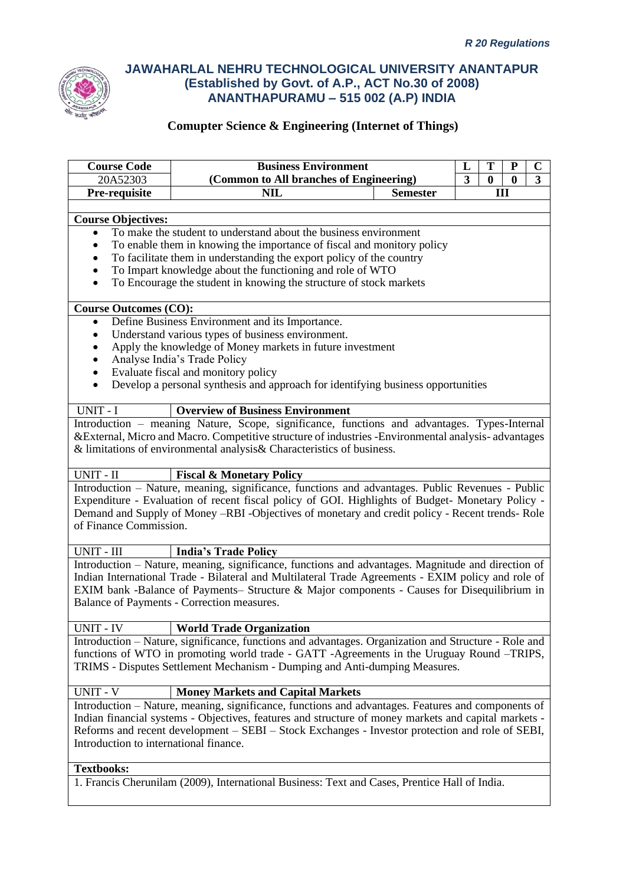

| <b>Course Code</b>                     | <b>Business Environment</b><br>T<br>${\bf P}$<br>L                                                                                                                                                |  |  |  | $\mathbf C$ |  |
|----------------------------------------|---------------------------------------------------------------------------------------------------------------------------------------------------------------------------------------------------|--|--|--|-------------|--|
| 20A52303                               | $\overline{3}$<br>(Common to All branches of Engineering)<br>$\bf{0}$<br>$\bf{0}$                                                                                                                 |  |  |  | 3           |  |
| Pre-requisite                          | <b>NIL</b><br><b>Semester</b><br>III                                                                                                                                                              |  |  |  |             |  |
|                                        |                                                                                                                                                                                                   |  |  |  |             |  |
| <b>Course Objectives:</b>              |                                                                                                                                                                                                   |  |  |  |             |  |
|                                        | To make the student to understand about the business environment                                                                                                                                  |  |  |  |             |  |
|                                        | To enable them in knowing the importance of fiscal and monitory policy                                                                                                                            |  |  |  |             |  |
|                                        | To facilitate them in understanding the export policy of the country                                                                                                                              |  |  |  |             |  |
| $\bullet$                              | To Impart knowledge about the functioning and role of WTO                                                                                                                                         |  |  |  |             |  |
| $\bullet$                              | To Encourage the student in knowing the structure of stock markets                                                                                                                                |  |  |  |             |  |
| <b>Course Outcomes (CO):</b>           |                                                                                                                                                                                                   |  |  |  |             |  |
| $\bullet$                              | Define Business Environment and its Importance.                                                                                                                                                   |  |  |  |             |  |
| ٠                                      | Understand various types of business environment.                                                                                                                                                 |  |  |  |             |  |
|                                        | Apply the knowledge of Money markets in future investment                                                                                                                                         |  |  |  |             |  |
| ٠                                      | Analyse India's Trade Policy                                                                                                                                                                      |  |  |  |             |  |
| $\bullet$                              | Evaluate fiscal and monitory policy                                                                                                                                                               |  |  |  |             |  |
| $\bullet$                              | Develop a personal synthesis and approach for identifying business opportunities                                                                                                                  |  |  |  |             |  |
|                                        |                                                                                                                                                                                                   |  |  |  |             |  |
| UNIT - I                               | <b>Overview of Business Environment</b>                                                                                                                                                           |  |  |  |             |  |
|                                        | Introduction - meaning Nature, Scope, significance, functions and advantages. Types-Internal                                                                                                      |  |  |  |             |  |
|                                        | & External, Micro and Macro. Competitive structure of industries - Environmental analysis-advantages                                                                                              |  |  |  |             |  |
|                                        | & limitations of environmental analysis & Characteristics of business.                                                                                                                            |  |  |  |             |  |
|                                        |                                                                                                                                                                                                   |  |  |  |             |  |
| UNIT - II                              | <b>Fiscal &amp; Monetary Policy</b>                                                                                                                                                               |  |  |  |             |  |
|                                        | Introduction - Nature, meaning, significance, functions and advantages. Public Revenues - Public                                                                                                  |  |  |  |             |  |
|                                        | Expenditure - Evaluation of recent fiscal policy of GOI. Highlights of Budget- Monetary Policy -                                                                                                  |  |  |  |             |  |
|                                        | Demand and Supply of Money -RBI -Objectives of monetary and credit policy - Recent trends- Role                                                                                                   |  |  |  |             |  |
| of Finance Commission.                 |                                                                                                                                                                                                   |  |  |  |             |  |
| UNIT - III                             | <b>India's Trade Policy</b>                                                                                                                                                                       |  |  |  |             |  |
|                                        | Introduction - Nature, meaning, significance, functions and advantages. Magnitude and direction of                                                                                                |  |  |  |             |  |
|                                        |                                                                                                                                                                                                   |  |  |  |             |  |
|                                        | Indian International Trade - Bilateral and Multilateral Trade Agreements - EXIM policy and role of<br>EXIM bank -Balance of Payments- Structure & Major components - Causes for Disequilibrium in |  |  |  |             |  |
|                                        | Balance of Payments - Correction measures.                                                                                                                                                        |  |  |  |             |  |
|                                        |                                                                                                                                                                                                   |  |  |  |             |  |
| UNIT - IV                              | <b>World Trade Organization</b>                                                                                                                                                                   |  |  |  |             |  |
|                                        | Introduction - Nature, significance, functions and advantages. Organization and Structure - Role and                                                                                              |  |  |  |             |  |
|                                        | functions of WTO in promoting world trade - GATT -Agreements in the Uruguay Round –TRIPS,                                                                                                         |  |  |  |             |  |
|                                        | TRIMS - Disputes Settlement Mechanism - Dumping and Anti-dumping Measures.                                                                                                                        |  |  |  |             |  |
|                                        |                                                                                                                                                                                                   |  |  |  |             |  |
| <b>UNIT - V</b>                        | <b>Money Markets and Capital Markets</b>                                                                                                                                                          |  |  |  |             |  |
|                                        | Introduction - Nature, meaning, significance, functions and advantages. Features and components of                                                                                                |  |  |  |             |  |
|                                        | Indian financial systems - Objectives, features and structure of money markets and capital markets -                                                                                              |  |  |  |             |  |
|                                        | Reforms and recent development – SEBI – Stock Exchanges - Investor protection and role of SEBI,                                                                                                   |  |  |  |             |  |
| Introduction to international finance. |                                                                                                                                                                                                   |  |  |  |             |  |
|                                        |                                                                                                                                                                                                   |  |  |  |             |  |
| <b>Textbooks:</b>                      |                                                                                                                                                                                                   |  |  |  |             |  |
|                                        | 1. Francis Cherunilam (2009), International Business: Text and Cases, Prentice Hall of India.                                                                                                     |  |  |  |             |  |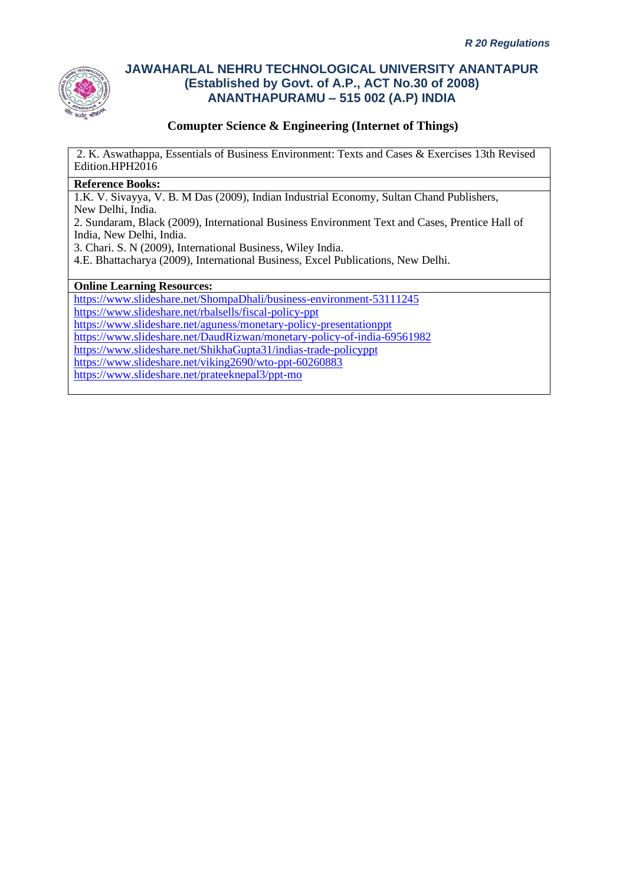

### **Comupter Science & Engineering (Internet of Things)**

2. K. Aswathappa, Essentials of Business Environment: Texts and Cases & Exercises 13th Revised Edition.HPH2016

#### **Reference Books:**

1.K. V. Sivayya, V. B. M Das (2009), Indian Industrial Economy, Sultan Chand Publishers,

New Delhi, India.

2. Sundaram, Black (2009), International Business Environment Text and Cases, Prentice Hall of India, New Delhi, India.

3. Chari. S. N (2009), International Business, Wiley India.

4.E. Bhattacharya (2009), International Business, Excel Publications, New Delhi.

#### **Online Learning Resources:**

<https://www.slideshare.net/ShompaDhali/business-environment-53111245> <https://www.slideshare.net/rbalsells/fiscal-policy-ppt> <https://www.slideshare.net/aguness/monetary-policy-presentationppt> <https://www.slideshare.net/DaudRizwan/monetary-policy-of-india-69561982> <https://www.slideshare.net/ShikhaGupta31/indias-trade-policyppt>

<https://www.slideshare.net/viking2690/wto-ppt-60260883>

<https://www.slideshare.net/prateeknepal3/ppt-mo>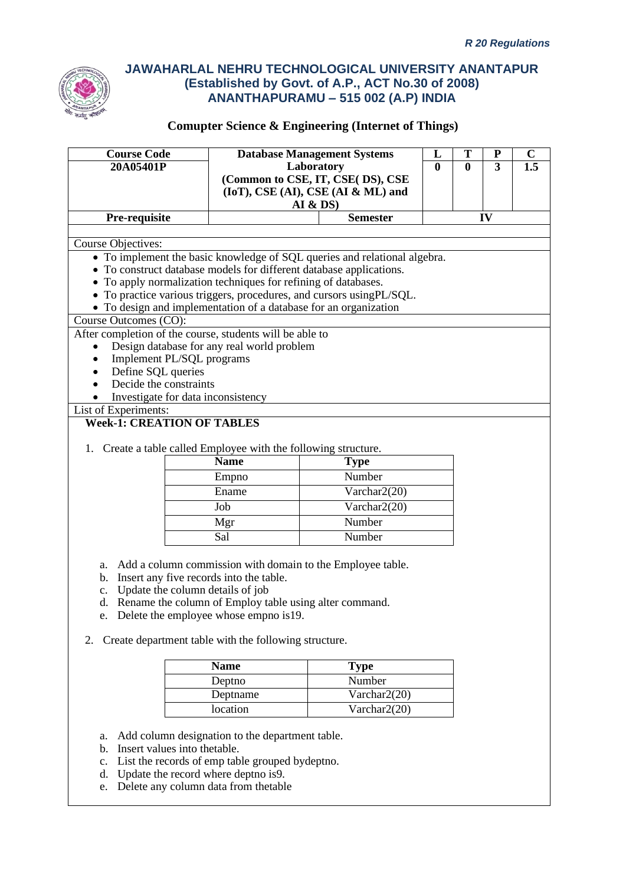

## **Comupter Science & Engineering (Internet of Things)**

| <b>Course Code</b>        |                                                                                                                                                  | <b>Database Management Systems</b>       | L        | T        | ${\bf P}$ | $\mathbf C$ |  |
|---------------------------|--------------------------------------------------------------------------------------------------------------------------------------------------|------------------------------------------|----------|----------|-----------|-------------|--|
| 20A05401P                 |                                                                                                                                                  | Laboratory                               | $\bf{0}$ | $\bf{0}$ | 3         | 1.5         |  |
|                           |                                                                                                                                                  | (Common to CSE, IT, CSE(DS), CSE         |          |          |           |             |  |
|                           |                                                                                                                                                  | $(IoT)$ , $CSE(AI)$ , $CSE(AI & ML)$ and |          |          |           |             |  |
|                           |                                                                                                                                                  | <b>AI &amp; DS)</b>                      |          |          |           |             |  |
| Pre-requisite             |                                                                                                                                                  | <b>Semester</b>                          |          |          | IV        |             |  |
|                           |                                                                                                                                                  |                                          |          |          |           |             |  |
| <b>Course Objectives:</b> |                                                                                                                                                  |                                          |          |          |           |             |  |
|                           | • To implement the basic knowledge of SQL queries and relational algebra.<br>• To construct database models for different database applications. |                                          |          |          |           |             |  |
|                           | • To apply normalization techniques for refining of databases.                                                                                   |                                          |          |          |           |             |  |
|                           | • To practice various triggers, procedures, and cursors usingPL/SQL.                                                                             |                                          |          |          |           |             |  |
|                           | • To design and implementation of a database for an organization                                                                                 |                                          |          |          |           |             |  |
| Course Outcomes (CO):     |                                                                                                                                                  |                                          |          |          |           |             |  |
|                           | After completion of the course, students will be able to                                                                                         |                                          |          |          |           |             |  |
|                           | Design database for any real world problem                                                                                                       |                                          |          |          |           |             |  |
|                           | Implement PL/SQL programs                                                                                                                        |                                          |          |          |           |             |  |
| Define SQL queries        |                                                                                                                                                  |                                          |          |          |           |             |  |
| Decide the constraints    |                                                                                                                                                  |                                          |          |          |           |             |  |
|                           | Investigate for data inconsistency                                                                                                               |                                          |          |          |           |             |  |
| List of Experiments:      |                                                                                                                                                  |                                          |          |          |           |             |  |
|                           | <b>Week-1: CREATION OF TABLES</b>                                                                                                                |                                          |          |          |           |             |  |
|                           |                                                                                                                                                  |                                          |          |          |           |             |  |
|                           | 1. Create a table called Employee with the following structure.                                                                                  |                                          |          |          |           |             |  |
|                           | <b>Name</b>                                                                                                                                      | <b>Type</b>                              |          |          |           |             |  |
|                           | Empno                                                                                                                                            | Number                                   |          |          |           |             |  |
|                           | Ename                                                                                                                                            | Varchar2(20)                             |          |          |           |             |  |
|                           | Job                                                                                                                                              | Varchar2(20)                             |          |          |           |             |  |
|                           | Mgr                                                                                                                                              | Number                                   |          |          |           |             |  |
|                           | Sal                                                                                                                                              | Number                                   |          |          |           |             |  |
|                           |                                                                                                                                                  |                                          |          |          |           |             |  |
|                           | a. Add a column commission with domain to the Employee table.                                                                                    |                                          |          |          |           |             |  |
| b.                        | Insert any five records into the table.                                                                                                          |                                          |          |          |           |             |  |
| $c_{\rm}$ .               | Update the column details of job                                                                                                                 |                                          |          |          |           |             |  |
|                           | d. Rename the column of Employ table using alter command.                                                                                        |                                          |          |          |           |             |  |
|                           | e. Delete the employee whose empno is 19.                                                                                                        |                                          |          |          |           |             |  |
|                           |                                                                                                                                                  |                                          |          |          |           |             |  |
| 2.                        | Create department table with the following structure.                                                                                            |                                          |          |          |           |             |  |
|                           | <b>Name</b>                                                                                                                                      | <b>Type</b>                              |          |          |           |             |  |
|                           | Deptno                                                                                                                                           | Number                                   |          |          |           |             |  |
|                           | Deptname                                                                                                                                         | Varchar2(20)                             |          |          |           |             |  |
|                           | location                                                                                                                                         | Varchar2(20)                             |          |          |           |             |  |
|                           |                                                                                                                                                  |                                          |          |          |           |             |  |
| a.                        | Add column designation to the department table.                                                                                                  |                                          |          |          |           |             |  |
| b.                        | Insert values into thetable.                                                                                                                     |                                          |          |          |           |             |  |
| $\mathbf{c}$ .            | List the records of emp table grouped bydeptno.                                                                                                  |                                          |          |          |           |             |  |
|                           | d. Update the record where deptno is9.                                                                                                           |                                          |          |          |           |             |  |

e. Delete any column data from thetable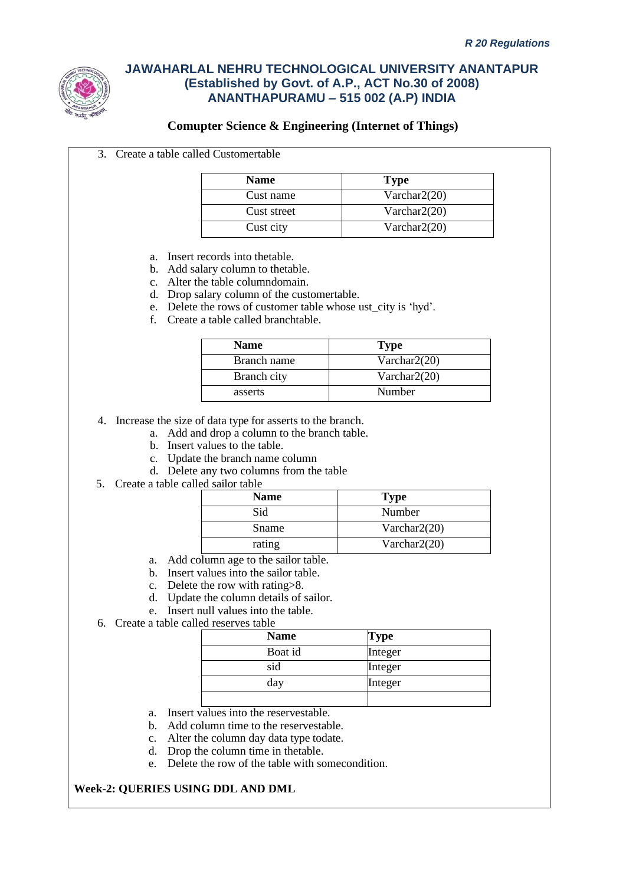

### **Comupter Science & Engineering (Internet of Things)**

3. Create a table called Customertable

| <b>Name</b> | <b>Type</b>     |
|-------------|-----------------|
| Cust name   | Varchar $2(20)$ |
| Cust street | Varchar $2(20)$ |
| Cust city   | Varchar $2(20)$ |

- a. Insert records into thetable.
- b. Add salary column to thetable.
- c. Alter the table columndomain.
- d. Drop salary column of the customertable.
- e. Delete the rows of customer table whose ust\_city is 'hyd'.
- f. Create a table called branchtable.

| <b>Name</b> | <b>Type</b>     |
|-------------|-----------------|
| Branch name | Varchar $2(20)$ |
| Branch city | Varchar $2(20)$ |
| asserts     | Number          |

4. Increase the size of data type for asserts to the branch.

- a. Add and drop a column to the branch table.
- b. Insert values to the table.
- c. Update the branch name column
- d. Delete any two columns from the table
- 5. Create a table called sailor table

| <b>Name</b> | <b>Type</b>     |
|-------------|-----------------|
| Sid         | Number          |
| Sname       | Varchar $2(20)$ |
| rating      | Varchar $2(20)$ |

- a. Add column age to the sailor table.
- b. Insert values into the sailor table.
- c. Delete the row with rating>8.
- d. Update the column details of sailor.
- e. Insert null values into the table.
- 6. Create a table called reserves table

| <b>Name</b> | Type    |
|-------------|---------|
| Boat id     | Integer |
| sid         | Integer |
| day         | Integer |
|             |         |

- a. Insert values into the reservestable.
- b. Add column time to the reservestable.
- c. Alter the column day data type todate.
- d. Drop the column time in thetable.
- e. Delete the row of the table with somecondition.

### **Week-2: QUERIES USING DDL AND DML**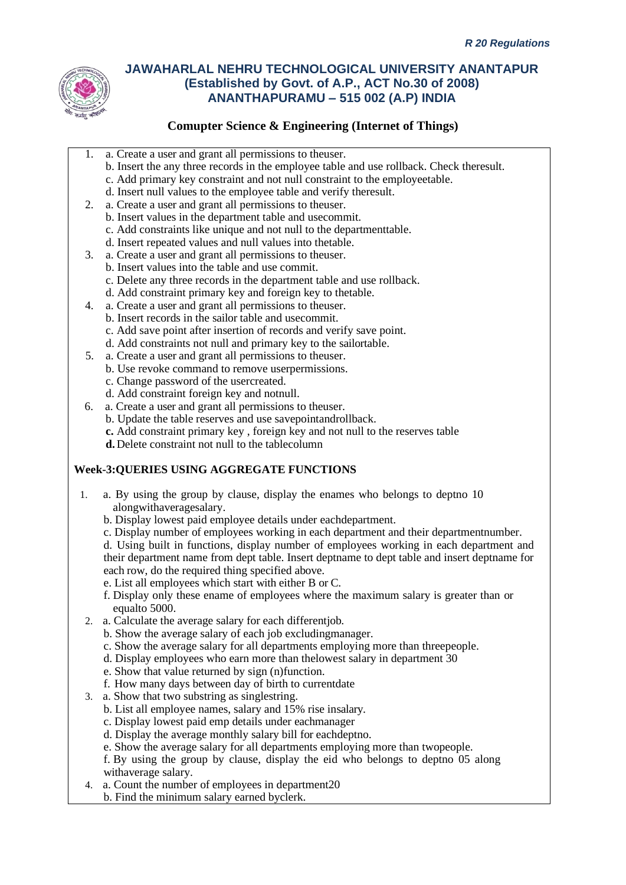

## **Comupter Science & Engineering (Internet of Things)**

- 1. a. Create a user and grant all permissions to theuser.
	- b. Insert the any three records in the employee table and use rollback. Check theresult.
	- c. Add primary key constraint and not null constraint to the employeetable.
	- d. Insert null values to the employee table and verify theresult.
- 2. a. Create a user and grant all permissions to theuser.
	- b. Insert values in the department table and usecommit.
	- c. Add constraints like unique and not null to the departmenttable.
	- d. Insert repeated values and null values into thetable.
- 3. a. Create a user and grant all permissions to theuser.
	- b. Insert values into the table and use commit.
		- c. Delete any three records in the department table and use rollback.
	- d. Add constraint primary key and foreign key to thetable.
- 4. a. Create a user and grant all permissions to theuser. b. Insert records in the sailor table and usecommit. c. Add save point after insertion of records and verify save point.
	- d. Add constraints not null and primary key to the sailortable.
- 5. a. Create a user and grant all permissions to theuser.
	- b. Use revoke command to remove userpermissions.
	- c. Change password of the usercreated.
	- d. Add constraint foreign key and notnull.
- 6. a. Create a user and grant all permissions to theuser.
	- b. Update the table reserves and use savepointandrollback.
	- **c.** Add constraint primary key , foreign key and not null to the reserves table
	- **d.**Delete constraint not null to the tablecolumn

### **Week-3:QUERIES USING AGGREGATE FUNCTIONS**

- 1. a. By using the group by clause, display the enames who belongs to deptno 10 alongwithaveragesalary.
	- b. Display lowest paid employee details under eachdepartment.
	- c. Display number of employees working in each department and their departmentnumber.
	- d. Using built in functions, display number of employees working in each department and their department name from dept table. Insert deptname to dept table and insert deptname for each row, do the required thing specified above.
	- e. List all employees which start with either B or C.
	- f. Display only these ename of employees where the maximum salary is greater than or equalto 5000.
- 2. a. Calculate the average salary for each differentjob.
	- b. Show the average salary of each job excludingmanager.
	- c. Show the average salary for all departments employing more than threepeople.
	- d. Display employees who earn more than thelowest salary in department 30
	- e. Show that value returned by sign (n)function.
	- f. How many days between day of birth to currentdate
- 3. a. Show that two substring as singlestring.
	- b. List all employee names, salary and 15% rise insalary.
	- c. Display lowest paid emp details under eachmanager
	- d. Display the average monthly salary bill for eachdeptno.
	- e. Show the average salary for all departments employing more than twopeople.
	- f. By using the group by clause, display the eid who belongs to deptno 05 along withaverage salary.
- 4. a. Count the number of employees in department20
	- b. Find the minimum salary earned byclerk.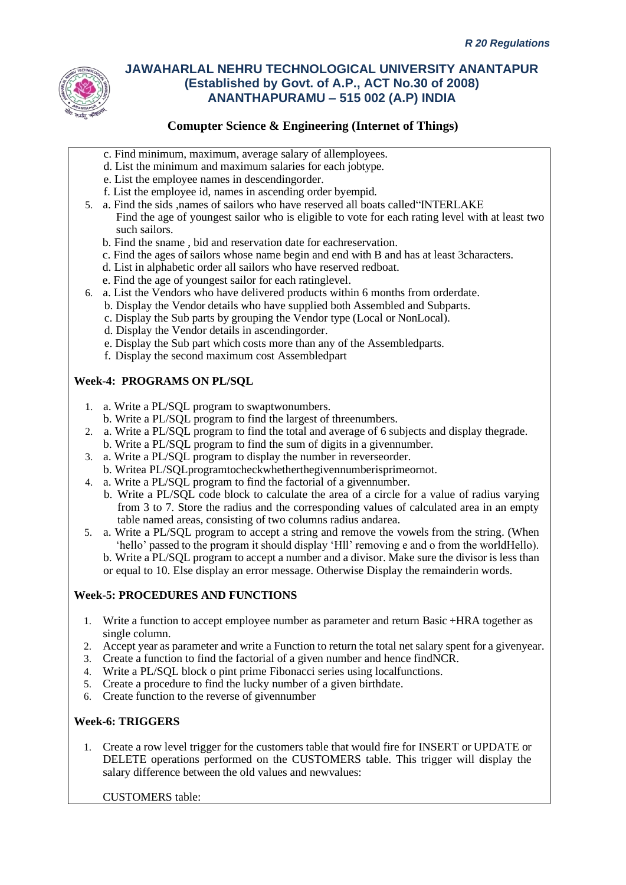

### **Comupter Science & Engineering (Internet of Things)**

- c. Find minimum, maximum, average salary of allemployees.
- d. List the minimum and maximum salaries for each jobtype.
- e. List the employee names in descendingorder.
- f. List the employee id, names in ascending order byempid.
- 5. a. Find the sids ,names of sailors who have reserved all boats called"INTERLAKE Find the age of youngest sailor who is eligible to vote for each rating level with at least two such sailors.
	- b. Find the sname , bid and reservation date for eachreservation.
	- c. Find the ages of sailors whose name begin and end with B and has at least 3characters.
	- d. List in alphabetic order all sailors who have reserved redboat.
	- e. Find the age of youngest sailor for each ratinglevel.
- 6. a. List the Vendors who have delivered products within 6 months from orderdate.
	- b. Display the Vendor details who have supplied both Assembled and Subparts.
		- c. Display the Sub parts by grouping the Vendor type (Local or NonLocal).
		- d. Display the Vendor details in ascendingorder.
		- e. Display the Sub part which costs more than any of the Assembledparts.
		- f. Display the second maximum cost Assembledpart

### **Week-4: PROGRAMS ON PL/SQL**

- 1. a. Write a PL/SQL program to swaptwonumbers.
- b. Write a PL/SQL program to find the largest of threenumbers.
- 2. a. Write a PL/SQL program to find the total and average of 6 subjects and display thegrade.
	- b. Write a PL/SQL program to find the sum of digits in a givennumber.
- 3. a. Write a PL/SQL program to display the number in reverseorder.
- b. Writea PL/SQLprogramtocheckwhetherthegivennumberisprimeornot.
- 4. a. Write a PL/SQL program to find the factorial of a givennumber.
	- b. Write a PL/SQL code block to calculate the area of a circle for a value of radius varying from 3 to 7. Store the radius and the corresponding values of calculated area in an empty table named areas, consisting of two columns radius andarea.
- 5. a. Write a PL/SQL program to accept a string and remove the vowels from the string. (When 'hello' passed to the program it should display 'Hll' removing e and o from the worldHello). b. Write a PL/SQL program to accept a number and a divisor. Make sure the divisor is less than or equal to 10. Else display an error message. Otherwise Display the remainderin words.

### **Week-5: PROCEDURES AND FUNCTIONS**

- 1. Write a function to accept employee number as parameter and return Basic +HRA together as single column.
- 2. Accept year as parameter and write a Function to return the total net salary spent for a givenyear.
- 3. Create a function to find the factorial of a given number and hence findNCR.
- 4. Write a PL/SQL block o pint prime Fibonacci series using localfunctions.
- 5. Create a procedure to find the lucky number of a given birthdate.
- 6. Create function to the reverse of givennumber

### **Week-6: TRIGGERS**

1. Create a row level trigger for the customers table that would fire for INSERT or UPDATE or DELETE operations performed on the CUSTOMERS table. This trigger will display the salary difference between the old values and newvalues:

CUSTOMERS table: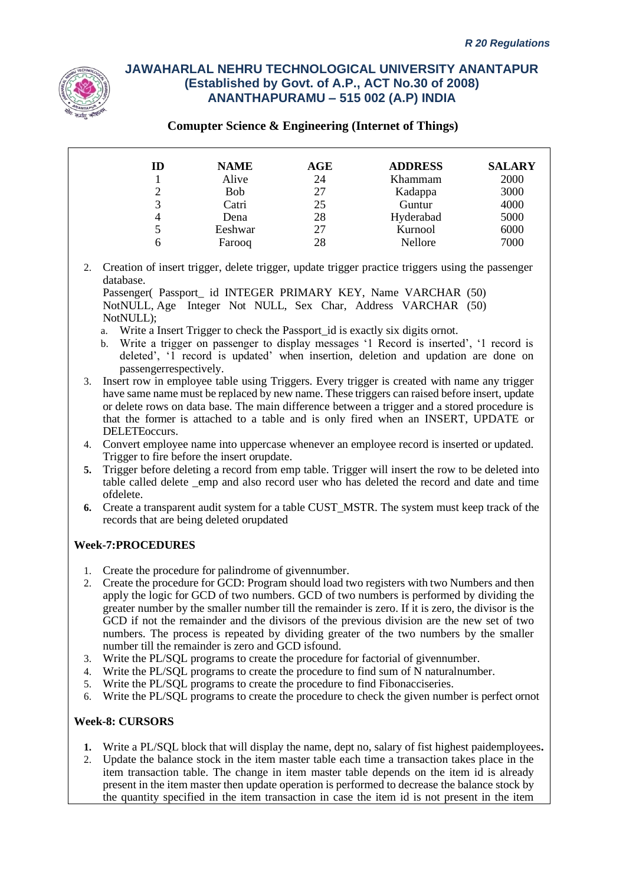

### **Comupter Science & Engineering (Internet of Things)**

| ID | <b>NAME</b> | AGE | <b>ADDRESS</b> | <b>SALARY</b> |
|----|-------------|-----|----------------|---------------|
|    | Alive       | 24  | Khammam        | 2000          |
|    | <b>Bob</b>  | 27  | Kadappa        | 3000          |
|    | Catri       | 25  | Guntur         | 4000          |
|    | Dena        | 28  | Hyderabad      | 5000          |
|    | Eeshwar     | 27  | Kurnool        | 6000          |
| h  | Farooq      | 28  | Nellore        | 7000          |

2. Creation of insert trigger, delete trigger, update trigger practice triggers using the passenger database.

Passenger( Passport id INTEGER PRIMARY KEY, Name VARCHAR (50) NotNULL, Age Integer Not NULL, Sex Char, Address VARCHAR (50) NotNULL):

- a. Write a Insert Trigger to check the Passport id is exactly six digits ornot.
- b. Write a trigger on passenger to display messages '1 Record is inserted', '1 record is deleted', '1 record is updated' when insertion, deletion and updation are done on passengerrespectively.
- 3. Insert row in employee table using Triggers. Every trigger is created with name any trigger have same name must be replaced by new name. These triggers can raised before insert, update or delete rows on data base. The main difference between a trigger and a stored procedure is that the former is attached to a table and is only fired when an INSERT, UPDATE or DELETEoccurs.
- 4. Convert employee name into uppercase whenever an employee record is inserted or updated. Trigger to fire before the insert orupdate.
- **5.** Trigger before deleting a record from emp table. Trigger will insert the row to be deleted into table called delete emp and also record user who has deleted the record and date and time ofdelete.
- **6.** Create a transparent audit system for a table CUST\_MSTR. The system must keep track of the records that are being deleted orupdated

### **Week-7:PROCEDURES**

- 1. Create the procedure for palindrome of givennumber.
- 2. Create the procedure for GCD: Program should load two registers with two Numbers and then apply the logic for GCD of two numbers. GCD of two numbers is performed by dividing the greater number by the smaller number till the remainder is zero. If it is zero, the divisor is the GCD if not the remainder and the divisors of the previous division are the new set of two numbers. The process is repeated by dividing greater of the two numbers by the smaller number till the remainder is zero and GCD isfound.
- 3. Write the PL/SQL programs to create the procedure for factorial of givennumber.
- 4. Write the PL/SQL programs to create the procedure to find sum of N naturalnumber.
- 5. Write the PL/SQL programs to create the procedure to find Fibonacciseries.
- 6. Write the PL/SQL programs to create the procedure to check the given number is perfect ornot

### **Week-8: CURSORS**

- **1.** Write a PL/SQL block that will display the name, dept no, salary of fist highest paidemployees**.**
- 2. Update the balance stock in the item master table each time a transaction takes place in the item transaction table. The change in item master table depends on the item id is already present in the item master then update operation is performed to decrease the balance stock by the quantity specified in the item transaction in case the item id is not present in the item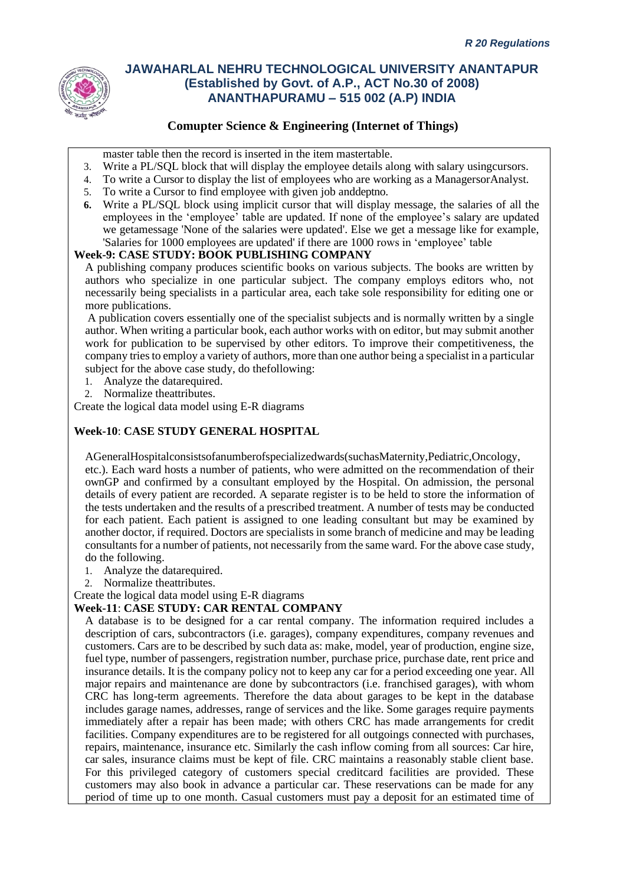

### **Comupter Science & Engineering (Internet of Things)**

master table then the record is inserted in the item mastertable.

- 3. Write a PL/SQL block that will display the employee details along with salary usingcursors.
- 4. To write a Cursor to display the list of employees who are working as a ManagersorAnalyst.
- 5. To write a Cursor to find employee with given job anddeptno.
- **6.** Write a PL/SQL block using implicit cursor that will display message, the salaries of all the employees in the 'employee' table are updated. If none of the employee's salary are updated we getamessage 'None of the salaries were updated'. Else we get a message like for example, 'Salaries for 1000 employees are updated' if there are 1000 rows in 'employee' table

### **Week-9: CASE STUDY: BOOK PUBLISHING COMPANY**

A publishing company produces scientific books on various subjects. The books are written by authors who specialize in one particular subject. The company employs editors who, not necessarily being specialists in a particular area, each take sole responsibility for editing one or more publications.

A publication covers essentially one of the specialist subjects and is normally written by a single author. When writing a particular book, each author works with on editor, but may submit another work for publication to be supervised by other editors. To improve their competitiveness, the company tries to employ a variety of authors, more than one author being a specialist in a particular subject for the above case study, do thefollowing:

- 1. Analyze the datarequired.
- 2. Normalize theattributes.

Create the logical data model using E-R diagrams

#### **Week-10**: **CASE STUDY GENERAL HOSPITAL**

AGeneralHospitalconsistsofanumberofspecializedwards(suchasMaternity,Pediatric,Oncology, etc.). Each ward hosts a number of patients, who were admitted on the recommendation of their ownGP and confirmed by a consultant employed by the Hospital. On admission, the personal details of every patient are recorded. A separate register is to be held to store the information of the tests undertaken and the results of a prescribed treatment. A number of tests may be conducted for each patient. Each patient is assigned to one leading consultant but may be examined by another doctor, if required. Doctors are specialists in some branch of medicine and may be leading consultants for a number of patients, not necessarily from the same ward. For the above case study, do the following.

- 1. Analyze the datarequired.
- 2. Normalize theattributes.

Create the logical data model using E-R diagrams

#### **Week-11**: **CASE STUDY: CAR RENTAL COMPANY**

A database is to be designed for a car rental company. The information required includes a description of cars, subcontractors (i.e. garages), company expenditures, company revenues and customers. Cars are to be described by such data as: make, model, year of production, engine size, fuel type, number of passengers, registration number, purchase price, purchase date, rent price and insurance details. It is the company policy not to keep any car for a period exceeding one year. All major repairs and maintenance are done by subcontractors (i.e. franchised garages), with whom CRC has long-term agreements. Therefore the data about garages to be kept in the database includes garage names, addresses, range of services and the like. Some garages require payments immediately after a repair has been made; with others CRC has made arrangements for credit facilities. Company expenditures are to be registered for all outgoings connected with purchases, repairs, maintenance, insurance etc. Similarly the cash inflow coming from all sources: Car hire, car sales, insurance claims must be kept of file. CRC maintains a reasonably stable client base. For this privileged category of customers special creditcard facilities are provided. These customers may also book in advance a particular car. These reservations can be made for any period of time up to one month. Casual customers must pay a deposit for an estimated time of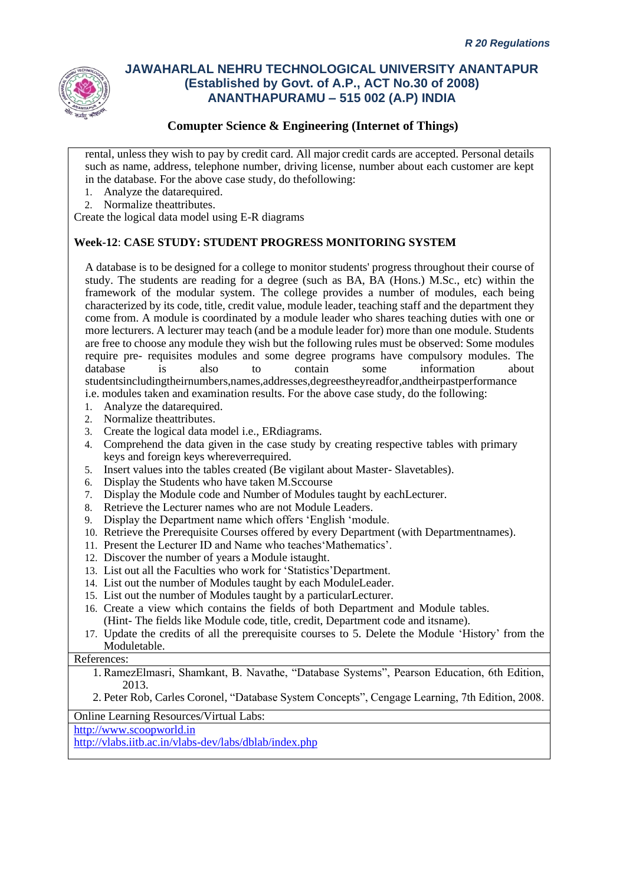

### **Comupter Science & Engineering (Internet of Things)**

rental, unless they wish to pay by credit card. All major credit cards are accepted. Personal details such as name, address, telephone number, driving license, number about each customer are kept in the database. For the above case study, do thefollowing:

- 1. Analyze the datarequired.
- 2. Normalize theattributes.

Create the logical data model using E-R diagrams

### **Week-12**: **CASE STUDY: STUDENT PROGRESS MONITORING SYSTEM**

A database is to be designed for a college to monitor students' progress throughout their course of study. The students are reading for a degree (such as BA, BA (Hons.) M.Sc., etc) within the framework of the modular system. The college provides a number of modules, each being characterized by its code, title, credit value, module leader, teaching staff and the department they come from. A module is coordinated by a module leader who shares teaching duties with one or more lecturers. A lecturer may teach (and be a module leader for) more than one module. Students are free to choose any module they wish but the following rules must be observed: Some modules require pre- requisites modules and some degree programs have compulsory modules. The database is also to contain some information about studentsincludingtheirnumbers,names,addresses,degreestheyreadfor,andtheirpastperformance i.e. modules taken and examination results. For the above case study, do the following:

- 1. Analyze the datarequired.
- 2. Normalize theattributes.
- 3. Create the logical data model i.e., ERdiagrams.
- 4. Comprehend the data given in the case study by creating respective tables with primary keys and foreign keys whereverrequired.
- 5. Insert values into the tables created (Be vigilant about Master- Slavetables).
- 6. Display the Students who have taken M.Sccourse
- 7. Display the Module code and Number of Modules taught by eachLecturer.
- 8. Retrieve the Lecturer names who are not Module Leaders.
- 9. Display the Department name which offers 'English 'module.
- 10. Retrieve the Prerequisite Courses offered by every Department (with Departmentnames).
- 11. Present the Lecturer ID and Name who teaches'Mathematics'.
- 12. Discover the number of years a Module istaught.
- 13. List out all the Faculties who work for 'Statistics'Department.
- 14. List out the number of Modules taught by each ModuleLeader.
- 15. List out the number of Modules taught by a particularLecturer.
- 16. Create a view which contains the fields of both Department and Module tables. (Hint- The fields like Module code, title, credit, Department code and itsname).
- 17. Update the credits of all the prerequisite courses to 5. Delete the Module 'History' from the Moduletable.

### References:

1. RamezElmasri, Shamkant, B. Navathe, "Database Systems", Pearson Education, 6th Edition, 2013.

2. Peter Rob, Carles Coronel, "Database System Concepts", Cengage Learning, 7th Edition, 2008.

Online Learning Resources/Virtual Labs:

[http://www.scoopworld.in](http://www.scoopworld.in/)

<http://vlabs.iitb.ac.in/vlabs-dev/labs/dblab/index.php>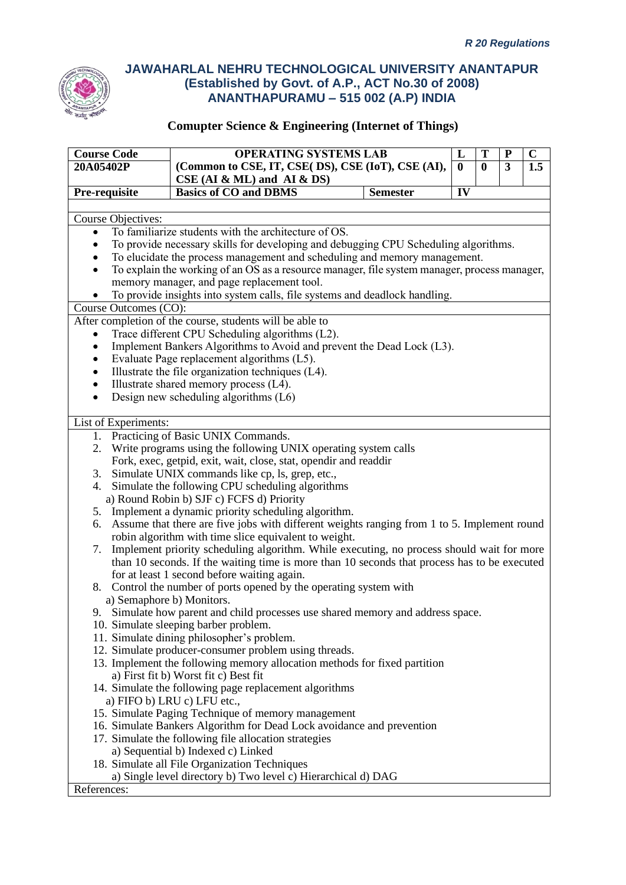

| <b>Course Code</b>        | <b>OPERATING SYSTEMS LAB</b>                                                                    |                 |                   | T            | ${\bf P}$ | $\mathbf C$ |
|---------------------------|-------------------------------------------------------------------------------------------------|-----------------|-------------------|--------------|-----------|-------------|
| 20A05402P                 | (Common to CSE, IT, CSE( DS), CSE (IoT), CSE (AI),                                              |                 | L<br>$\mathbf{0}$ | $\mathbf{0}$ | 3         | 1.5         |
|                           | $CSE$ (AI & ML) and AI & DS)                                                                    |                 |                   |              |           |             |
| Pre-requisite             | <b>Basics of CO and DBMS</b>                                                                    | <b>Semester</b> | IV                |              |           |             |
|                           |                                                                                                 |                 |                   |              |           |             |
| <b>Course Objectives:</b> |                                                                                                 |                 |                   |              |           |             |
| $\bullet$                 | To familiarize students with the architecture of OS.                                            |                 |                   |              |           |             |
|                           | To provide necessary skills for developing and debugging CPU Scheduling algorithms.             |                 |                   |              |           |             |
|                           | To elucidate the process management and scheduling and memory management.                       |                 |                   |              |           |             |
| $\bullet$                 | To explain the working of an OS as a resource manager, file system manager, process manager,    |                 |                   |              |           |             |
|                           | memory manager, and page replacement tool.                                                      |                 |                   |              |           |             |
|                           | To provide insights into system calls, file systems and deadlock handling.                      |                 |                   |              |           |             |
| Course Outcomes (CO):     |                                                                                                 |                 |                   |              |           |             |
|                           | After completion of the course, students will be able to                                        |                 |                   |              |           |             |
|                           | Trace different CPU Scheduling algorithms (L2).                                                 |                 |                   |              |           |             |
|                           | Implement Bankers Algorithms to Avoid and prevent the Dead Lock (L3).                           |                 |                   |              |           |             |
|                           | Evaluate Page replacement algorithms (L5).                                                      |                 |                   |              |           |             |
|                           | Illustrate the file organization techniques (L4).                                               |                 |                   |              |           |             |
|                           | Illustrate shared memory process (L4).                                                          |                 |                   |              |           |             |
|                           | Design new scheduling algorithms (L6)                                                           |                 |                   |              |           |             |
|                           |                                                                                                 |                 |                   |              |           |             |
| List of Experiments:      |                                                                                                 |                 |                   |              |           |             |
| 1.                        | Practicing of Basic UNIX Commands.                                                              |                 |                   |              |           |             |
| 2.                        | Write programs using the following UNIX operating system calls                                  |                 |                   |              |           |             |
|                           | Fork, exec, getpid, exit, wait, close, stat, opendir and readdir                                |                 |                   |              |           |             |
|                           | 3. Simulate UNIX commands like cp, ls, grep, etc.,                                              |                 |                   |              |           |             |
|                           | 4. Simulate the following CPU scheduling algorithms                                             |                 |                   |              |           |             |
|                           | a) Round Robin b) SJF c) FCFS d) Priority                                                       |                 |                   |              |           |             |
|                           | 5. Implement a dynamic priority scheduling algorithm.                                           |                 |                   |              |           |             |
|                           | 6. Assume that there are five jobs with different weights ranging from 1 to 5. Implement round  |                 |                   |              |           |             |
|                           | robin algorithm with time slice equivalent to weight.                                           |                 |                   |              |           |             |
|                           | 7. Implement priority scheduling algorithm. While executing, no process should wait for more    |                 |                   |              |           |             |
|                           | than 10 seconds. If the waiting time is more than 10 seconds that process has to be executed    |                 |                   |              |           |             |
|                           | for at least 1 second before waiting again.                                                     |                 |                   |              |           |             |
|                           | 8. Control the number of ports opened by the operating system with<br>a) Semaphore b) Monitors. |                 |                   |              |           |             |
|                           | 9. Simulate how parent and child processes use shared memory and address space.                 |                 |                   |              |           |             |
|                           | 10. Simulate sleeping barber problem.                                                           |                 |                   |              |           |             |
|                           | 11. Simulate dining philosopher's problem.                                                      |                 |                   |              |           |             |
|                           | 12. Simulate producer-consumer problem using threads.                                           |                 |                   |              |           |             |
|                           | 13. Implement the following memory allocation methods for fixed partition                       |                 |                   |              |           |             |
|                           | a) First fit b) Worst fit c) Best fit                                                           |                 |                   |              |           |             |
|                           | 14. Simulate the following page replacement algorithms                                          |                 |                   |              |           |             |
|                           | a) FIFO b) LRU c) LFU etc.,                                                                     |                 |                   |              |           |             |
|                           | 15. Simulate Paging Technique of memory management                                              |                 |                   |              |           |             |
|                           | 16. Simulate Bankers Algorithm for Dead Lock avoidance and prevention                           |                 |                   |              |           |             |
|                           | 17. Simulate the following file allocation strategies                                           |                 |                   |              |           |             |
|                           | a) Sequential b) Indexed c) Linked                                                              |                 |                   |              |           |             |
|                           | 18. Simulate all File Organization Techniques                                                   |                 |                   |              |           |             |
|                           | a) Single level directory b) Two level c) Hierarchical d) DAG                                   |                 |                   |              |           |             |
| References:               |                                                                                                 |                 |                   |              |           |             |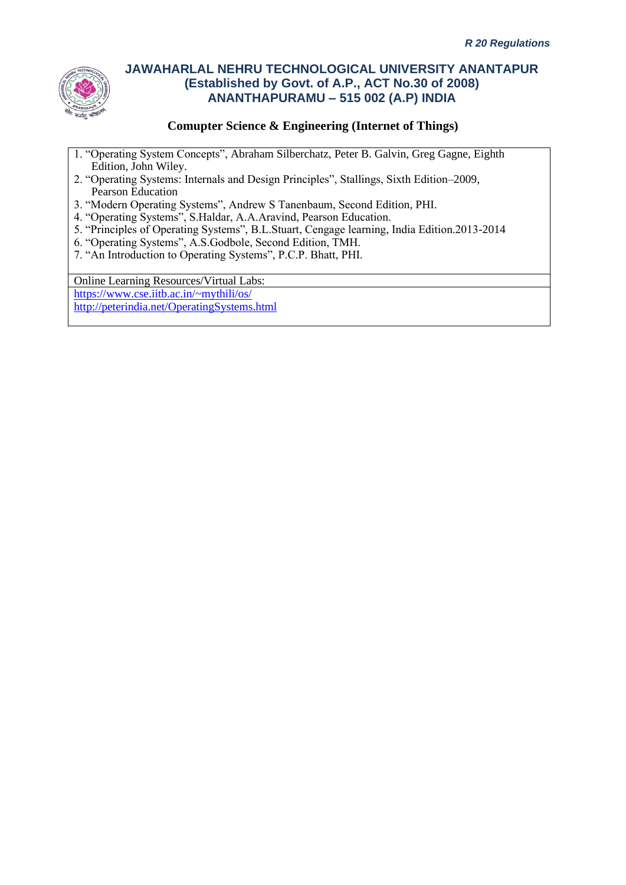

### **Comupter Science & Engineering (Internet of Things)**

- 1. "Operating System Concepts", Abraham Silberchatz, Peter B. Galvin, Greg Gagne, Eighth Edition, John Wiley.
- 2. "Operating Systems: Internals and Design Principles", Stallings, Sixth Edition–2009, Pearson Education
- 3. "Modern Operating Systems", Andrew S Tanenbaum, Second Edition, PHI.
- 4. "Operating Systems", S.Haldar, A.A.Aravind, Pearson Education.
- 5. "Principles of Operating Systems", B.L.Stuart, Cengage learning, India Edition.2013-2014
- 6. "Operating Systems", A.S.Godbole, Second Edition, TMH.
- 7. "An Introduction to Operating Systems", P.C.P. Bhatt, PHI.

Online Learning Resources/Virtual Labs:

<https://www.cse.iitb.ac.in/~mythili/os/> <http://peterindia.net/OperatingSystems.html>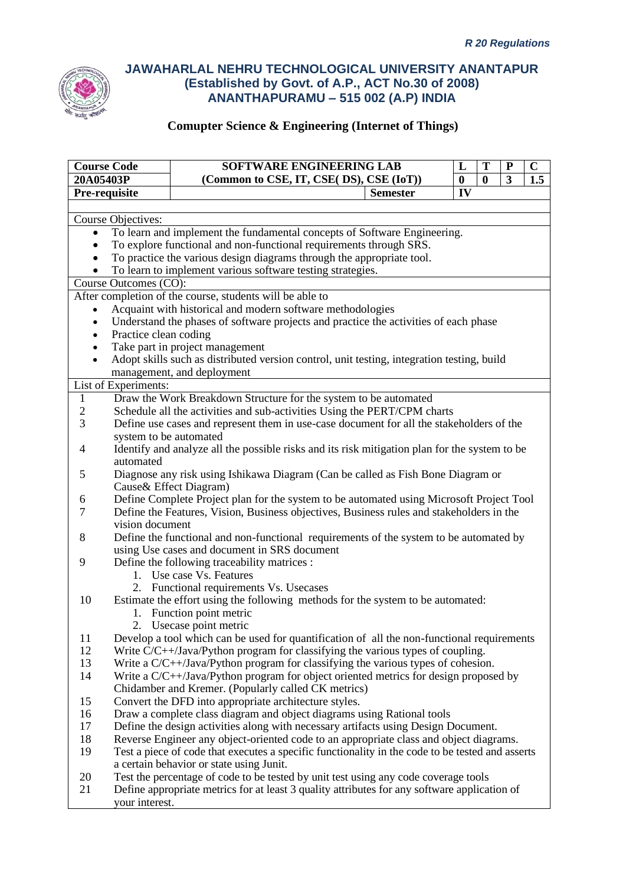

| <b>Course Code</b>                                    |                                                                          | SOFTWARE ENGINEERING LAB                                                                         |                 | L        | T | ${\bf P}$ | $\mathbf C$ |
|-------------------------------------------------------|--------------------------------------------------------------------------|--------------------------------------------------------------------------------------------------|-----------------|----------|---|-----------|-------------|
| 20A05403P<br>(Common to CSE, IT, CSE( DS), CSE (IoT)) |                                                                          |                                                                                                  | $\bf{0}$        | $\bf{0}$ | 3 | 1.5       |             |
| Pre-requisite                                         |                                                                          |                                                                                                  | <b>Semester</b> |          |   |           |             |
|                                                       |                                                                          |                                                                                                  |                 |          |   |           |             |
|                                                       | Course Objectives:                                                       |                                                                                                  |                 |          |   |           |             |
| $\bullet$                                             | To learn and implement the fundamental concepts of Software Engineering. |                                                                                                  |                 |          |   |           |             |
| $\bullet$                                             |                                                                          | To explore functional and non-functional requirements through SRS.                               |                 |          |   |           |             |
|                                                       |                                                                          | To practice the various design diagrams through the appropriate tool.                            |                 |          |   |           |             |
|                                                       |                                                                          | To learn to implement various software testing strategies.                                       |                 |          |   |           |             |
|                                                       | Course Outcomes (CO):                                                    |                                                                                                  |                 |          |   |           |             |
|                                                       |                                                                          | After completion of the course, students will be able to                                         |                 |          |   |           |             |
|                                                       |                                                                          | Acquaint with historical and modern software methodologies                                       |                 |          |   |           |             |
|                                                       |                                                                          | Understand the phases of software projects and practice the activities of each phase             |                 |          |   |           |             |
|                                                       | Practice clean coding                                                    |                                                                                                  |                 |          |   |           |             |
|                                                       |                                                                          | Take part in project management                                                                  |                 |          |   |           |             |
| $\bullet$                                             |                                                                          | Adopt skills such as distributed version control, unit testing, integration testing, build       |                 |          |   |           |             |
|                                                       |                                                                          | management, and deployment                                                                       |                 |          |   |           |             |
|                                                       | List of Experiments:                                                     |                                                                                                  |                 |          |   |           |             |
| $\mathbf{1}$                                          |                                                                          | Draw the Work Breakdown Structure for the system to be automated                                 |                 |          |   |           |             |
| $\sqrt{2}$                                            |                                                                          | Schedule all the activities and sub-activities Using the PERT/CPM charts                         |                 |          |   |           |             |
| 3                                                     |                                                                          | Define use cases and represent them in use-case document for all the stakeholders of the         |                 |          |   |           |             |
|                                                       | system to be automated                                                   |                                                                                                  |                 |          |   |           |             |
| 4                                                     |                                                                          | Identify and analyze all the possible risks and its risk mitigation plan for the system to be    |                 |          |   |           |             |
|                                                       | automated                                                                |                                                                                                  |                 |          |   |           |             |
| 5                                                     |                                                                          | Diagnose any risk using Ishikawa Diagram (Can be called as Fish Bone Diagram or                  |                 |          |   |           |             |
|                                                       |                                                                          | Cause & Effect Diagram)                                                                          |                 |          |   |           |             |
| 6                                                     |                                                                          | Define Complete Project plan for the system to be automated using Microsoft Project Tool         |                 |          |   |           |             |
| 7                                                     |                                                                          | Define the Features, Vision, Business objectives, Business rules and stakeholders in the         |                 |          |   |           |             |
|                                                       | vision document                                                          |                                                                                                  |                 |          |   |           |             |
| 8                                                     |                                                                          | Define the functional and non-functional requirements of the system to be automated by           |                 |          |   |           |             |
|                                                       |                                                                          | using Use cases and document in SRS document                                                     |                 |          |   |           |             |
| 9                                                     |                                                                          | Define the following traceability matrices :                                                     |                 |          |   |           |             |
|                                                       |                                                                          | 1. Use case Vs. Features                                                                         |                 |          |   |           |             |
|                                                       |                                                                          | 2. Functional requirements Vs. Usecases                                                          |                 |          |   |           |             |
| 10                                                    |                                                                          | Estimate the effort using the following methods for the system to be automated:                  |                 |          |   |           |             |
|                                                       |                                                                          | 1. Function point metric                                                                         |                 |          |   |           |             |
|                                                       |                                                                          | 2. Usecase point metric                                                                          |                 |          |   |           |             |
| 11                                                    |                                                                          | Develop a tool which can be used for quantification of all the non-functional requirements       |                 |          |   |           |             |
| 12                                                    |                                                                          | Write $C/C++$ Java/Python program for classifying the various types of coupling.                 |                 |          |   |           |             |
| 13                                                    |                                                                          | Write a $C/C++$ /Java/Python program for classifying the various types of cohesion.              |                 |          |   |           |             |
| 14                                                    |                                                                          | Write a C/C++/Java/Python program for object oriented metrics for design proposed by             |                 |          |   |           |             |
|                                                       |                                                                          | Chidamber and Kremer. (Popularly called CK metrics)                                              |                 |          |   |           |             |
| 15                                                    |                                                                          | Convert the DFD into appropriate architecture styles.                                            |                 |          |   |           |             |
| 16                                                    |                                                                          | Draw a complete class diagram and object diagrams using Rational tools                           |                 |          |   |           |             |
| 17                                                    |                                                                          | Define the design activities along with necessary artifacts using Design Document.               |                 |          |   |           |             |
| 18                                                    |                                                                          | Reverse Engineer any object-oriented code to an appropriate class and object diagrams.           |                 |          |   |           |             |
| 19                                                    |                                                                          | Test a piece of code that executes a specific functionality in the code to be tested and asserts |                 |          |   |           |             |
|                                                       |                                                                          | a certain behavior or state using Junit.                                                         |                 |          |   |           |             |
| 20                                                    |                                                                          | Test the percentage of code to be tested by unit test using any code coverage tools              |                 |          |   |           |             |
| 21                                                    |                                                                          | Define appropriate metrics for at least 3 quality attributes for any software application of     |                 |          |   |           |             |
|                                                       | your interest.                                                           |                                                                                                  |                 |          |   |           |             |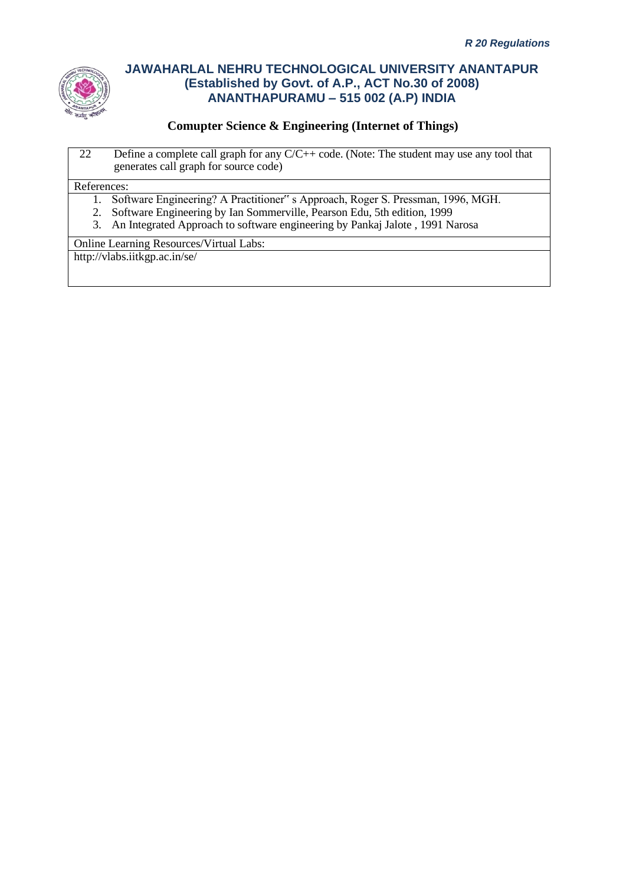

### **Comupter Science & Engineering (Internet of Things)**

22 Define a complete call graph for any C/C++ code. (Note: The student may use any tool that generates call graph for source code)

#### References:

- 1. Software Engineering? A Practitioner" s Approach, Roger S. Pressman, 1996, MGH.
- 2. Software Engineering by Ian Sommerville, Pearson Edu, 5th edition, 1999
- 3. An Integrated Approach to software engineering by Pankaj Jalote , 1991 Narosa

Online Learning Resources/Virtual Labs:

http://vlabs.iitkgp.ac.in/se/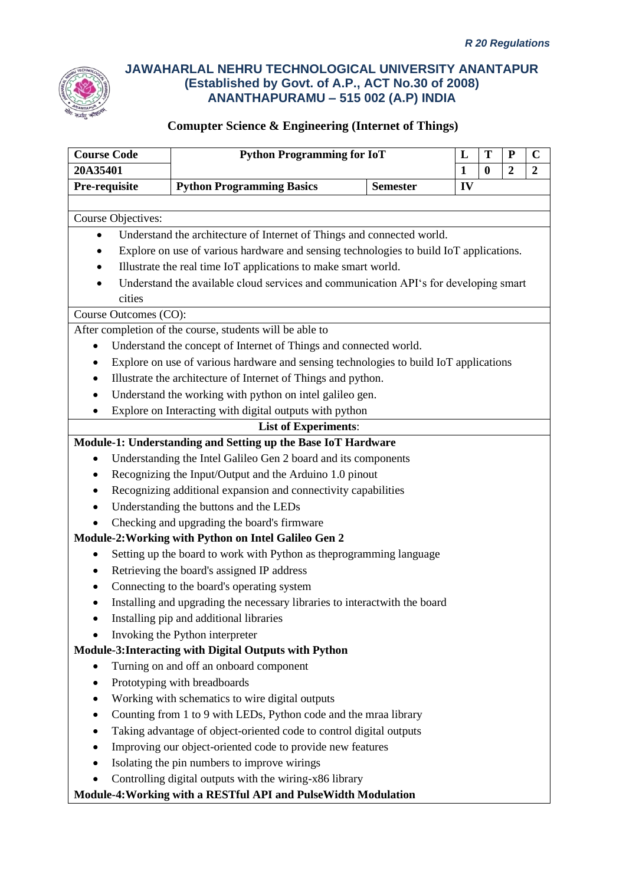

| <b>Course Code</b>        | <b>Python Programming for IoT</b>                                                      |                 | L            | T        | ${\bf P}$        | $\mathbf C$    |  |
|---------------------------|----------------------------------------------------------------------------------------|-----------------|--------------|----------|------------------|----------------|--|
| 20A35401                  |                                                                                        |                 | $\mathbf{1}$ | $\bf{0}$ | $\boldsymbol{2}$ | $\overline{2}$ |  |
| Pre-requisite             | <b>Python Programming Basics</b>                                                       | <b>Semester</b> | IV           |          |                  |                |  |
|                           |                                                                                        |                 |              |          |                  |                |  |
| <b>Course Objectives:</b> |                                                                                        |                 |              |          |                  |                |  |
| $\bullet$                 | Understand the architecture of Internet of Things and connected world.                 |                 |              |          |                  |                |  |
|                           | Explore on use of various hardware and sensing technologies to build IoT applications. |                 |              |          |                  |                |  |
|                           | Illustrate the real time IoT applications to make smart world.                         |                 |              |          |                  |                |  |
|                           | Understand the available cloud services and communication API's for developing smart   |                 |              |          |                  |                |  |
| cities                    |                                                                                        |                 |              |          |                  |                |  |
| Course Outcomes (CO):     |                                                                                        |                 |              |          |                  |                |  |
|                           | After completion of the course, students will be able to                               |                 |              |          |                  |                |  |
|                           | Understand the concept of Internet of Things and connected world.                      |                 |              |          |                  |                |  |
|                           | Explore on use of various hardware and sensing technologies to build IoT applications  |                 |              |          |                  |                |  |
|                           | Illustrate the architecture of Internet of Things and python.                          |                 |              |          |                  |                |  |
|                           | Understand the working with python on intel galileo gen.                               |                 |              |          |                  |                |  |
|                           | Explore on Interacting with digital outputs with python                                |                 |              |          |                  |                |  |
|                           | <b>List of Experiments:</b>                                                            |                 |              |          |                  |                |  |
|                           | Module-1: Understanding and Setting up the Base IoT Hardware                           |                 |              |          |                  |                |  |
|                           | Understanding the Intel Galileo Gen 2 board and its components                         |                 |              |          |                  |                |  |
|                           | Recognizing the Input/Output and the Arduino 1.0 pinout                                |                 |              |          |                  |                |  |
|                           | Recognizing additional expansion and connectivity capabilities                         |                 |              |          |                  |                |  |
|                           | Understanding the buttons and the LEDs                                                 |                 |              |          |                  |                |  |
|                           | Checking and upgrading the board's firmware                                            |                 |              |          |                  |                |  |
|                           | Module-2: Working with Python on Intel Galileo Gen 2                                   |                 |              |          |                  |                |  |
|                           | Setting up the board to work with Python as the programming language                   |                 |              |          |                  |                |  |
|                           | Retrieving the board's assigned IP address                                             |                 |              |          |                  |                |  |
|                           | Connecting to the board's operating system                                             |                 |              |          |                  |                |  |
|                           | Installing and upgrading the necessary libraries to interactwith the board             |                 |              |          |                  |                |  |
|                           | Installing pip and additional libraries                                                |                 |              |          |                  |                |  |
|                           | Invoking the Python interpreter                                                        |                 |              |          |                  |                |  |
|                           | Module-3: Interacting with Digital Outputs with Python                                 |                 |              |          |                  |                |  |
|                           | Turning on and off an onboard component                                                |                 |              |          |                  |                |  |
|                           | Prototyping with breadboards                                                           |                 |              |          |                  |                |  |
|                           | Working with schematics to wire digital outputs                                        |                 |              |          |                  |                |  |
|                           | Counting from 1 to 9 with LEDs, Python code and the mraa library                       |                 |              |          |                  |                |  |
|                           | Taking advantage of object-oriented code to control digital outputs                    |                 |              |          |                  |                |  |
|                           | Improving our object-oriented code to provide new features                             |                 |              |          |                  |                |  |
|                           | Isolating the pin numbers to improve wirings                                           |                 |              |          |                  |                |  |
|                           | Controlling digital outputs with the wiring-x86 library                                |                 |              |          |                  |                |  |
|                           | Module-4: Working with a RESTful API and PulseWidth Modulation                         |                 |              |          |                  |                |  |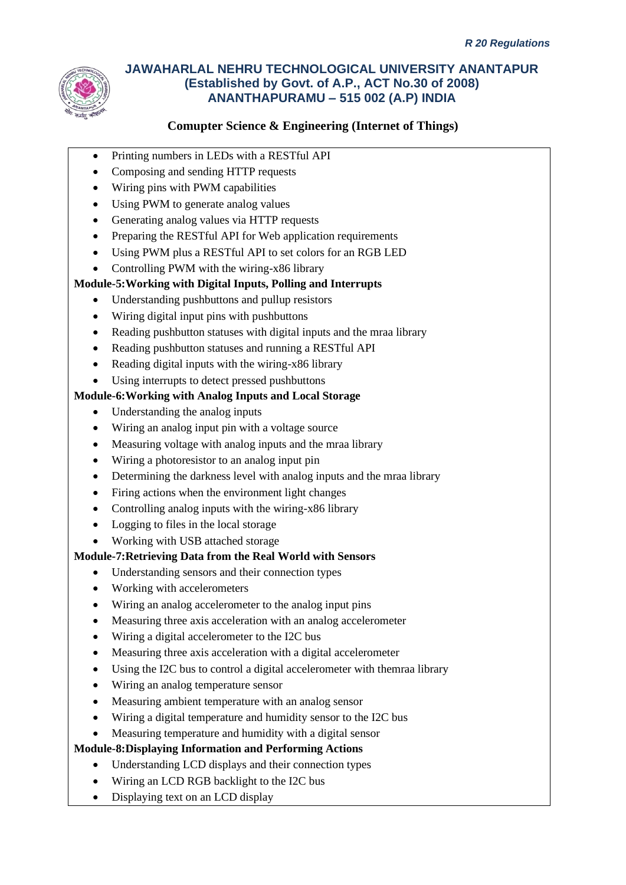

# **Comupter Science & Engineering (Internet of Things)**

- Printing numbers in LEDs with a RESTful API
- Composing and sending HTTP requests
- Wiring pins with PWM capabilities
- Using PWM to generate analog values
- Generating analog values via HTTP requests
- Preparing the RESTful API for Web application requirements
- Using PWM plus a RESTful API to set colors for an RGB LED
- Controlling PWM with the wiring-x86 library

### **Module-5:Working with Digital Inputs, Polling and Interrupts**

- Understanding pushbuttons and pullup resistors
- Wiring digital input pins with pushbuttons
- Reading pushbutton statuses with digital inputs and the mraa library
- Reading pushbutton statuses and running a RESTful API
- Reading digital inputs with the wiring-x86 library
- Using interrupts to detect pressed pushbuttons

### **Module-6:Working with Analog Inputs and Local Storage**

- Understanding the analog inputs
- Wiring an analog input pin with a voltage source
- Measuring voltage with analog inputs and the mraa library
- Wiring a photoresistor to an analog input pin
- Determining the darkness level with analog inputs and the mraa library
- Firing actions when the environment light changes
- Controlling analog inputs with the wiring-x86 library
- Logging to files in the local storage
- Working with USB attached storage

### **Module-7:Retrieving Data from the Real World with Sensors**

- Understanding sensors and their connection types
- Working with accelerometers
- Wiring an analog accelerometer to the analog input pins
- Measuring three axis acceleration with an analog accelerometer
- Wiring a digital accelerometer to the I2C bus
- Measuring three axis acceleration with a digital accelerometer
- Using the I2C bus to control a digital accelerometer with themraa library
- Wiring an analog temperature sensor
- Measuring ambient temperature with an analog sensor
- Wiring a digital temperature and humidity sensor to the I2C bus
- Measuring temperature and humidity with a digital sensor

### **Module-8:Displaying Information and Performing Actions**

- Understanding LCD displays and their connection types
- Wiring an LCD RGB backlight to the I2C bus
- Displaying text on an LCD display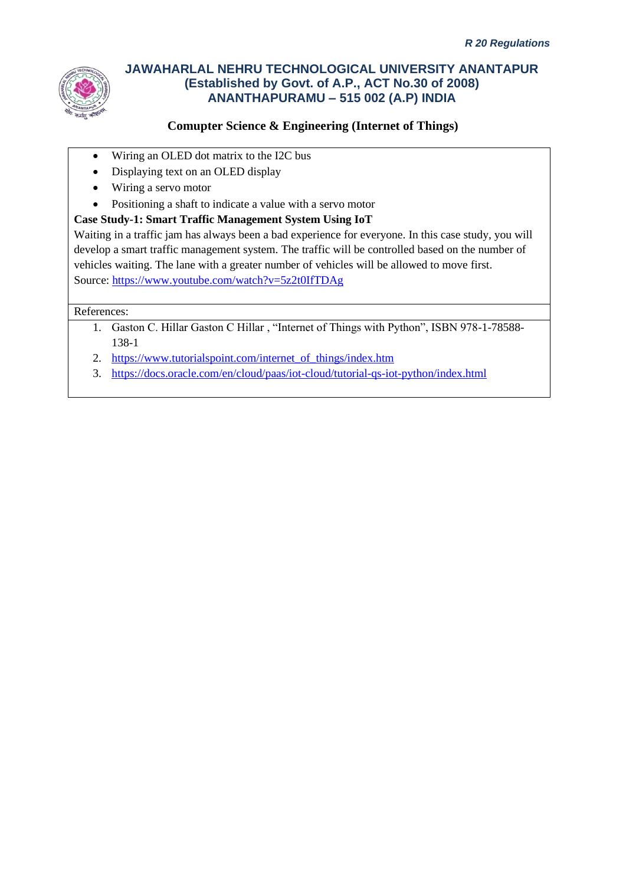

## **Comupter Science & Engineering (Internet of Things)**

- Wiring an OLED dot matrix to the I2C bus
- Displaying text on an OLED display
- Wiring a servo motor
- Positioning a shaft to indicate a value with a servo motor

### **Case Study-1: Smart Traffic Management System Using IoT**

Waiting in a traffic jam has always been a bad experience for everyone. In this case study, you will develop a smart traffic management system. The traffic will be controlled based on the number of vehicles waiting. The lane with a greater number of vehicles will be allowed to move first. Source[: https://www.youtube.com/watch?v=5z2t0IfTDAg](https://www.youtube.com/watch?v=5z2t0IfTDAg)

### References:

- 1. Gaston C. Hillar Gaston C Hillar , "Internet of Things with Python", ISBN 978-1-78588- 138-1
- 2. [https://www.tutorialspoint.com/internet\\_of\\_things/index.htm](https://www.tutorialspoint.com/internet_of_things/index.htm)
- 3. <https://docs.oracle.com/en/cloud/paas/iot-cloud/tutorial-qs-iot-python/index.html>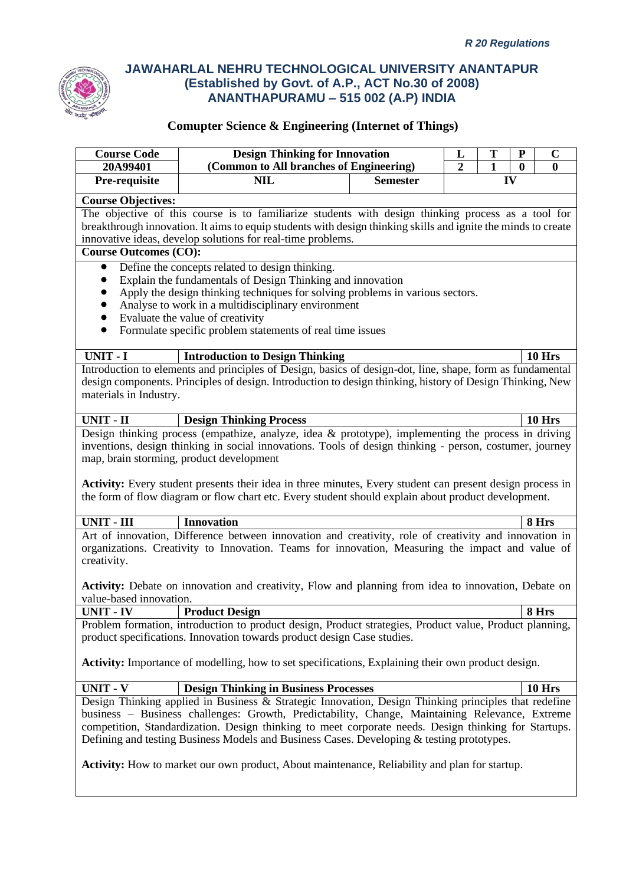

| <b>Course Code</b>                                                                                                                                                                                                                                                                                                                                                                                                                  | <b>Design Thinking for Innovation</b>                                                                                                                                                                                                                                              |                                                            | L<br>$\overline{2}$ | T                  | ${\bf P}$<br>$\bf{0}$ | $\mathbf C$   |  |
|-------------------------------------------------------------------------------------------------------------------------------------------------------------------------------------------------------------------------------------------------------------------------------------------------------------------------------------------------------------------------------------------------------------------------------------|------------------------------------------------------------------------------------------------------------------------------------------------------------------------------------------------------------------------------------------------------------------------------------|------------------------------------------------------------|---------------------|--------------------|-----------------------|---------------|--|
| 20A99401<br>Pre-requisite                                                                                                                                                                                                                                                                                                                                                                                                           | <b>NIL</b>                                                                                                                                                                                                                                                                         | (Common to All branches of Engineering)<br><b>Semester</b> |                     | $\mathbf{1}$<br>IV |                       | $\bf{0}$      |  |
|                                                                                                                                                                                                                                                                                                                                                                                                                                     |                                                                                                                                                                                                                                                                                    |                                                            |                     |                    |                       |               |  |
| <b>Course Objectives:</b><br><b>Course Outcomes (CO):</b>                                                                                                                                                                                                                                                                                                                                                                           | The objective of this course is to familiarize students with design thinking process as a tool for<br>breakthrough innovation. It aims to equip students with design thinking skills and ignite the minds to create<br>innovative ideas, develop solutions for real-time problems. |                                                            |                     |                    |                       |               |  |
| Define the concepts related to design thinking.<br>$\bullet$<br>Explain the fundamentals of Design Thinking and innovation<br>$\bullet$<br>Apply the design thinking techniques for solving problems in various sectors.<br>$\bullet$<br>Analyse to work in a multidisciplinary environment<br>$\bullet$<br>Evaluate the value of creativity<br>$\bullet$<br>Formulate specific problem statements of real time issues<br>$\bullet$ |                                                                                                                                                                                                                                                                                    |                                                            |                     |                    |                       |               |  |
| UNIT - I                                                                                                                                                                                                                                                                                                                                                                                                                            | <b>Introduction to Design Thinking</b>                                                                                                                                                                                                                                             |                                                            |                     |                    |                       | 10 Hrs        |  |
| materials in Industry.                                                                                                                                                                                                                                                                                                                                                                                                              | Introduction to elements and principles of Design, basics of design-dot, line, shape, form as fundamental<br>design components. Principles of design. Introduction to design thinking, history of Design Thinking, New                                                             |                                                            |                     |                    |                       |               |  |
| <b>UNIT - II</b>                                                                                                                                                                                                                                                                                                                                                                                                                    | <b>Design Thinking Process</b>                                                                                                                                                                                                                                                     |                                                            |                     |                    |                       | 10 Hrs        |  |
| inventions, design thinking in social innovations. Tools of design thinking - person, costumer, journey<br>map, brain storming, product development<br><b>Activity:</b> Every student presents their idea in three minutes, Every student can present design process in<br>the form of flow diagram or flow chart etc. Every student should explain about product development.                                                      |                                                                                                                                                                                                                                                                                    |                                                            |                     |                    |                       |               |  |
| <b>UNIT - III</b>                                                                                                                                                                                                                                                                                                                                                                                                                   | <b>Innovation</b>                                                                                                                                                                                                                                                                  |                                                            |                     |                    |                       | 8 Hrs         |  |
| Art of innovation, Difference between innovation and creativity, role of creativity and innovation in<br>organizations. Creativity to Innovation. Teams for innovation, Measuring the impact and value of<br>creativity.                                                                                                                                                                                                            |                                                                                                                                                                                                                                                                                    |                                                            |                     |                    |                       |               |  |
| value-based innovation.                                                                                                                                                                                                                                                                                                                                                                                                             | <b>Activity:</b> Debate on innovation and creativity, Flow and planning from idea to innovation, Debate on                                                                                                                                                                         |                                                            |                     |                    |                       |               |  |
| <b>UNIT - IV</b>                                                                                                                                                                                                                                                                                                                                                                                                                    | <b>Product Design</b>                                                                                                                                                                                                                                                              |                                                            |                     |                    |                       | 8 Hrs         |  |
| Problem formation, introduction to product design, Product strategies, Product value, Product planning,<br>product specifications. Innovation towards product design Case studies.                                                                                                                                                                                                                                                  |                                                                                                                                                                                                                                                                                    |                                                            |                     |                    |                       |               |  |
| Activity: Importance of modelling, how to set specifications, Explaining their own product design.                                                                                                                                                                                                                                                                                                                                  |                                                                                                                                                                                                                                                                                    |                                                            |                     |                    |                       |               |  |
| <b>UNIT - V</b>                                                                                                                                                                                                                                                                                                                                                                                                                     | <b>Design Thinking in Business Processes</b>                                                                                                                                                                                                                                       |                                                            |                     |                    |                       | <b>10 Hrs</b> |  |
| Design Thinking applied in Business & Strategic Innovation, Design Thinking principles that redefine<br>business - Business challenges: Growth, Predictability, Change, Maintaining Relevance, Extreme<br>competition, Standardization. Design thinking to meet corporate needs. Design thinking for Startups.<br>Defining and testing Business Models and Business Cases. Developing & testing prototypes.                         |                                                                                                                                                                                                                                                                                    |                                                            |                     |                    |                       |               |  |
| <b>Activity:</b> How to market our own product, About maintenance, Reliability and plan for startup.                                                                                                                                                                                                                                                                                                                                |                                                                                                                                                                                                                                                                                    |                                                            |                     |                    |                       |               |  |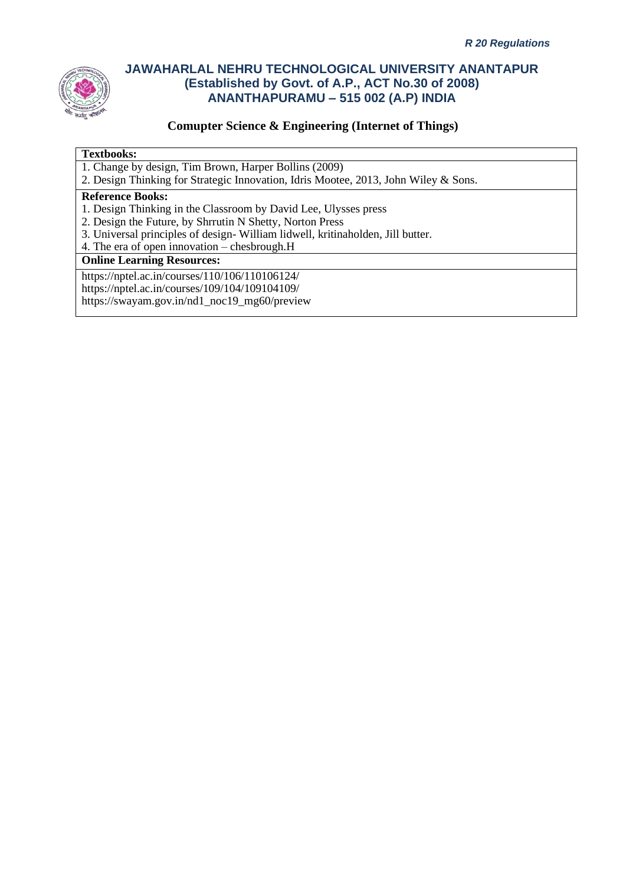

### **Comupter Science & Engineering (Internet of Things)**

#### **Textbooks:**

- 1. Change by design, Tim Brown, Harper Bollins (2009)
- 2. Design Thinking for Strategic Innovation, Idris Mootee, 2013, John Wiley & Sons.

#### **Reference Books:**

- 1. Design Thinking in the Classroom by David Lee, Ulysses press
- 2. Design the Future, by Shrrutin N Shetty, Norton Press
- 3. Universal principles of design- William lidwell, kritinaholden, Jill butter.
- 4. The era of open innovation chesbrough.H

#### **Online Learning Resources:**

https://nptel.ac.in/courses/110/106/110106124/ https://nptel.ac.in/courses/109/104/109104109/ https://swayam.gov.in/nd1\_noc19\_mg60/preview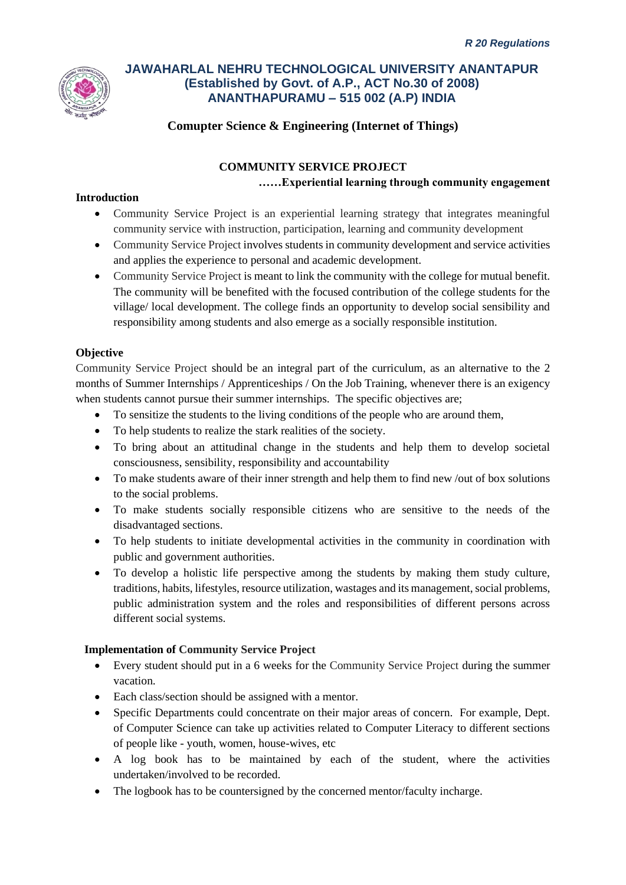

### **Comupter Science & Engineering (Internet of Things)**

### **COMMUNITY SERVICE PROJECT ……Experiential learning through community engagement**

### **Introduction**

- Community Service Project is an experiential learning strategy that integrates meaningful community service with instruction, participation, learning and community development
- Community Service Project involves students in community development and service activities and applies the experience to personal and academic development.
- Community Service Project is meant to link the community with the college for mutual benefit. The community will be benefited with the focused contribution of the college students for the village/ local development. The college finds an opportunity to develop social sensibility and responsibility among students and also emerge as a socially responsible institution.

### **Objective**

Community Service Project should be an integral part of the curriculum, as an alternative to the 2 months of Summer Internships / Apprenticeships / On the Job Training, whenever there is an exigency when students cannot pursue their summer internships. The specific objectives are;

- To sensitize the students to the living conditions of the people who are around them,
- To help students to realize the stark realities of the society.
- To bring about an attitudinal change in the students and help them to develop societal consciousness, sensibility, responsibility and accountability
- To make students aware of their inner strength and help them to find new /out of box solutions to the social problems.
- To make students socially responsible citizens who are sensitive to the needs of the disadvantaged sections.
- To help students to initiate developmental activities in the community in coordination with public and government authorities.
- To develop a holistic life perspective among the students by making them study culture, traditions, habits, lifestyles, resource utilization, wastages and its management, social problems, public administration system and the roles and responsibilities of different persons across different social systems.

### **Implementation of Community Service Project**

- Every student should put in a 6 weeks for the Community Service Project during the summer vacation.
- Each class/section should be assigned with a mentor.
- Specific Departments could concentrate on their major areas of concern. For example, Dept. of Computer Science can take up activities related to Computer Literacy to different sections of people like - youth, women, house-wives, etc
- A log book has to be maintained by each of the student, where the activities undertaken/involved to be recorded.
- The logbook has to be countersigned by the concerned mentor/faculty incharge.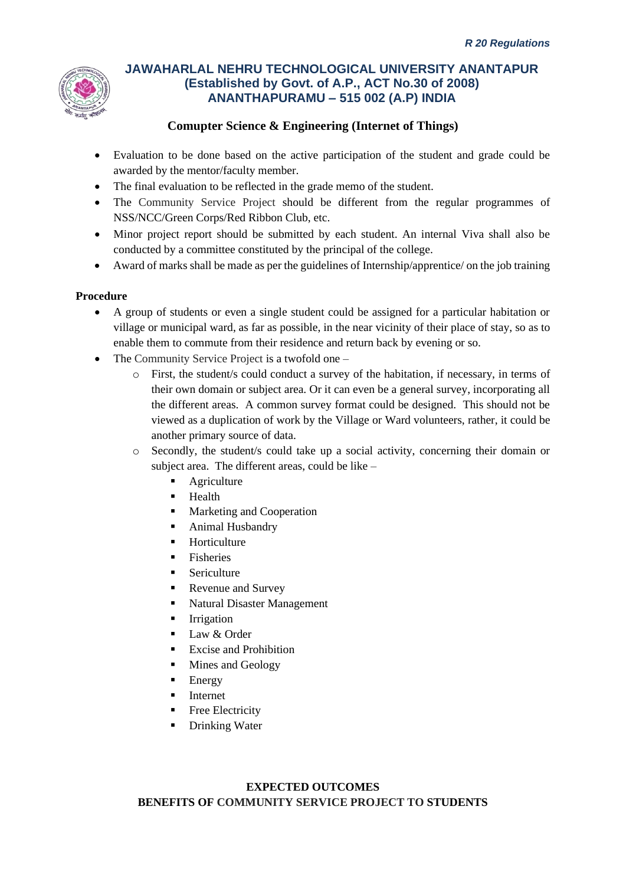

### **Comupter Science & Engineering (Internet of Things)**

- Evaluation to be done based on the active participation of the student and grade could be awarded by the mentor/faculty member.
- The final evaluation to be reflected in the grade memo of the student.
- The Community Service Project should be different from the regular programmes of NSS/NCC/Green Corps/Red Ribbon Club, etc.
- Minor project report should be submitted by each student. An internal Viva shall also be conducted by a committee constituted by the principal of the college.
- Award of marks shall be made as per the guidelines of Internship/apprentice/ on the job training

### **Procedure**

- A group of students or even a single student could be assigned for a particular habitation or village or municipal ward, as far as possible, in the near vicinity of their place of stay, so as to enable them to commute from their residence and return back by evening or so.
- The Community Service Project is a twofold one
	- o First, the student/s could conduct a survey of the habitation, if necessary, in terms of their own domain or subject area. Or it can even be a general survey, incorporating all the different areas. A common survey format could be designed. This should not be viewed as a duplication of work by the Village or Ward volunteers, rather, it could be another primary source of data.
	- o Secondly, the student/s could take up a social activity, concerning their domain or subject area. The different areas, could be like –
		- **•** Agriculture
		- **Health**
		- Marketing and Cooperation
		- Animal Husbandry
		- **Horticulture**
		- **Fisheries**
		- **Sericulture**
		- Revenue and Survey
		- Natural Disaster Management
		- **·** Irrigation
		- Law & Order
		- **Excise and Prohibition**
		- Mines and Geology
		- **Energy**
		- **Internet**
		- **Free Electricity**
		- **Drinking Water**

### **EXPECTED OUTCOMES BENEFITS OF COMMUNITY SERVICE PROJECT TO STUDENTS**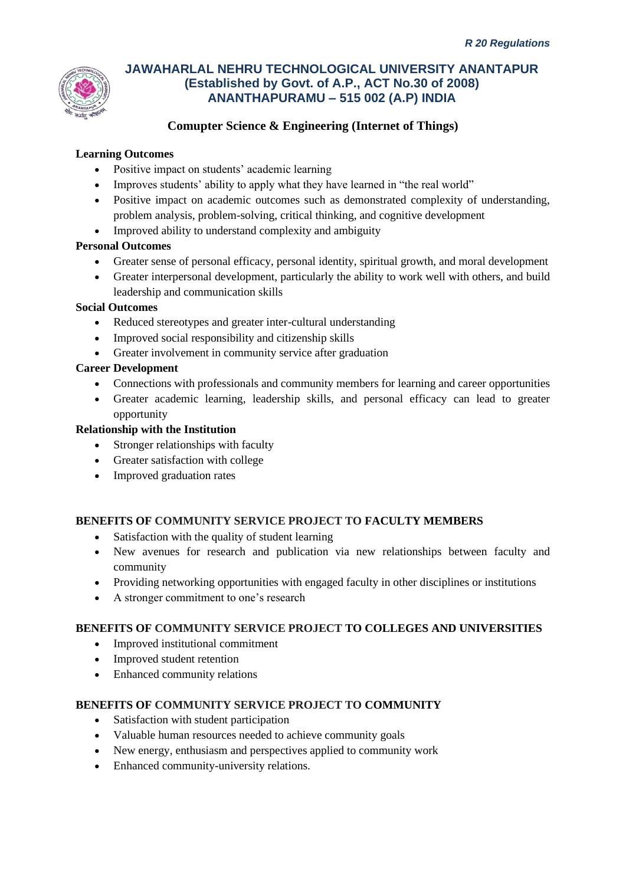

### **Comupter Science & Engineering (Internet of Things)**

### **Learning Outcomes**

- Positive impact on students' academic learning
- Improves students' ability to apply what they have learned in "the real world"
- Positive impact on academic outcomes such as demonstrated complexity of understanding, problem analysis, problem-solving, critical thinking, and cognitive development
- Improved ability to understand complexity and ambiguity

### **Personal Outcomes**

- Greater sense of personal efficacy, personal identity, spiritual growth, and moral development
- Greater interpersonal development, particularly the ability to work well with others, and build leadership and communication skills

### **Social Outcomes**

- Reduced stereotypes and greater inter-cultural understanding
- Improved social responsibility and citizenship skills
- Greater involvement in community service after graduation

### **Career Development**

- Connections with professionals and community members for learning and career opportunities
- Greater academic learning, leadership skills, and personal efficacy can lead to greater opportunity

### **Relationship with the Institution**

- Stronger relationships with faculty
- Greater satisfaction with college
- Improved graduation rates

### **BENEFITS OF COMMUNITY SERVICE PROJECT TO FACULTY MEMBERS**

- Satisfaction with the quality of student learning
- New avenues for research and publication via new relationships between faculty and community
- Providing networking opportunities with engaged faculty in other disciplines or institutions
- A stronger commitment to one's research

### **BENEFITS OF COMMUNITY SERVICE PROJECT TO COLLEGES AND UNIVERSITIES**

- Improved institutional commitment
- Improved student retention
- Enhanced community relations

### **BENEFITS OF COMMUNITY SERVICE PROJECT TO COMMUNITY**

- Satisfaction with student participation
- Valuable human resources needed to achieve community goals
- New energy, enthusiasm and perspectives applied to community work
- Enhanced community-university relations.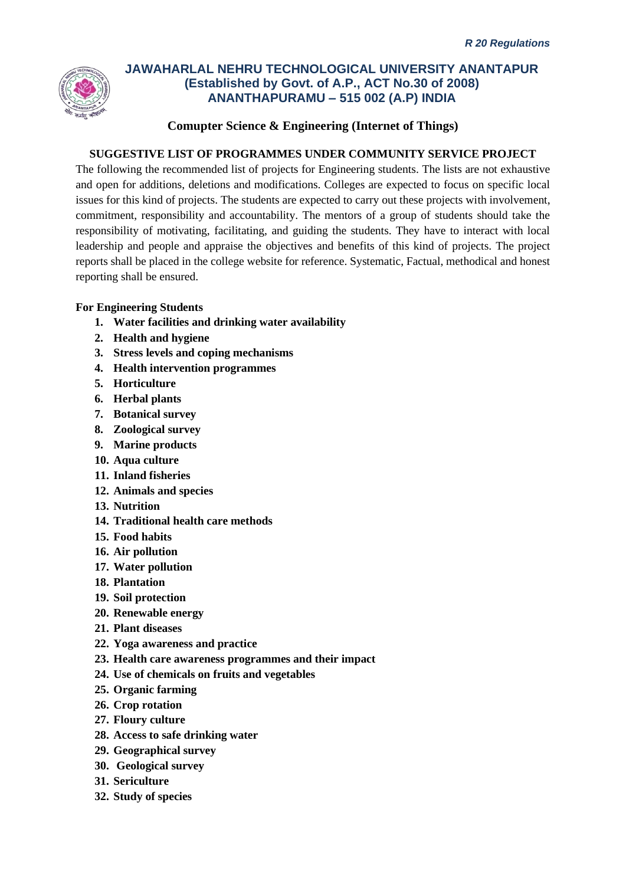

### **Comupter Science & Engineering (Internet of Things)**

### **SUGGESTIVE LIST OF PROGRAMMES UNDER COMMUNITY SERVICE PROJECT**

The following the recommended list of projects for Engineering students. The lists are not exhaustive and open for additions, deletions and modifications. Colleges are expected to focus on specific local issues for this kind of projects. The students are expected to carry out these projects with involvement, commitment, responsibility and accountability. The mentors of a group of students should take the responsibility of motivating, facilitating, and guiding the students. They have to interact with local leadership and people and appraise the objectives and benefits of this kind of projects. The project reports shall be placed in the college website for reference. Systematic, Factual, methodical and honest reporting shall be ensured.

### **For Engineering Students**

- **1. Water facilities and drinking water availability**
- **2. Health and hygiene**
- **3. Stress levels and coping mechanisms**
- **4. Health intervention programmes**
- **5. Horticulture**
- **6. Herbal plants**
- **7. Botanical survey**
- **8. Zoological survey**
- **9. Marine products**
- **10. Aqua culture**
- **11. Inland fisheries**
- **12. Animals and species**
- **13. Nutrition**
- **14. Traditional health care methods**
- **15. Food habits**
- **16. Air pollution**
- **17. Water pollution**
- **18. Plantation**
- **19. Soil protection**
- **20. Renewable energy**
- **21. Plant diseases**
- **22. Yoga awareness and practice**
- **23. Health care awareness programmes and their impact**
- **24. Use of chemicals on fruits and vegetables**
- **25. Organic farming**
- **26. Crop rotation**
- **27. Floury culture**
- **28. Access to safe drinking water**
- **29. Geographical survey**
- **30. Geological survey**
- **31. Sericulture**
- **32. Study of species**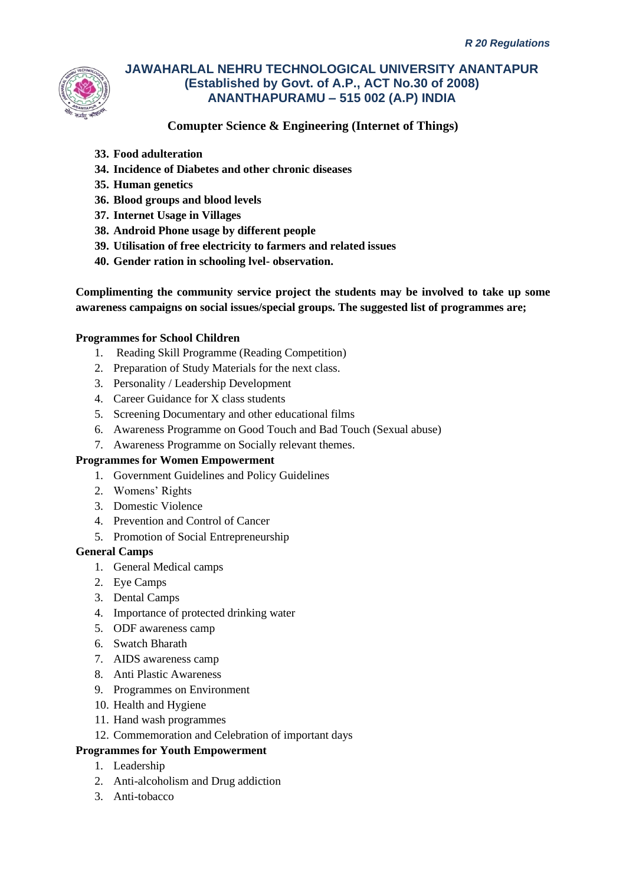

### **Comupter Science & Engineering (Internet of Things)**

- **33. Food adulteration**
- **34. Incidence of Diabetes and other chronic diseases**
- **35. Human genetics**
- **36. Blood groups and blood levels**
- **37. Internet Usage in Villages**
- **38. Android Phone usage by different people**
- **39. Utilisation of free electricity to farmers and related issues**
- **40. Gender ration in schooling lvel- observation.**

**Complimenting the community service project the students may be involved to take up some awareness campaigns on social issues/special groups. The suggested list of programmes are;**

### **Programmes for School Children**

- 1. Reading Skill Programme (Reading Competition)
- 2. Preparation of Study Materials for the next class.
- 3. Personality / Leadership Development
- 4. Career Guidance for X class students
- 5. Screening Documentary and other educational films
- 6. Awareness Programme on Good Touch and Bad Touch (Sexual abuse)
- 7. Awareness Programme on Socially relevant themes.

### **Programmes for Women Empowerment**

- 1. Government Guidelines and Policy Guidelines
- 2. Womens' Rights
- 3. Domestic Violence
- 4. Prevention and Control of Cancer
- 5. Promotion of Social Entrepreneurship

### **General Camps**

- 1. General Medical camps
- 2. Eye Camps
- 3. Dental Camps
- 4. Importance of protected drinking water
- 5. ODF awareness camp
- 6. Swatch Bharath
- 7. AIDS awareness camp
- 8. Anti Plastic Awareness
- 9. Programmes on Environment
- 10. Health and Hygiene
- 11. Hand wash programmes
- 12. Commemoration and Celebration of important days

### **Programmes for Youth Empowerment**

- 1. Leadership
- 2. Anti-alcoholism and Drug addiction
- 3. Anti-tobacco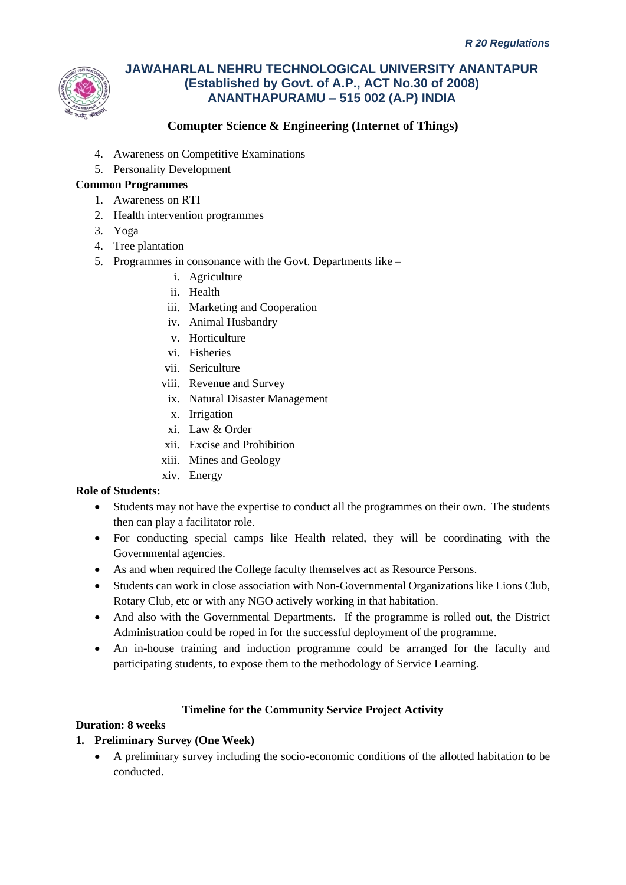

## **Comupter Science & Engineering (Internet of Things)**

- 4. Awareness on Competitive Examinations
- 5. Personality Development

### **Common Programmes**

- 1. Awareness on RTI
- 2. Health intervention programmes
- 3. Yoga
- 4. Tree plantation
- 5. Programmes in consonance with the Govt. Departments like
	- i. Agriculture
	- ii. Health
	- iii. Marketing and Cooperation
	- iv. Animal Husbandry
	- v. Horticulture
	- vi. Fisheries
	- vii. Sericulture
	- viii. Revenue and Survey
	- ix. Natural Disaster Management
	- x. Irrigation
	- xi. Law & Order
	- xii. Excise and Prohibition
	- xiii. Mines and Geology
	- xiv. Energy

### **Role of Students:**

- Students may not have the expertise to conduct all the programmes on their own. The students then can play a facilitator role.
- For conducting special camps like Health related, they will be coordinating with the Governmental agencies.
- As and when required the College faculty themselves act as Resource Persons.
- Students can work in close association with Non-Governmental Organizations like Lions Club, Rotary Club, etc or with any NGO actively working in that habitation.
- And also with the Governmental Departments. If the programme is rolled out, the District Administration could be roped in for the successful deployment of the programme.
- An in-house training and induction programme could be arranged for the faculty and participating students, to expose them to the methodology of Service Learning.

### **Timeline for the Community Service Project Activity**

### **Duration: 8 weeks**

- **1. Preliminary Survey (One Week)**
	- A preliminary survey including the socio-economic conditions of the allotted habitation to be conducted.